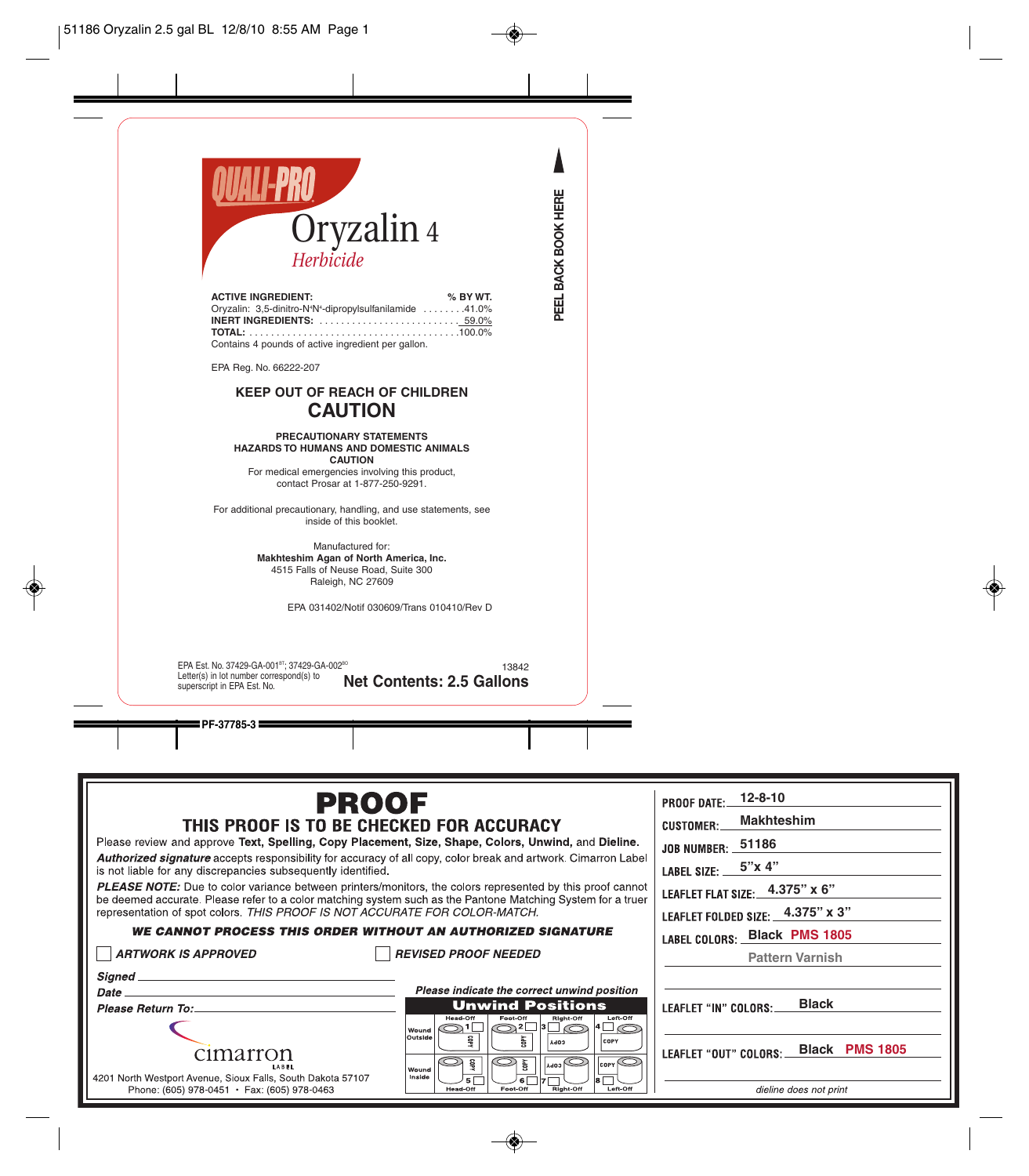

| <b>ACTIVE INGREDIENT:</b>                                                        | % BY WT. |
|----------------------------------------------------------------------------------|----------|
| Oryzalin: 3,5-dinitro-N <sup>4</sup> N <sup>4</sup> -dipropylsulfanilamide 41.0% |          |
|                                                                                  |          |
|                                                                                  |          |
| Contains 4 pounds of active ingredient per gallon.                               |          |

EPA Reg. No. 66222-207

# **KEEP OUT OF REACH OF CHILDREN CAUTION**

#### **PRECAUTIONARY STATEMENTS HAZARDS TO HUMANS AND DOMESTIC ANIMALS CAUTION**

For medical emergencies involving this product, contact Prosar at 1-877-250-9291.

For additional precautionary, handling, and use statements, see inside of this booklet.

> Manufactured for: **Makhteshim Agan of North America, Inc.** 4515 Falls of Neuse Road, Suite 300 Raleigh, NC 27609

> > EPA 031402/Notif 030609/Trans 010410/Rev D

13842 **Net Contents: 2.5 Gallons** EPA Est. No. 37429-GA-001<sup>BT</sup>; 37429-GA-002<sup>BO</sup> Letter(s) in lot number correspond(s) to superscript in EPA Est. No.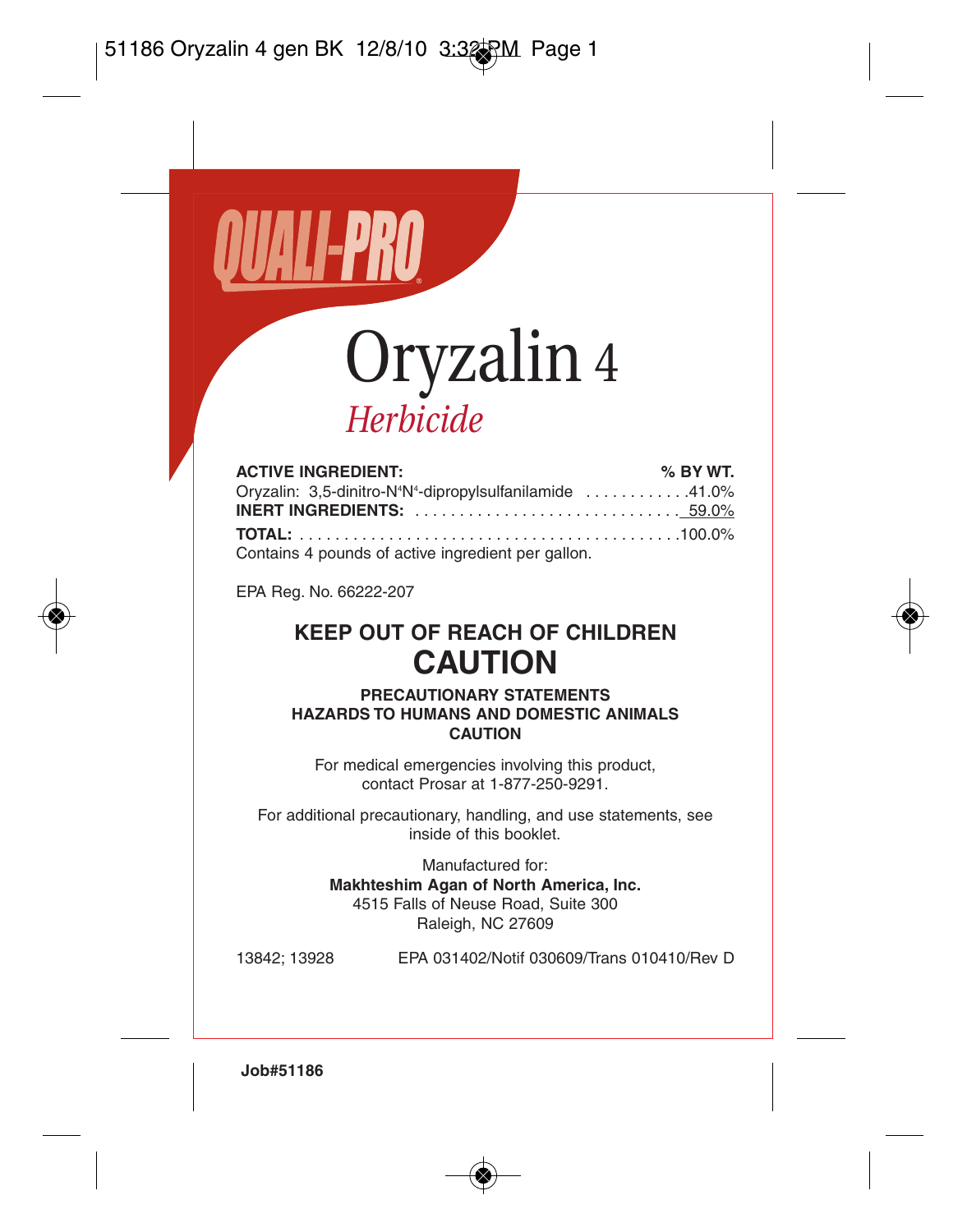

# *Herbicide*

| <b>ACTIVE INGREDIENT:</b>                                                        | % BY WT. |
|----------------------------------------------------------------------------------|----------|
| Oryzalin: 3,5-dinitro-N <sup>4</sup> N <sup>4</sup> -dipropylsulfanilamide 41.0% |          |
|                                                                                  |          |
|                                                                                  |          |
| Contains 4 pounds of active ingredient per gallon.                               |          |

EPA Reg. No. 66222-207

## **KEEP OUT OF REACH OF CHILDREN CAUTION**

**PRECAUTIONARY STATEMENTS HAZARDS TO HUMANS AND DOMESTIC ANIMALS CAUTION**

For medical emergencies involving this product, contact Prosar at 1-877-250-9291.

For additional precautionary, handling, and use statements, see inside of this booklet.

Manufactured for:

**Makhteshim Agan of North America, Inc.** 4515 Falls of Neuse Road, Suite 300 Raleigh, NC 27609

13842; 13928 EPA 031402/Notif 030609/Trans 010410/Rev D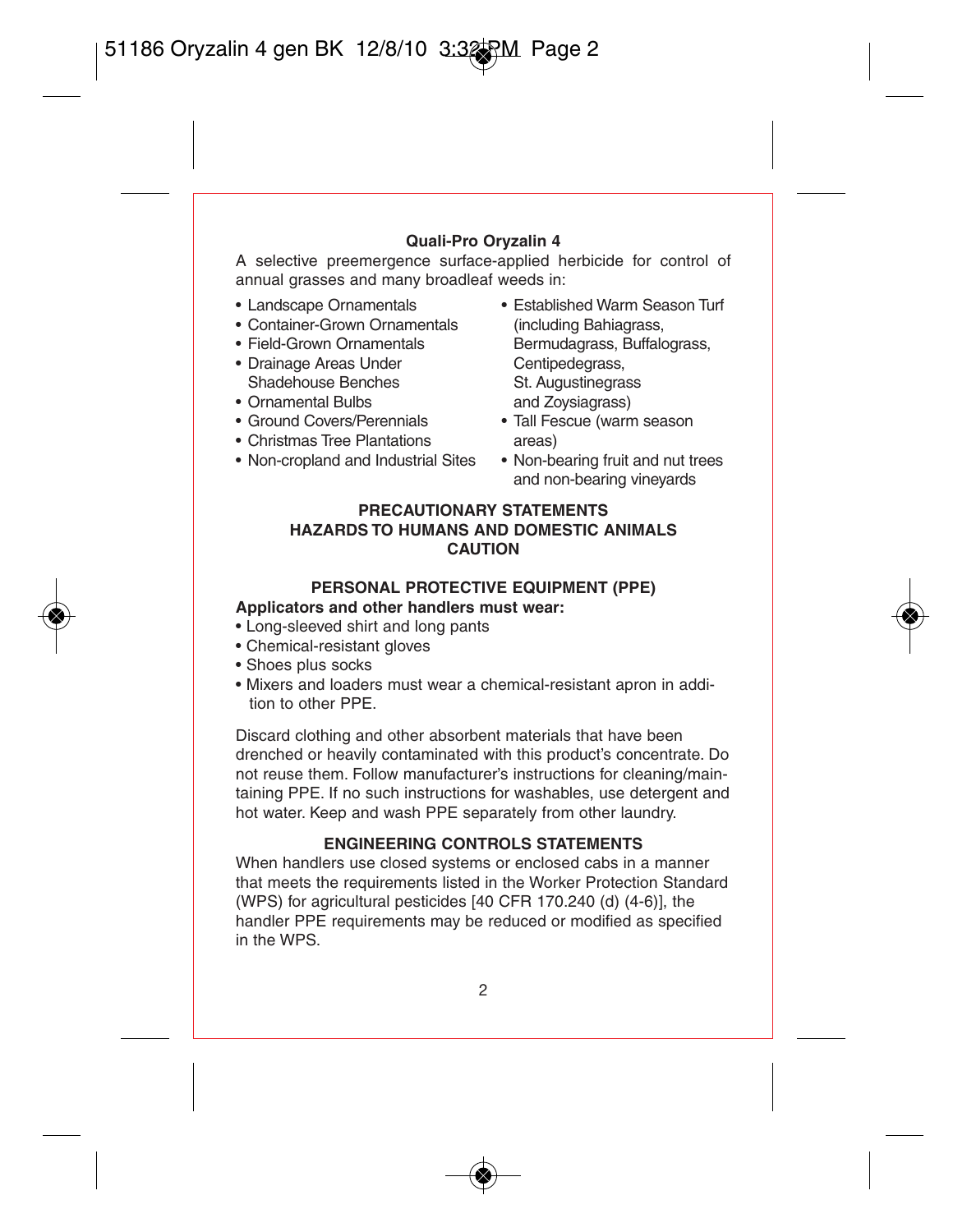#### **Quali-Pro Oryzalin 4**

A selective preemergence surface-applied herbicide for control of annual grasses and many broadleaf weeds in:

- 
- $\bullet$  Container-Grown Ornamentals
- 
- Drainage Areas Under<br>Shadehouse Benches
- 
- 
- 
- Christmas Tree Plantations areas)<br>• Non-cropland and Industrial Sites Non-bearing fruit and nut trees • Non-cropland and Industrial Sites
- Landscape Ornamentals Established Warm Season Turf<br>• Container-Grown Ornamentals (including Bahiagrass. • Field-Grown Ornamentals Bermudagrass, Buffalograss, Buffalograss, Buffalograss, Buffalograss, Buffalograss, Buffalograss, Buffalograss, Buffalograss, Buffalograss, Buffalograss, Buffalograss, Buffalograss, Buffalograss, Shadehouse Benches St. Augustinegrass<br>• Ornamental Bulbs and Zovejagrass • Ornamental Bulbs and Zoysiagrass)<br>• Ground Covers/Perennials • Tall Eescue (warn
	- Tall Fescue (warm season
	- and non-bearing vineyards

#### **PRECAUTIONARY STATEMENTS HAZARDS TO HUMANS AND DOMESTIC ANIMALS CAUTION**

#### **PERSONAL PROTECTIVE EQUIPMENT (PPE)**

#### **Applicators and other handlers must wear:**

- Long-sleeved shirt and long pants
- Chemical-resistant gloves
- Shoes plus socks
- Mixers and loaders must wear a chemical-resistant apron in addition to other PPE.

Discard clothing and other absorbent materials that have been drenched or heavily contaminated with this product's concentrate. Do not reuse them. Follow manufacturer's instructions for cleaning/maintaining PPE. If no such instructions for washables, use detergent and hot water. Keep and wash PPE separately from other laundry.

#### **ENGINEERING CONTROLS STATEMENTS**

When handlers use closed systems or enclosed cabs in a manner that meets the requirements listed in the Worker Protection Standard (WPS) for agricultural pesticides [40 CFR 170.240 (d) (4-6)], the handler PPE requirements may be reduced or modified as specified in the WPS.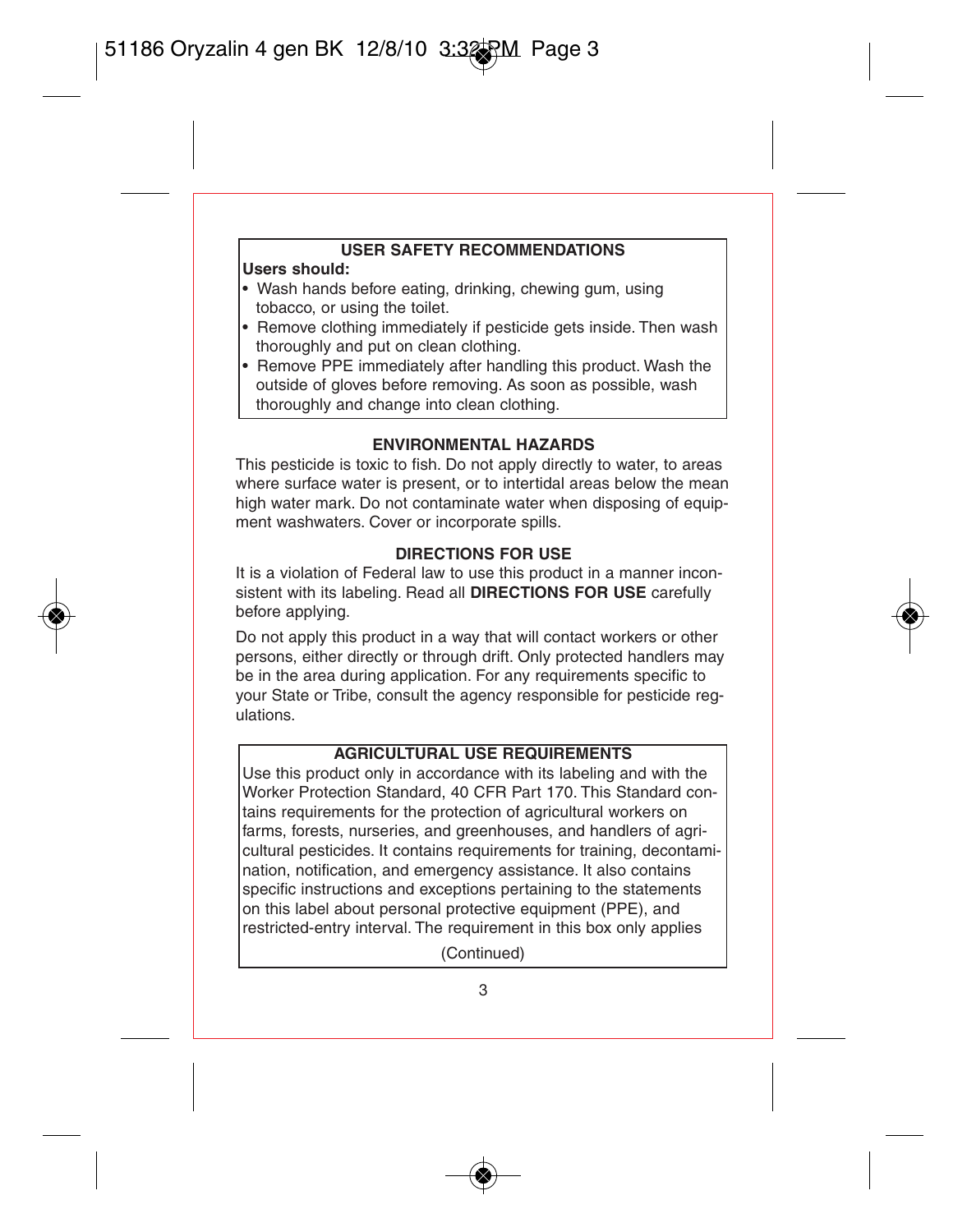# **USER SAFETY RECOMMENDATIONS**

#### **Users should:**

- Wash hands before eating, drinking, chewing gum, using tobacco, or using the toilet.
- Remove clothing immediately if pesticide gets inside. Then wash thoroughly and put on clean clothing.
- Remove PPE immediately after handling this product. Wash the outside of gloves before removing. As soon as possible, wash thoroughly and change into clean clothing.

## **ENVIRONMENTAL HAZARDS**

This pesticide is toxic to fish. Do not apply directly to water, to areas. where surface water is present, or to intertidal areas below the mean high water mark. Do not contaminate water when disposing of equipment washwaters. Cover or incorporate spills.

## **DIRECTIONS FOR USE**

It is a violation of Federal law to use this product in a manner inconsistent with its labeling. Read all **DIRECTIONS FOR USE** carefully before applying.

Do not apply this product in a way that will contact workers or other persons, either directly or through drift. Only protected handlers may be in the area during application. For any requirements specific to your State or Tribe, consult the agency responsible for pesticide regulations.

## **AGRICULTURAL USE REQUIREMENTS**

Use this product only in accordance with its labeling and with the Worker Protection Standard, 40 CFR Part 170. This Standard contains requirements for the protection of agricultural workers on farms, forests, nurseries, and greenhouses, and handlers of agricultural pesticides. It contains requirements for training, decontamination, notification, and emergency assistance. It also contains specific instructions and exceptions pertaining to the statements on this label about personal protective equipment (PPE), and restricted-entry interval. The requirement in this box only applies

(Continued)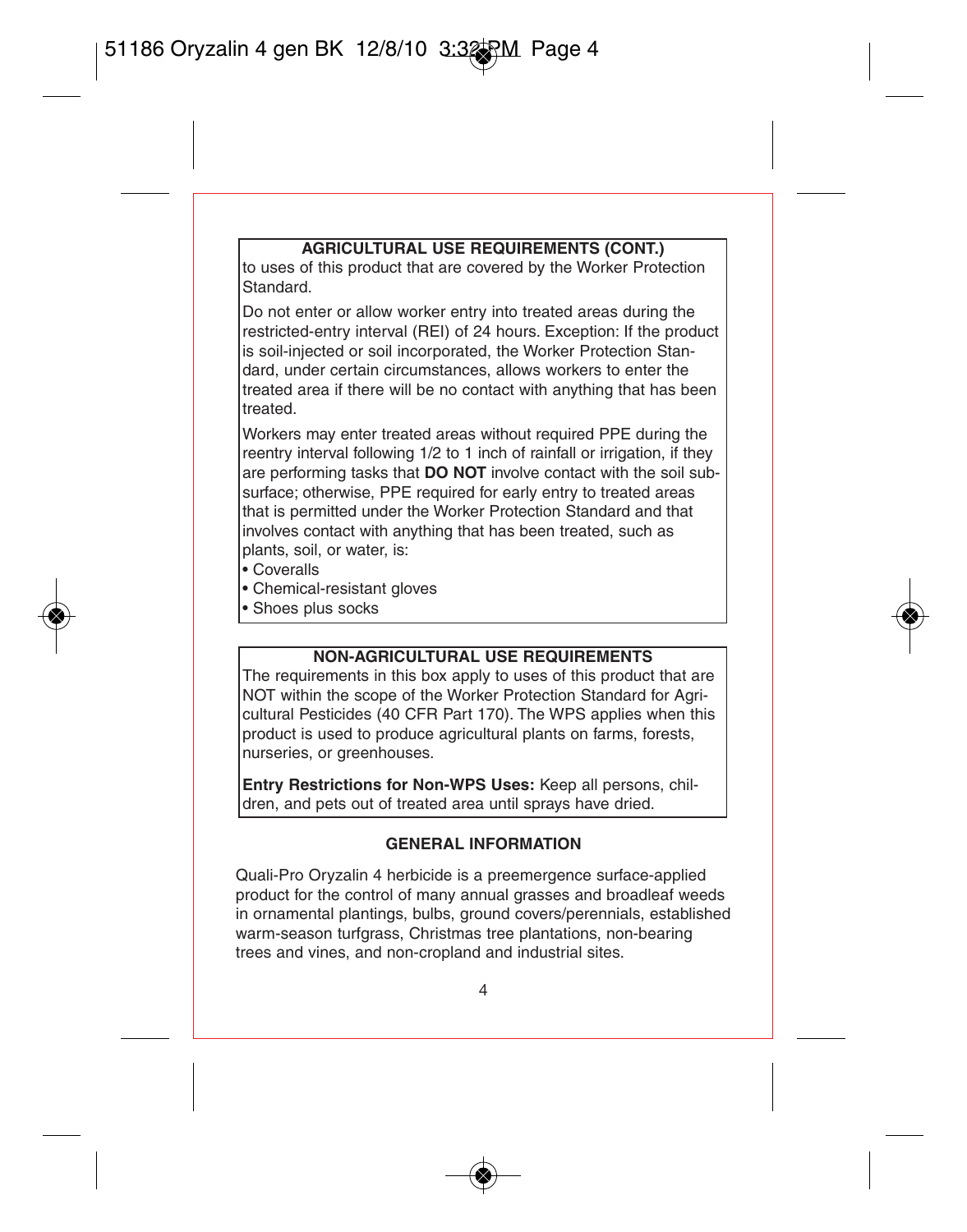#### **AGRICULTURAL USE REQUIREMENTS (CONT.)**

to uses of this product that are covered by the Worker Protection Standard.

Do not enter or allow worker entry into treated areas during the restricted-entry interval (REI) of 24 hours. Exception: If the product is soil-injected or soil incorporated, the Worker Protection Standard, under certain circumstances, allows workers to enter the treated area if there will be no contact with anything that has been treated.

Workers may enter treated areas without required PPE during the reentry interval following 1/2 to 1 inch of rainfall or irrigation, if they are performing tasks that **DO NOT** involve contact with the soil subsurface; otherwise. PPE required for early entry to treated areas that is permitted under the Worker Protection Standard and that involves contact with anything that has been treated, such as plants, soil, or water, is:

- Coveralls
- Chemical-resistant gloves
- Shoes plus socks

#### **NON-AGRICULTURAL USE REQUIREMENTS**

The requirements in this box apply to uses of this product that are NOT within the scope of the Worker Protection Standard for Agricultural Pesticides (40 CFR Part 170). The WPS applies when this product is used to produce agricultural plants on farms, forests, nurseries, or greenhouses.

**Entry Restrictions for Non-WPS Uses:** Keep all persons, children, and pets out of treated area until sprays have dried.

#### **GENERAL INFORMATION**

Quali-Pro Oryzalin 4 herbicide is a preemergence surface-applied product for the control of many annual grasses and broadleaf weeds in ornamental plantings, bulbs, ground covers/perennials, established warm-season turfgrass, Christmas tree plantations, non-bearing trees and vines, and non-cropland and industrial sites.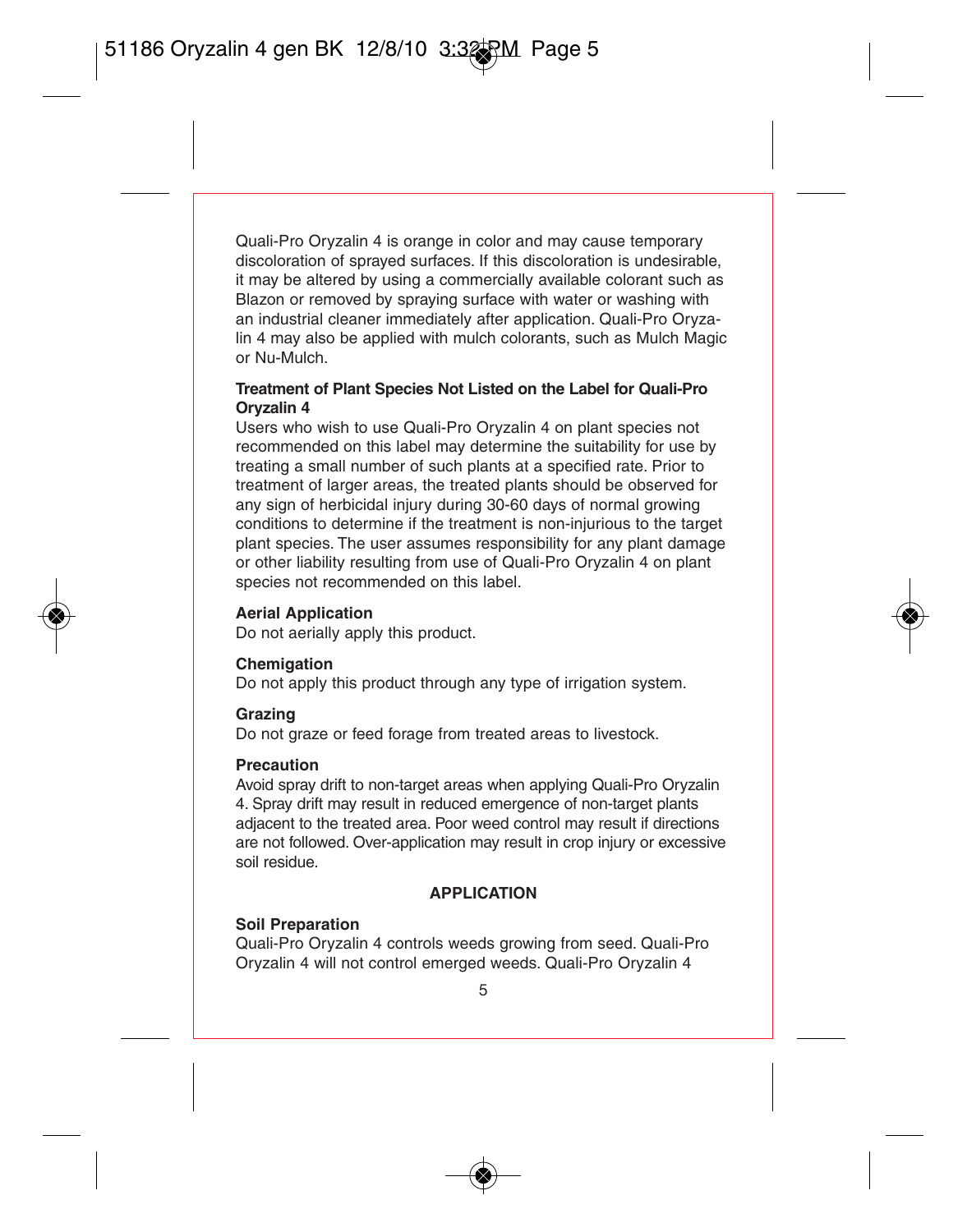Quali-Pro Oryzalin 4 is orange in color and may cause temporary discoloration of sprayed surfaces. If this discoloration is undesirable, it may be altered by using a commercially available colorant such as Blazon or removed by spraying surface with water or washing with an industrial cleaner immediately after application. Quali-Pro Oryzalin 4 may also be applied with mulch colorants, such as Mulch Magic or Nu-Mulch.

#### **Treatment of Plant Species Not Listed on the Label for Quali-Pro Oryzalin 4**

Users who wish to use Quali-Pro Oryzalin 4 on plant species not recommended on this label may determine the suitability for use by treating a small number of such plants at a specified rate. Prior to treatment of larger areas, the treated plants should be observed for any sign of herbicidal injury during 30-60 days of normal growing conditions to determine if the treatment is non-injurious to the target plant species. The user assumes responsibility for any plant damage or other liability resulting from use of Quali-Pro Oryzalin 4 on plant species not recommended on this label.

#### **Aerial Application**

Do not aerially apply this product.

#### **Chemigation**

Do not apply this product through any type of irrigation system.

#### **Grazing**

Do not graze or feed forage from treated areas to livestock.

#### **Precaution**

Avoid spray drift to non-target areas when applying Quali-Pro Oryzalin 4. Spray drift may result in reduced emergence of non-target plants adjacent to the treated area. Poor weed control may result if directions are not followed. Over-application may result in crop injury or excessive soil residue.

#### **APPLICATION**

#### **Soil Preparation**

Quali-Pro Oryzalin 4 controls weeds growing from seed. Quali-Pro Oryzalin 4 will not control emerged weeds. Quali-Pro Oryzalin 4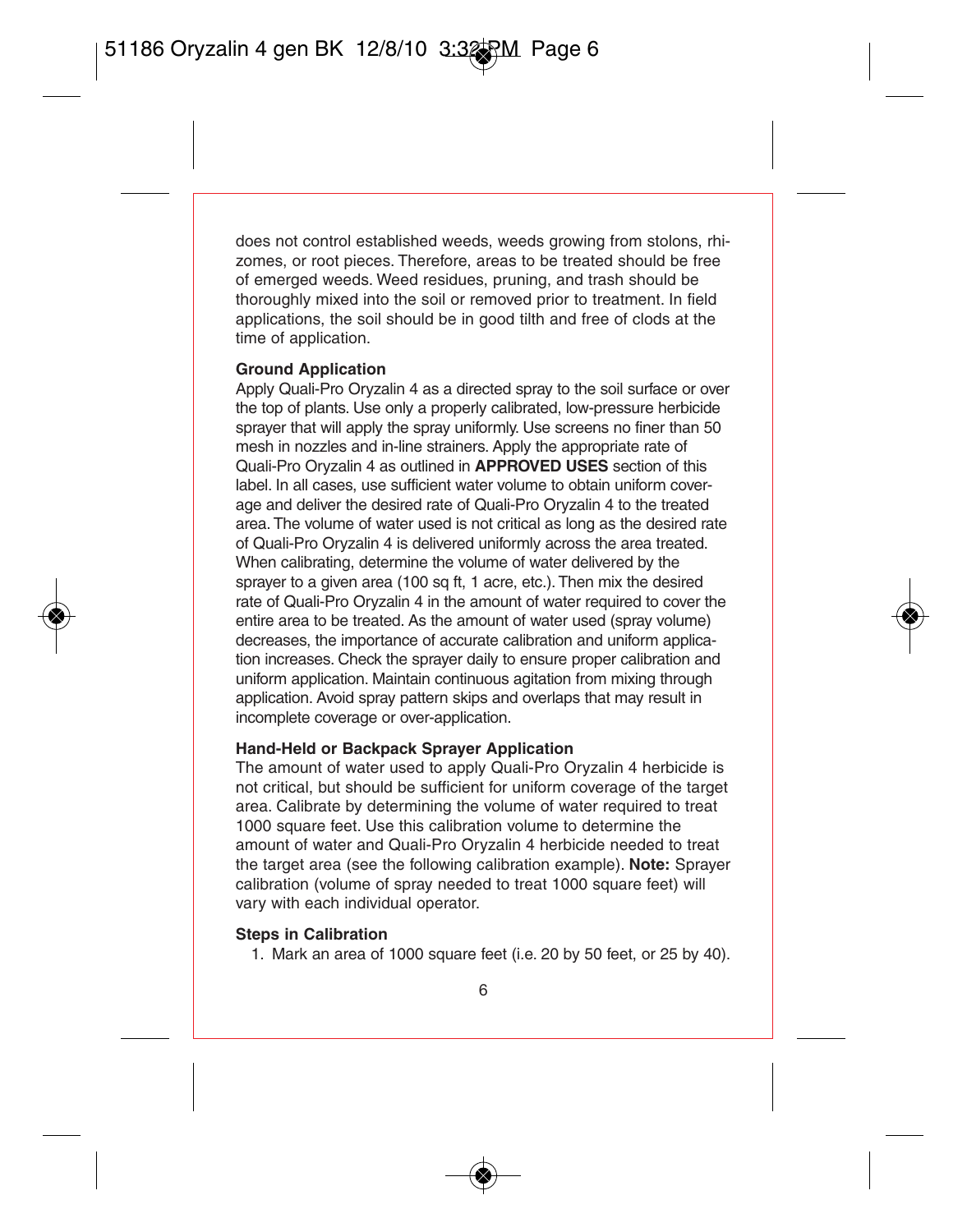does not control established weeds, weeds growing from stolons, rhizomes, or root pieces. Therefore, areas to be treated should be free of emerged weeds. Weed residues, pruning, and trash should be thoroughly mixed into the soil or removed prior to treatment. In field applications, the soil should be in good tilth and free of clods at the time of application.

#### **Ground Application**

Apply Quali-Pro Oryzalin 4 as a directed spray to the soil surface or over the top of plants. Use only a properly calibrated, low-pressure herbicide sprayer that will apply the spray uniformly. Use screens no finer than 50 mesh in nozzles and in-line strainers. Apply the appropriate rate of Quali-Pro Oryzalin 4 as outlined in **APPROVED USES** section of this label. In all cases, use sufficient water volume to obtain uniform coverage and deliver the desired rate of Quali-Pro Oryzalin 4 to the treated area. The volume of water used is not critical as long as the desired rate of Quali-Pro Oryzalin 4 is delivered uniformly across the area treated. When calibrating, determine the volume of water delivered by the sprayer to a given area (100 sq ft, 1 acre, etc.). Then mix the desired rate of Quali-Pro Oryzalin 4 in the amount of water required to cover the entire area to be treated. As the amount of water used (spray volume) decreases, the importance of accurate calibration and uniform application increases. Check the sprayer daily to ensure proper calibration and uniform application. Maintain continuous agitation from mixing through application. Avoid spray pattern skips and overlaps that may result in incomplete coverage or over-application.

#### **Hand-Held or Backpack Sprayer Application**

The amount of water used to apply Quali-Pro Oryzalin 4 herbicide is not critical, but should be sufficient for uniform coverage of the target area. Calibrate by determining the volume of water required to treat 1000 square feet. Use this calibration volume to determine the amount of water and Quali-Pro Oryzalin 4 herbicide needed to treat the target area (see the following calibration example). **Note:** Sprayer calibration (volume of spray needed to treat 1000 square feet) will vary with each individual operator.

#### **Steps in Calibration**

1. Mark an area of 1000 square feet (i.e. 20 by 50 feet, or 25 by 40).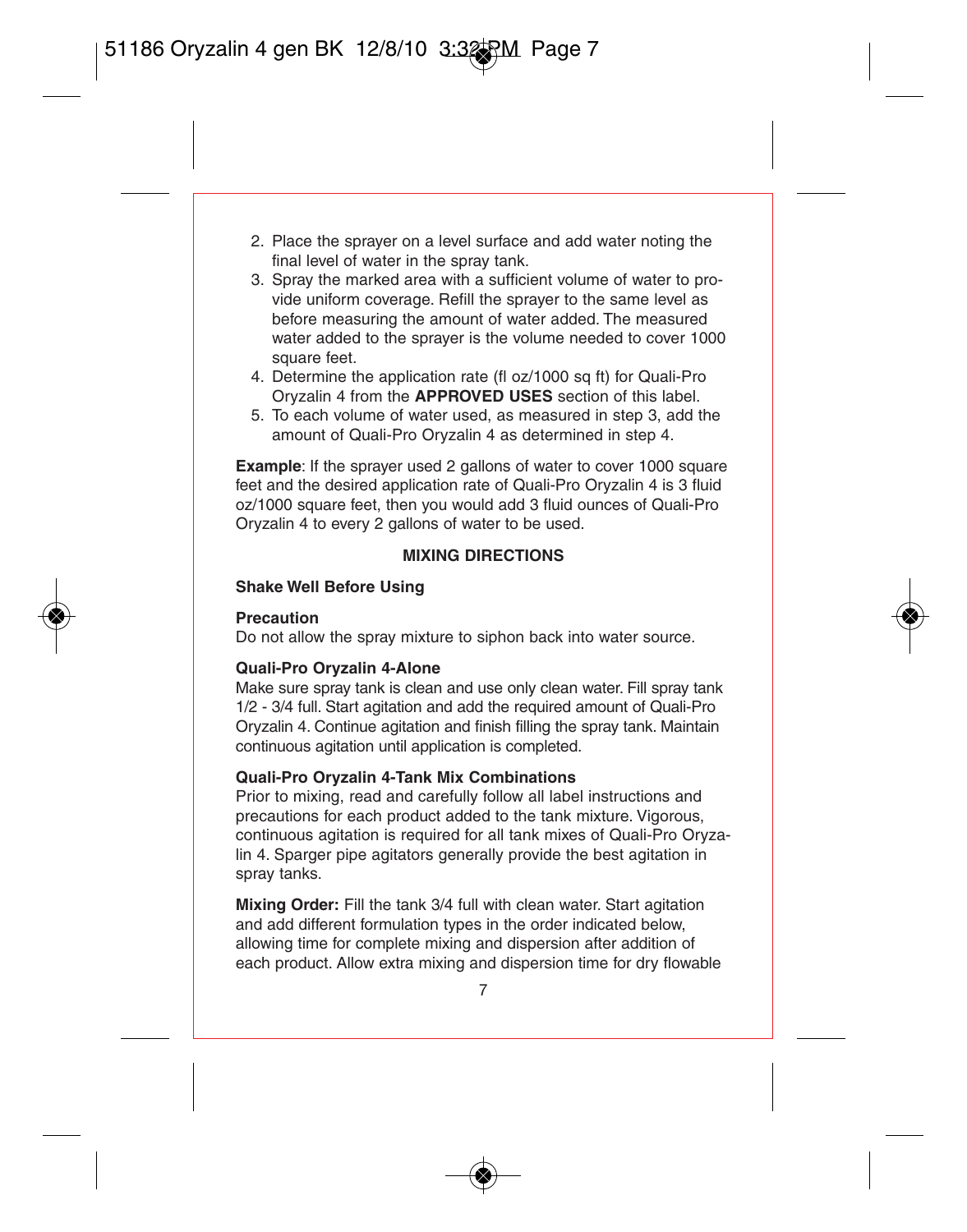- 2. Place the sprayer on a level surface and add water noting the final level of water in the spray tank.
- 3. Spray the marked area with a sufficient volume of water to provide uniform coverage. Refill the sprayer to the same level as before measuring the amount of water added. The measured water added to the sprayer is the volume needed to cover 1000 square feet.
- 4. Determine the application rate (fl oz/1000 sq ft) for Quali-Pro Oryzalin 4 from the **APPROVED USES** section of this label.
- 5. To each volume of water used, as measured in step 3, add the amount of Quali-Pro Oryzalin 4 as determined in step 4.

**Example:** If the sprayer used 2 gallons of water to cover 1000 square feet and the desired application rate of Quali-Pro Oryzalin 4 is 3 fluid oz/1000 square feet, then you would add 3 fluid ounces of Quali-Pro Oryzalin 4 to every 2 gallons of water to be used.

#### **MIXING DIRECTIONS**

#### **Shake Well Before Using**

#### **Precaution**

Do not allow the spray mixture to siphon back into water source.

#### **Quali-Pro Oryzalin 4-Alone**

Make sure spray tank is clean and use only clean water. Fill spray tank 1/2 - 3/4 full. Start agitation and add the required amount of Quali-Pro Oryzalin 4. Continue agitation and finish filling the spray tank. Maintain continuous agitation until application is completed.

#### **Quali-Pro Oryzalin 4-Tank Mix Combinations**

Prior to mixing, read and carefully follow all label instructions and precautions for each product added to the tank mixture. Vigorous, continuous agitation is required for all tank mixes of Quali-Pro Oryzalin 4. Sparger pipe agitators generally provide the best agitation in spray tanks.

**Mixing Order:** Fill the tank 3/4 full with clean water. Start agitation and add different formulation types in the order indicated below, allowing time for complete mixing and dispersion after addition of each product. Allow extra mixing and dispersion time for dry flowable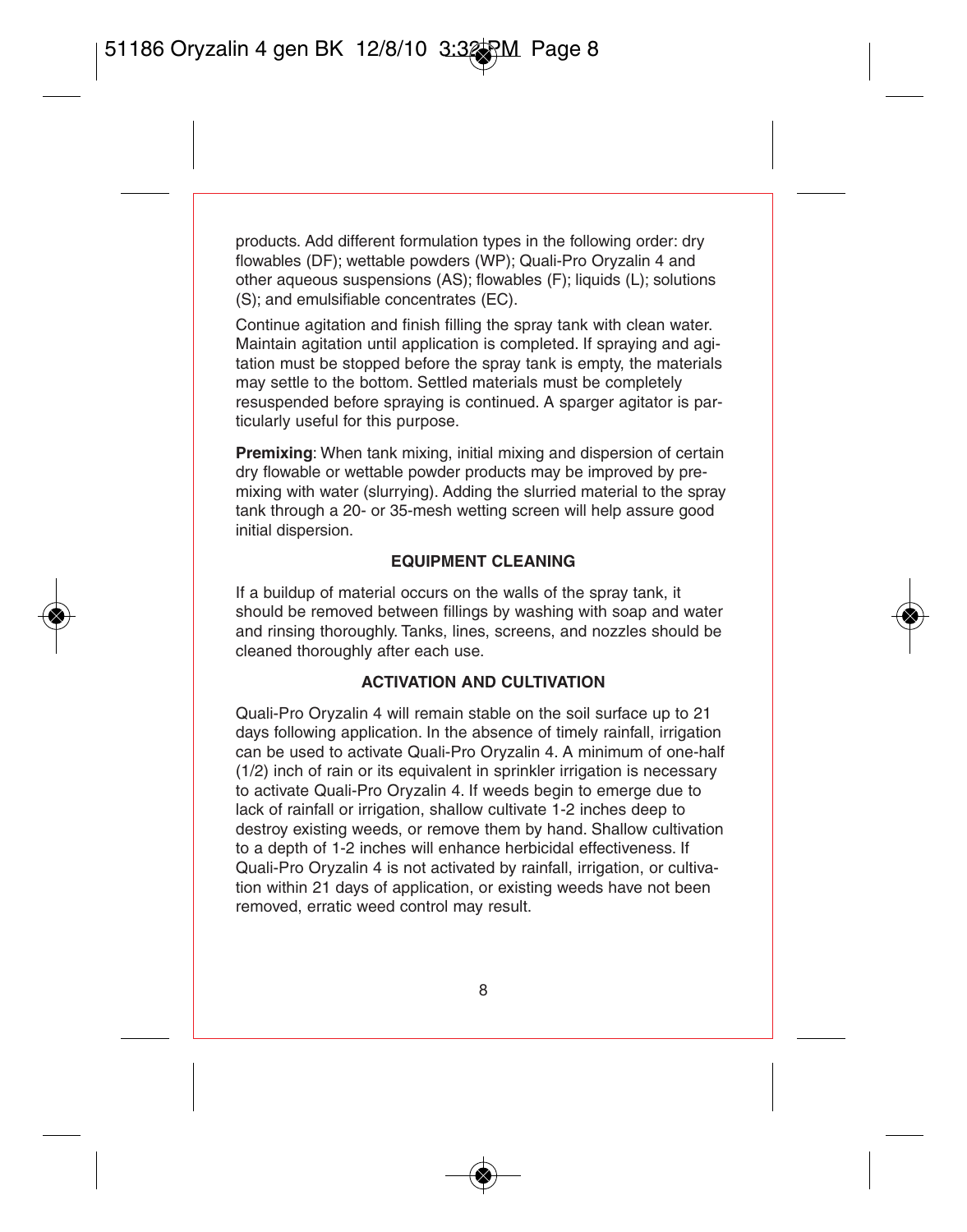products. Add different formulation types in the following order: dry flowables (DF); wettable powders (WP); Quali-Pro Oryzalin 4 and other aqueous suspensions (AS); flowables (F); liquids (L); solutions (S); and emulsifiable concentrates (EC).

Continue agitation and finish filling the spray tank with clean water. Maintain agitation until application is completed. If spraying and agitation must be stopped before the spray tank is empty, the materials may settle to the bottom. Settled materials must be completely resuspended before spraying is continued. A sparger agitator is particularly useful for this purpose.

**Premixing:** When tank mixing, initial mixing and dispersion of certain dry flowable or wettable powder products may be improved by premixing with water (slurrying). Adding the slurried material to the spray tank through a 20- or 35-mesh wetting screen will help assure good initial dispersion.

#### **EQUIPMENT CLEANING**

If a buildup of material occurs on the walls of the spray tank, it should be removed between fillings by washing with soap and water and rinsing thoroughly. Tanks, lines, screens, and nozzles should be cleaned thoroughly after each use.

#### **ACTIVATION AND CULTIVATION**

Quali-Pro Oryzalin 4 will remain stable on the soil surface up to 21 days following application. In the absence of timely rainfall, irrigation can be used to activate Quali-Pro Oryzalin 4. A minimum of one-half (1/2) inch of rain or its equivalent in sprinkler irrigation is necessary to activate Quali-Pro Oryzalin 4. If weeds begin to emerge due to lack of rainfall or irrigation, shallow cultivate 1-2 inches deep to destroy existing weeds, or remove them by hand. Shallow cultivation to a depth of 1-2 inches will enhance herbicidal effectiveness. If Quali-Pro Oryzalin 4 is not activated by rainfall, irrigation, or cultivation within 21 days of application, or existing weeds have not been removed, erratic weed control may result.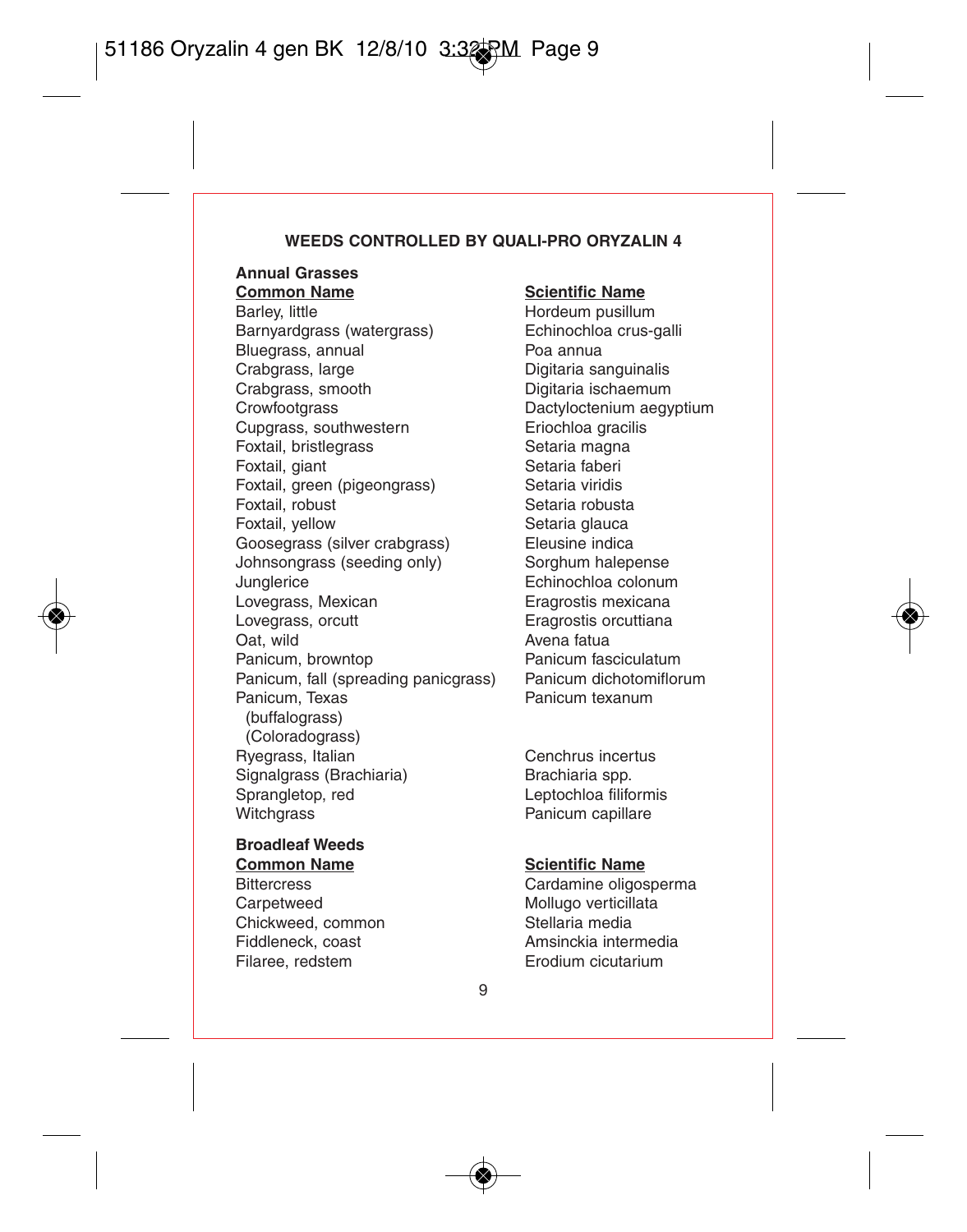#### **WEEDS CONTROLLED BY QUALI-PRO ORYZALIN 4**

# **Annual Grasses**

**Common Name**<br> **Barley little Mark Hordeum pusillur**<br> **Barley little** Barnyardgrass (watergrass) Bluegrass, annual **Poa annual**<br>Crabgrass, Iarge **Poa annual Crabgrass**, Iarge Crabgrass, large **Digitaria sanguinalis**<br>Crabgrass. smooth **Digitaria** ischaemum Crabgrass, smooth Digitaria ischaemum<br>Crowfootgrass Crabs Dactyloctenium aequ Cupgrass, southwestern execution Eriochloa gracilism Eriochloa gracilism Eriochloa gracilism Eriochloa gracili<br>Extrailism Eriochloa execution executions executions are executed by Eriochloa gracilism executions executions Foxtail, bristlegrass Setaria magn<br>
Foxtail giant<br>
Setaria faberi Foxtail, giant **Setaria faberi**<br>Foxtail green (pigeongrass) Setaria viridis Foxtail, green (pigeongrass) Setaria viridis<br>
Setaria robust<br>
Setaria robust Foxtail, robust<br>Foxtail, vellow Goosegrass (silver crabgrass) Eleusine indica<br>Johnsongrass (seeding only) Sorghum halenense Johnsongrass (seeding only)<br>Junalerice Junglerice **Echinochloa colonum**<br>
Lovegrass. Mexican **Example Example 1998** Lovegrass, Mexican **Exagrostis mexicana**<br>
Lovegrass, orcutt **Exagrostis mexicana**<br>
Eragrostis orcuttiana Oat, wild<br>
Panicum brownton<br>
Panicum brownton<br>
Panicum fasciculatum Panicum, browntop<br>
Panicum fall (spreading panicgrass) Panicum dichotomiflorum Panicum, fall (spreading panicgrass) Panicum dichotom<br>Panicum Texas Panicum texanum Panicum, Texas (buffalograss) (Coloradograss) Ryegrass, Italian (a. 2015)<br>
Signal arass (Brachiaria)<br>
Signal arass (Brachiaria) (Brachiaria spp. Signalgrass (Brachiaria)<br>Sprangletop. red Sprangletop, red 
<br>
Witchgrass

University Contains Panicum capillare

University Panicum capillare

#### **Broadleaf Weeds Common Name Scientific Name**

Carpetweed Mollugo verticillata Chickweed, common Stellaria media Filaree, redstem Erodium cicutarium

Hordeum pusillum<br>Echinochloa crus-galli Dactyloctenium aegyptium<br>Eriochloa gracilis Setaria glauca<br>Eleusine indica Eragrostis orcuttiana

Panicum capillare

Bittercress Cardamine oligosperma Fiddleneck, coast **Amsinckia** intermedia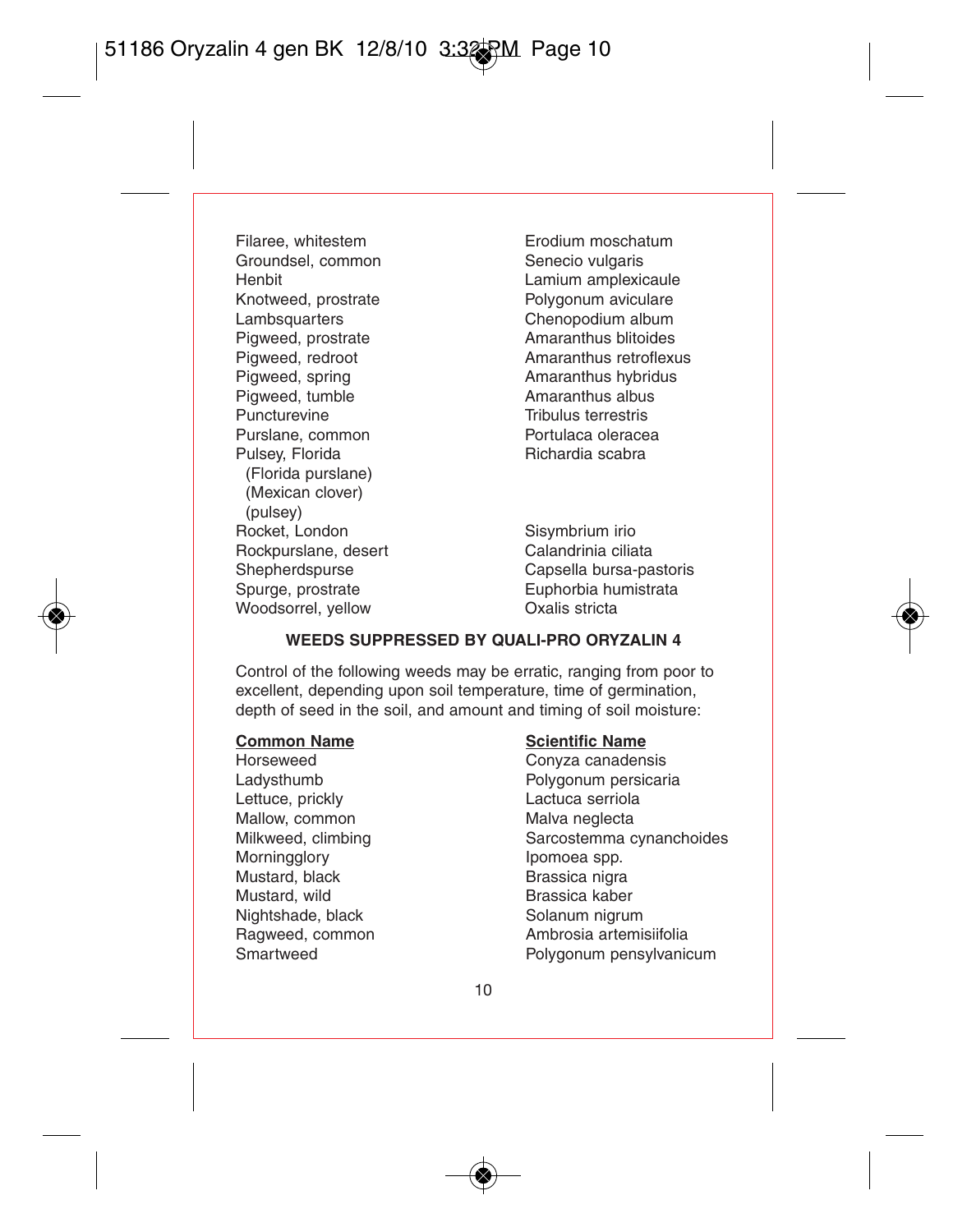Filaree, whitestem **Erodium moschatum**<br>Groundsel, common **Exercía Senecio** vulgaris Groundsel, common<br>Henbit Henbit Lamium amplexicaule Knotweed, prostrate **Polygonum aviculare**<br>
Lambsquarters
Lambsquarters
Polygonum album Pigweed, prostrate<br>Pigweed, redroot Pigweed, redroot **Amaranthus retroflexus**<br>Pigweed, spring **Amaranthus retroflexus** Pigweed, tumble<br>Puncturevine Purslane, common Portulaca olerace<br>Pulsey Florida<br>Richardia scabra Pulsey, Florida (Florida purslane) (Mexican clover) (pulsey) Rocket, London Sisymbrium irio<br>Rocknurslane desert Calandrinia ciliata Rockpurslane, desert<br>Shepherdspurse Shepherdspurse Capsella bursa-pastoris<br>
Spurge, prostrate Capsella bursa-pastoris<br>
Cuphorbia humistrata Woodsorrel, yellow

Chenopodium album<br>Amaranthus blitoides Amaranthus hybridus<br>Amaranthus albus Tribulus terrestris<br>Portulaca oleracea

Euphorbia humistrata<br>Oxalis stricta

#### **WEEDS SUPPRESSED BY QUALI-PRO ORYZALIN 4**

Control of the following weeds may be erratic, ranging from poor to excellent, depending upon soil temperature, time of germination, depth of seed in the soil, and amount and timing of soil moisture:

Lettuce, prickly Mallow, common mercurity of Malva neglecta<br>Milkweed, climbing mercurity Sarcostemma c Morningglory **Ipomoea** spp. Mustard, black Brassica nigra Mustard, wild **Brassica** kaber Nightshade, black Solanum nigrum

# **Common Name**<br> **Scientific Name**<br> **Convza canaden**

Convza canadensis Ladysthumb Polygonum persicaria<br>
Lettuce prickly extended a lactuce serriola Sarcostemma cynanchoides Ragweed, common and ambrosia artemisiifolia<br>
Smartweed Bolygonum pensylvania Polygonum pensylvanicum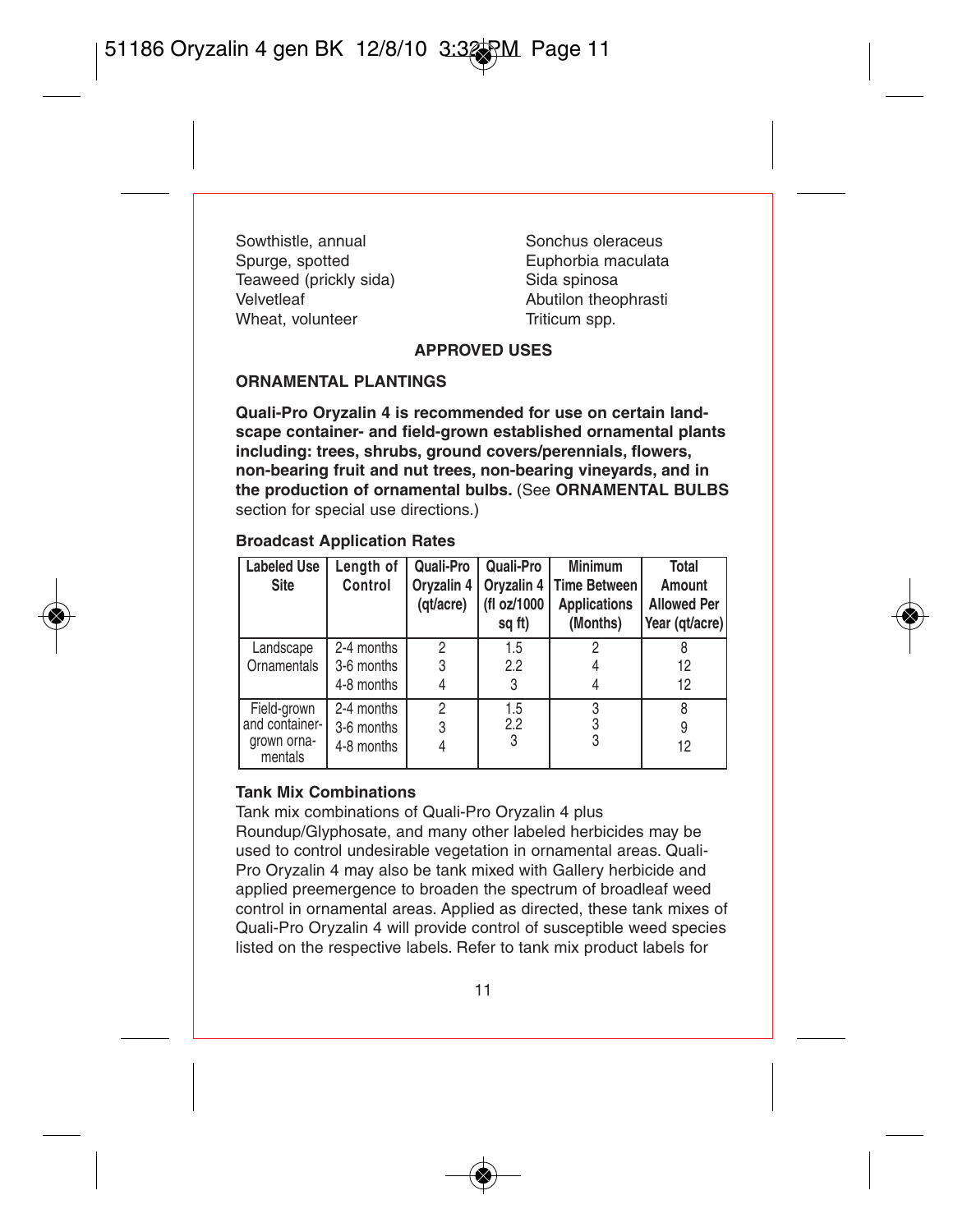Sowthistle, annual Sonchus oleraceus<br>
Sourge, spotted<br>
Surge Sourge Source Source Source Source Source Source Source Source Source Source Source Source S Teaweed (prickly sida)<br>Velvetleef Wheat, volunteer

Euphorbia maculata<br>Sida spinosa Abutilon theophrasti<br>Triticum spp.

#### **APPROVED USES**

#### **ORNAMENTAL PLANTINGS**

**Quali-Pro Oryzalin 4 is recommended for use on certain landscape container- and field-grown established ornamental plants including: trees, shrubs, ground covers/perennials, flowers, non-bearing fruit and nut trees, non-bearing vineyards, and in the production of ornamental bulbs.** (See **ORNAMENTAL BULBS** section for special use directions.)

#### **Broadcast Application Rates Labeled Use Site Length of Control Quali-Pro Oryzalin 4 Quali-Pro Oryzalin 4**

| Labeled Use<br>Site    | Lenath of<br>Control | Quali-Pro<br>(at/acre) | Quali-Pro<br>(fl oz/1000<br>sq ft) | Minimum<br>Orvzalin 4   Orvzalin 4   Time Between<br><b>Applications</b><br>(Months) | Total<br>Amount<br><b>Allowed Per</b><br>Year (qt/acre) |
|------------------------|----------------------|------------------------|------------------------------------|--------------------------------------------------------------------------------------|---------------------------------------------------------|
| Landscape              | 2-4 months           | 2                      | 1.5                                |                                                                                      |                                                         |
| Ornamentals            | 3-6 months           | 3                      | 2.2                                |                                                                                      | 12                                                      |
|                        | 4-8 months           |                        | 3                                  |                                                                                      | 12                                                      |
| Field-grown            | 2-4 months           | $\overline{c}$         | 1.5                                |                                                                                      | R                                                       |
| and container-         | 3-6 months           | 3                      | 2.2                                |                                                                                      | 9                                                       |
| grown orna-<br>mentals | 4-8 months           |                        | 3                                  | 3                                                                                    | 12                                                      |

#### **Tank Mix Combinations**

Tank mix combinations of Quali-Pro Oryzalin 4 plus

Roundup/Glyphosate, and many other labeled herbicides may be used to control undesirable vegetation in ornamental areas. Quali-Pro Oryzalin 4 may also be tank mixed with Gallery herbicide and applied preemergence to broaden the spectrum of broadleaf weed control in ornamental areas. Applied as directed, these tank mixes of Quali-Pro Oryzalin 4 will provide control of susceptible weed species listed on the respective labels. Refer to tank mix product labels for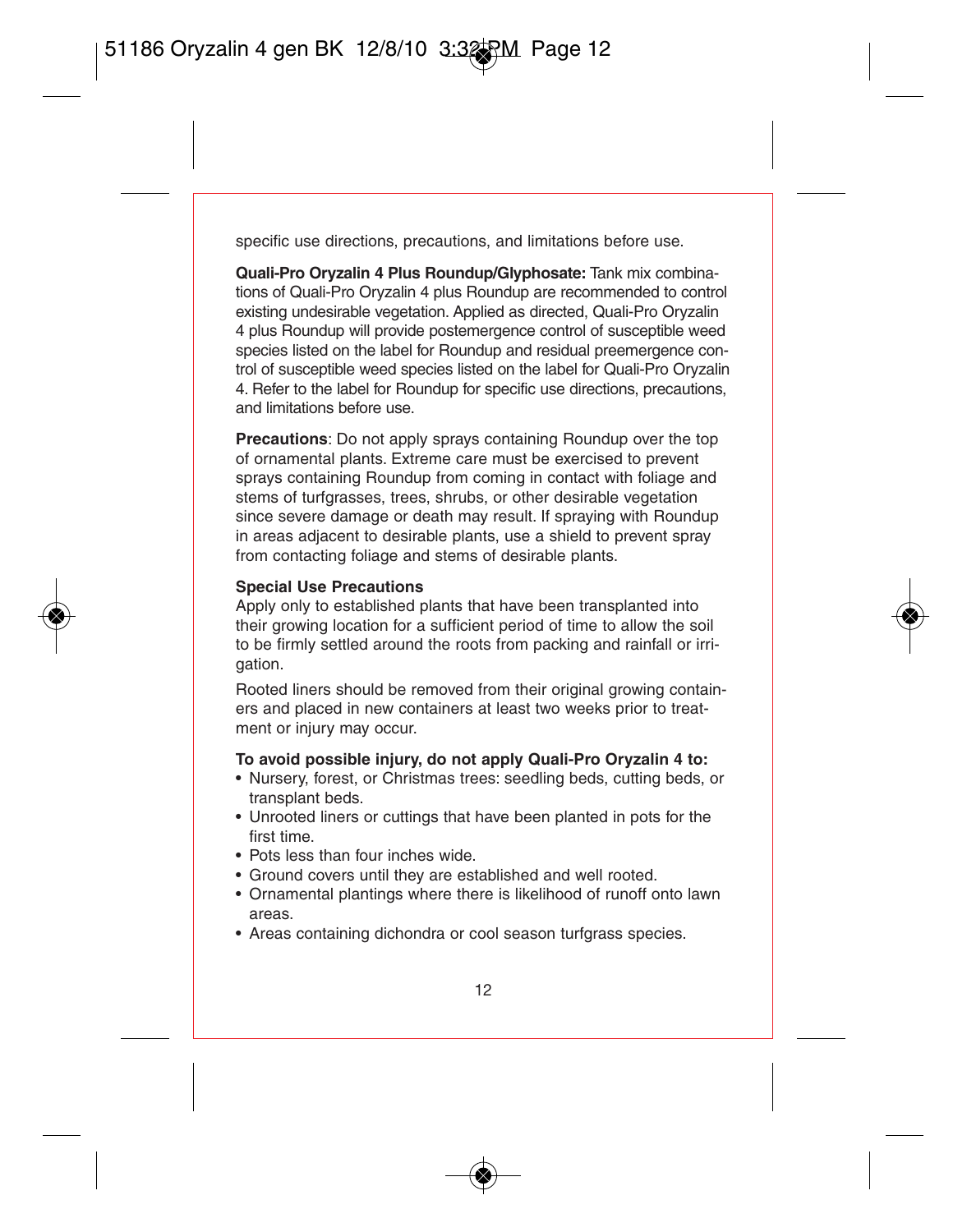specific use directions, precautions, and limitations before use.

**Quali-Pro Oryzalin 4 Plus Roundup/Glyphosate:** Tank mix combinations of Quali-Pro Oryzalin 4 plus Roundup are recommended to control existing undesirable vegetation. Applied as directed, Quali-Pro Oryzalin 4 plus Roundup will provide postemergence control of susceptible weed species listed on the label for Roundup and residual preemergence control of susceptible weed species listed on the label for Quali-Pro Oryzalin 4. Refer to the label for Roundup for specific use directions, precautions, and limitations before use.

**Precautions**: Do not apply sprays containing Roundup over the top of ornamental plants. Extreme care must be exercised to prevent sprays containing Roundup from coming in contact with foliage and stems of turfgrasses, trees, shrubs, or other desirable vegetation since severe damage or death may result. If spraying with Roundup in areas adjacent to desirable plants, use a shield to prevent spray from contacting foliage and stems of desirable plants.

#### **Special Use Precautions**

Apply only to established plants that have been transplanted into their growing location for a sufficient period of time to allow the soil to be firmly settled around the roots from packing and rainfall or irrigation.

Rooted liners should be removed from their original growing containers and placed in new containers at least two weeks prior to treatment or injury may occur.

#### **To avoid possible injury, do not apply Quali-Pro Oryzalin 4 to:**

- Nursery, forest, or Christmas trees: seedling beds, cutting beds, or transplant beds.
- Unrooted liners or cuttings that have been planted in pots for the first time.
- Pots less than four inches wide.
- Ground covers until they are established and well rooted.
- Ornamental plantings where there is likelihood of runoff onto lawn areas.
- Areas containing dichondra or cool season turfgrass species.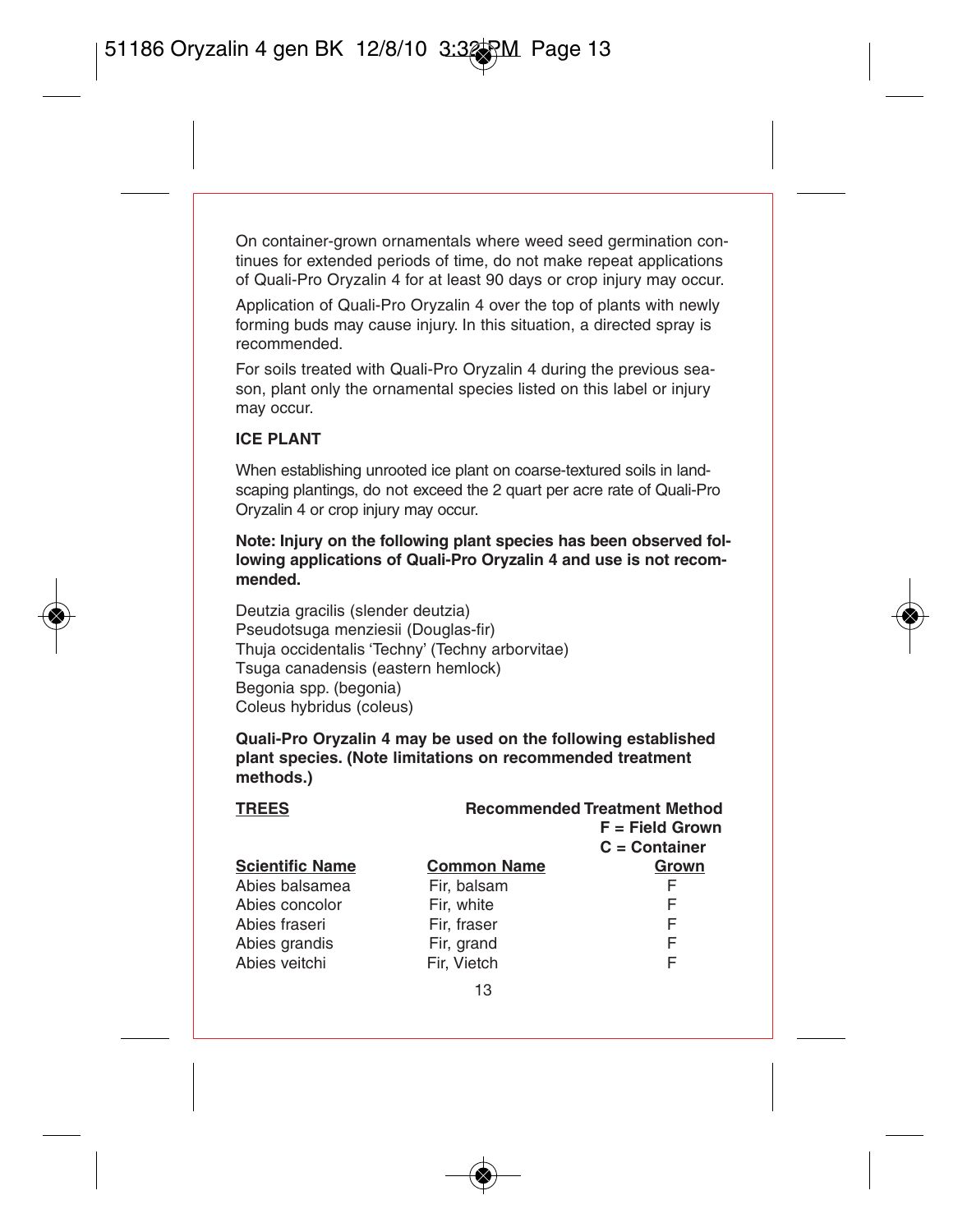On container-grown ornamentals where weed seed germination continues for extended periods of time, do not make repeat applications of Quali-Pro Oryzalin 4 for at least 90 days or crop injury may occur.

Application of Quali-Pro Oryzalin 4 over the top of plants with newly forming buds may cause injury. In this situation, a directed spray is recommended.

For soils treated with Quali-Pro Oryzalin 4 during the previous season, plant only the ornamental species listed on this label or injury may occur.

#### **ICE PLANT**

When establishing unrooted ice plant on coarse-textured soils in landscaping plantings, do not exceed the 2 quart per acre rate of Quali-Pro Oryzalin 4 or crop injury may occur.

**Note: Injury on the following plant species has been observed following applications of Quali-Pro Oryzalin 4 and use is not recommended.**

Deutzia gracilis (slender deutzia) Pseudotsuga menziesii (Douglas-fir) Thuja occidentalis 'Techny' (Techny arborvitae) Tsuga canadensis (eastern hemlock) Begonia spp. (begonia) Coleus hybridus (coleus)

**Quali-Pro Oryzalin 4 may be used on the following established plant species. (Note limitations on recommended treatment methods.)**

| <b>TREES</b>           | <b>Recommended Treatment Method</b><br>$F = Field Grown$<br>$C =$ Container |       |
|------------------------|-----------------------------------------------------------------------------|-------|
| <b>Scientific Name</b> | <b>Common Name</b>                                                          | Grown |
| Abies balsamea         | Fir. balsam                                                                 | F     |
| Abies concolor         | Fir. white                                                                  | F     |
| Abies fraseri          | Fir. fraser                                                                 | F     |
| Abies grandis          | Fir, grand                                                                  | F     |
| Abies veitchi          | Fir. Vietch                                                                 | F     |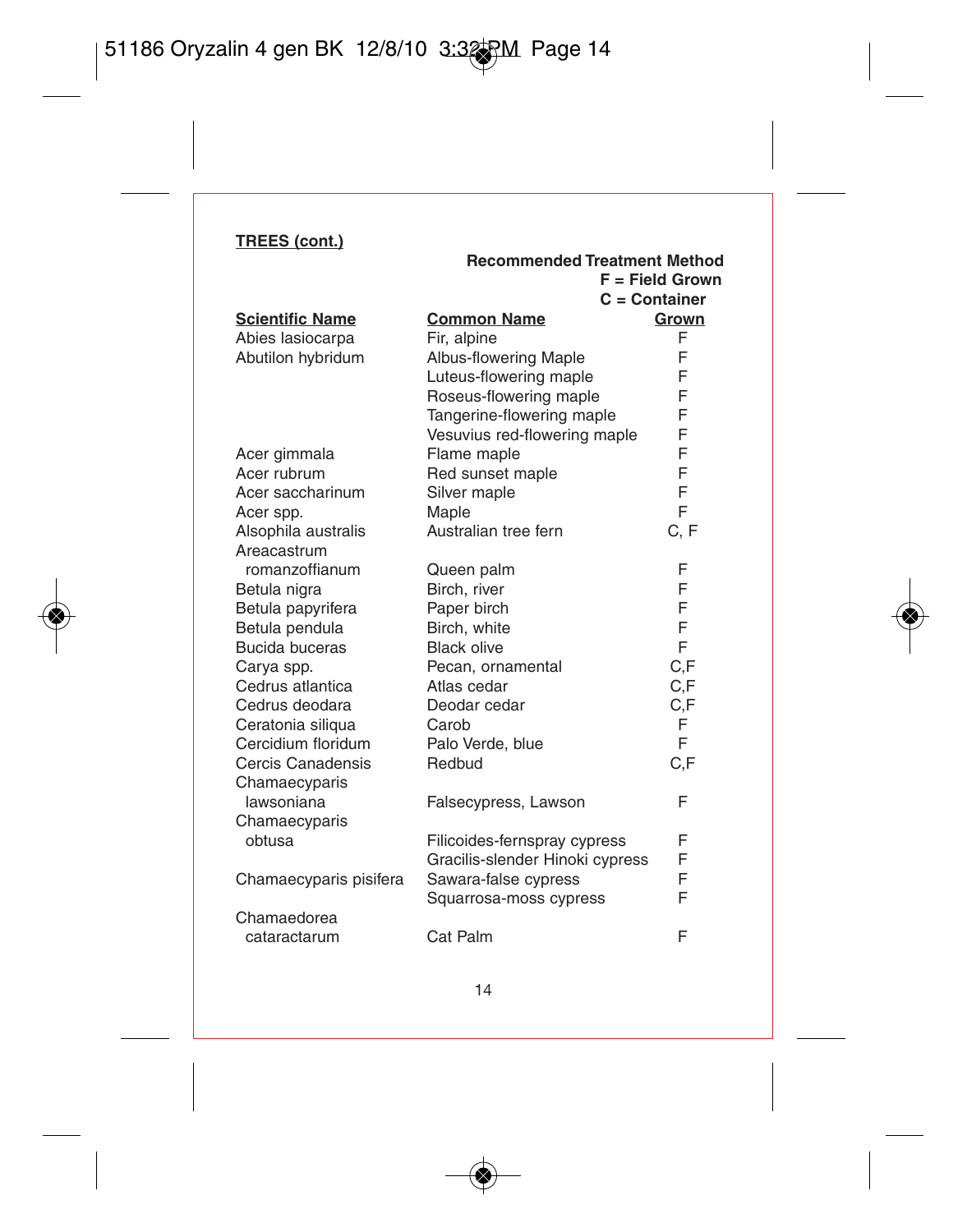|                        | Recommended Treatment Method    |                   |
|------------------------|---------------------------------|-------------------|
|                        |                                 | $F = Field Grown$ |
|                        |                                 | $C =$ Container   |
| <b>Scientific Name</b> | <b>Common Name</b>              | Grown             |
| Abies lasiocarpa       | Fir, alpine                     | F                 |
| Abutilon hybridum      | Albus-flowering Maple           | F                 |
|                        | Luteus-flowering maple          | F                 |
|                        | Roseus-flowering maple          | F                 |
|                        | Tangerine-flowering maple       | F                 |
|                        | Vesuvius red-flowering maple    | F                 |
| Acer gimmala           | Flame maple                     | F                 |
| Acer rubrum            | Red sunset maple                | F                 |
| Acer saccharinum       | Silver maple                    | F                 |
| Acer spp.              | Maple                           | F                 |
| Alsophila australis    | Australian tree fern            | C.F               |
| Areacastrum            |                                 |                   |
| romanzoffianum         | Queen palm                      | F                 |
| Betula nigra           | Birch, river                    | F                 |
| Betula papyrifera      | Paper birch                     | F                 |
| Betula pendula         | Birch, white                    | F                 |
| Bucida buceras         | <b>Black olive</b>              | F                 |
| Carya spp.             | Pecan, ornamental               | C.F               |
| Cedrus atlantica       | Atlas cedar                     | C.F               |
| Cedrus deodara         | Deodar cedar                    | C.F               |
| Ceratonia siliqua      | Carob                           | F                 |
| Cercidium floridum     | Palo Verde, blue                | F                 |
| Cercis Canadensis      | Redbud                          | C.F               |
| Chamaecyparis          |                                 |                   |
| lawsoniana             | Falsecypress, Lawson            | F                 |
| Chamaecyparis          |                                 |                   |
| obtusa                 | Filicoides-fernspray cypress    | F                 |
|                        | Gracilis-slender Hinoki cypress | F                 |
| Chamaecyparis pisifera | Sawara-false cypress            | F                 |
|                        | Squarrosa-moss cypress          | F                 |
| Chamaedorea            |                                 |                   |
| cataractarum           | Cat Palm                        | F                 |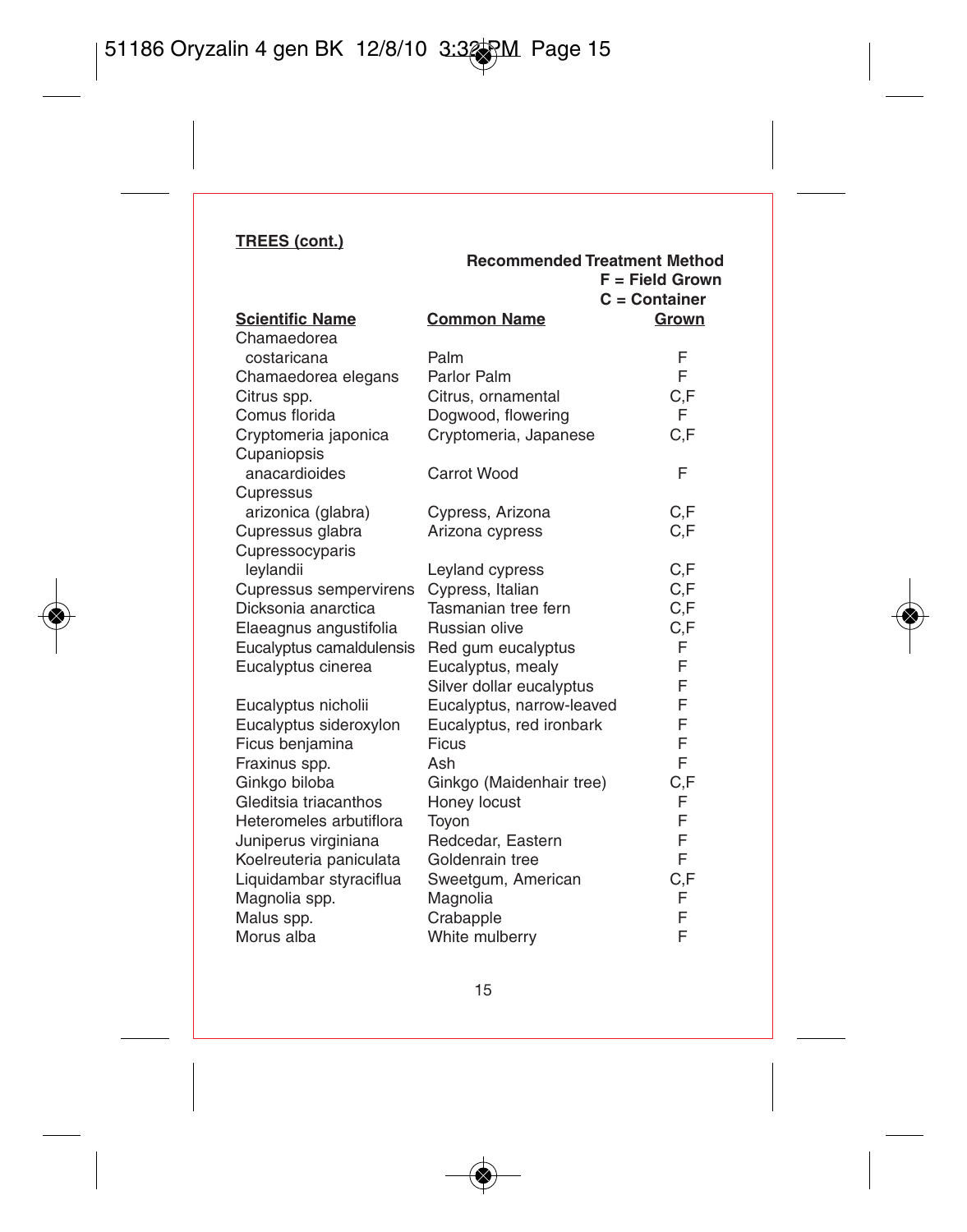|                          | Recommended Treatment Method | $F = Field Grown$<br>$C =$ Container |
|--------------------------|------------------------------|--------------------------------------|
| <b>Scientific Name</b>   | <b>Common Name</b>           | Grown                                |
| Chamaedorea              |                              |                                      |
| costaricana              | Palm                         | F                                    |
| Chamaedorea elegans      | Parlor Palm                  | F                                    |
| Citrus spp.              | Citrus, ornamental           | C,F                                  |
| Comus florida            | Dogwood, flowering           | F                                    |
| Cryptomeria japonica     | Cryptomeria, Japanese        | C.F                                  |
| Cupaniopsis              |                              |                                      |
| anacardioides            | Carrot Wood                  | F                                    |
| Cupressus                |                              |                                      |
| arizonica (glabra)       | Cypress, Arizona             | C,F                                  |
| Cupressus glabra         | Arizona cypress              | C.F                                  |
| Cupressocyparis          |                              |                                      |
| leylandii                | Leyland cypress              | C,F                                  |
| Cupressus sempervirens   | Cypress, Italian             | C, F                                 |
| Dicksonia anarctica      | Tasmanian tree fern          | C, F                                 |
| Elaeagnus angustifolia   | Russian olive                | C,F                                  |
| Eucalyptus camaldulensis | Red gum eucalyptus           | F                                    |
| Eucalyptus cinerea       | Eucalyptus, mealy            | F                                    |
|                          | Silver dollar eucalyptus     | F                                    |
| Eucalyptus nicholii      | Eucalyptus, narrow-leaved    | F                                    |
| Eucalyptus sideroxylon   | Eucalyptus, red ironbark     | F                                    |
| Ficus benjamina          | Ficus                        | F                                    |
| Fraxinus spp.            | Ash                          | F                                    |
| Ginkgo biloba            | Ginkgo (Maidenhair tree)     | C,F                                  |
| Gleditsia triacanthos    | Honey locust                 | F                                    |
| Heteromeles arbutiflora  | Toyon                        | F                                    |
| Juniperus virginiana     | Redcedar, Eastern            | F                                    |
| Koelreuteria paniculata  | Goldenrain tree              | F                                    |
| Liquidambar styraciflua  | Sweetgum, American           | C,F                                  |
| Magnolia spp.            | Magnolia                     | F<br>F                               |
| Malus spp.               | Crabapple                    | F                                    |
| Morus alba               | White mulberry               |                                      |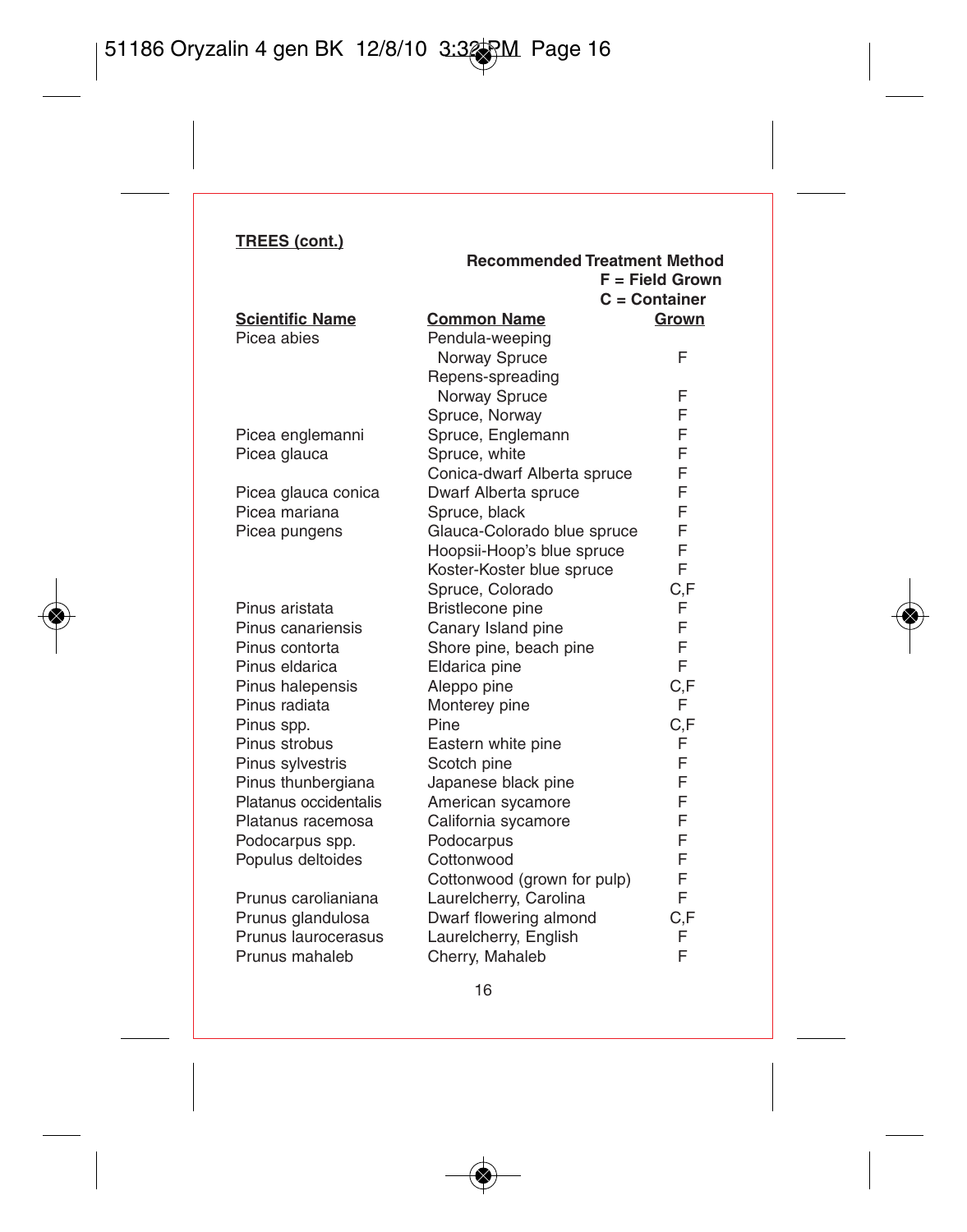|                        | Recommended Treatment Method |                   |
|------------------------|------------------------------|-------------------|
|                        |                              | $F = Field Grown$ |
|                        |                              | $C =$ Container   |
| <b>Scientific Name</b> | <b>Common Name</b>           | Grown             |
| Picea abies            | Pendula-weeping              |                   |
|                        | Norway Spruce                | F                 |
|                        | Repens-spreading             |                   |
|                        | Norway Spruce                | F                 |
|                        | Spruce, Norway               | F                 |
| Picea englemanni       | Spruce, Englemann            | F                 |
| Picea glauca           | Spruce, white                | F                 |
|                        | Conica-dwarf Alberta spruce  | F                 |
| Picea glauca conica    | Dwarf Alberta spruce         | F                 |
| Picea mariana          | Spruce, black                | F                 |
| Picea pungens          | Glauca-Colorado blue spruce  | F                 |
|                        | Hoopsii-Hoop's blue spruce   | F                 |
|                        | Koster-Koster blue spruce    | F                 |
|                        | Spruce, Colorado             | C,F               |
| Pinus aristata         | Bristlecone pine             | F                 |
| Pinus canariensis      | Canary Island pine           | F                 |
| Pinus contorta         | Shore pine, beach pine       | F                 |
| Pinus eldarica         | Eldarica pine                | F                 |
| Pinus halepensis       | Aleppo pine                  | C,F               |
| Pinus radiata          | Monterey pine                | F                 |
| Pinus spp.             | Pine                         | C,F               |
| Pinus strobus          | Eastern white pine           | F                 |
| Pinus sylvestris       | Scotch pine                  | F                 |
| Pinus thunbergiana     | Japanese black pine          | F                 |
| Platanus occidentalis  | American sycamore            | F                 |
| Platanus racemosa      | California sycamore          | F                 |
| Podocarpus spp.        | Podocarpus                   | F                 |
| Populus deltoides      | Cottonwood                   | F                 |
|                        | Cottonwood (grown for pulp)  | F                 |
| Prunus carolianiana    | Laurelcherry, Carolina       | F                 |
| Prunus glandulosa      | Dwarf flowering almond       | C,F               |
| Prunus laurocerasus    | Laurelcherry, English        | F                 |
| Prunus mahaleb         | Cherry, Mahaleb              | F                 |

 $\sim$   $-$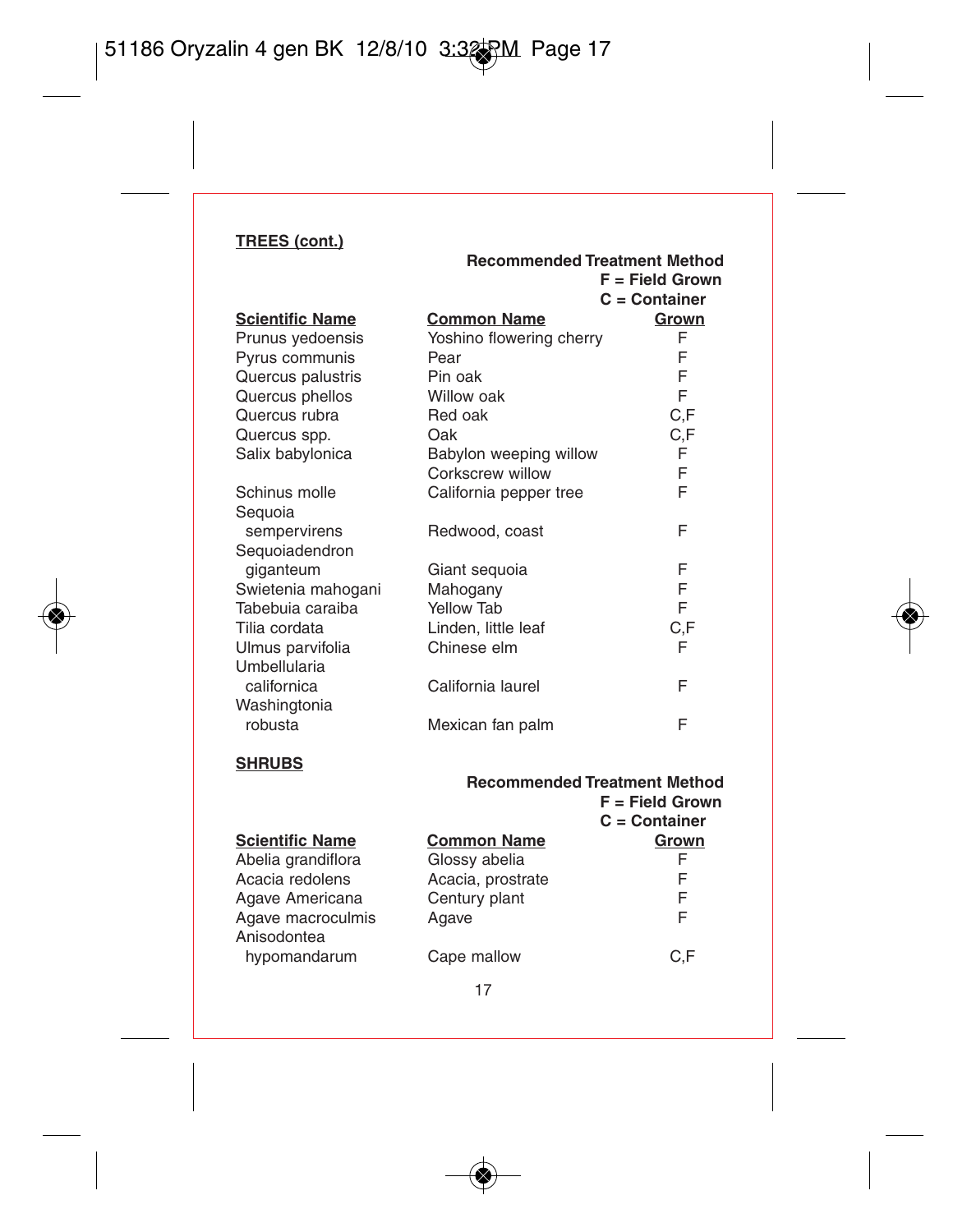| Recommended Treatment Method |                          |                   |
|------------------------------|--------------------------|-------------------|
|                              |                          | $F =$ Field Grown |
|                              |                          | $C =$ Container   |
| <b>Scientific Name</b>       | <b>Common Name</b>       | Grown             |
| Prunus yedoensis             | Yoshino flowering cherry | F                 |
| Pyrus communis               | Pear                     | F                 |
| Quercus palustris            | Pin oak                  | F                 |
| Quercus phellos              | Willow oak               | F                 |
| Quercus rubra                | Red oak                  | C.F               |
| Quercus spp.                 | Oak                      | C.F               |
| Salix babylonica             | Babylon weeping willow   | F                 |
|                              | Corkscrew willow         | F                 |
| Schinus molle                | California pepper tree   | F                 |
| Seguoia                      |                          |                   |
| sempervirens                 | Redwood, coast           | F                 |
| Sequoiadendron               |                          |                   |
| giganteum                    | Giant sequoia            | F                 |
| Swietenia mahogani           | Mahogany                 | F                 |
| Tabebuia caraiba             | Yellow Tab               | F                 |
| Tilia cordata                | Linden, little leaf      | C,F               |
| Ulmus parvifolia             | Chinese elm              | F                 |
| Umbellularia                 |                          |                   |
| californica                  | California laurel        | F                 |
| Washingtonia                 |                          |                   |
| robusta                      | Mexican fan palm         | F                 |

## **SHRUBS**

|                        | <b>Recommended Treatment Method</b><br>$F = Field Grown$<br>$C =$ Container |       |  |
|------------------------|-----------------------------------------------------------------------------|-------|--|
| <b>Scientific Name</b> | <b>Common Name</b>                                                          | Grown |  |
| Abelia grandiflora     | Glossy abelia                                                               | F     |  |
| Acacia redolens        | Acacia, prostrate                                                           | F     |  |
| Agave Americana        | Century plant                                                               | F     |  |
| Agave macroculmis      | Agave                                                                       | F     |  |
| Anisodontea            |                                                                             |       |  |
| hypomandarum           | Cape mallow                                                                 | C.F   |  |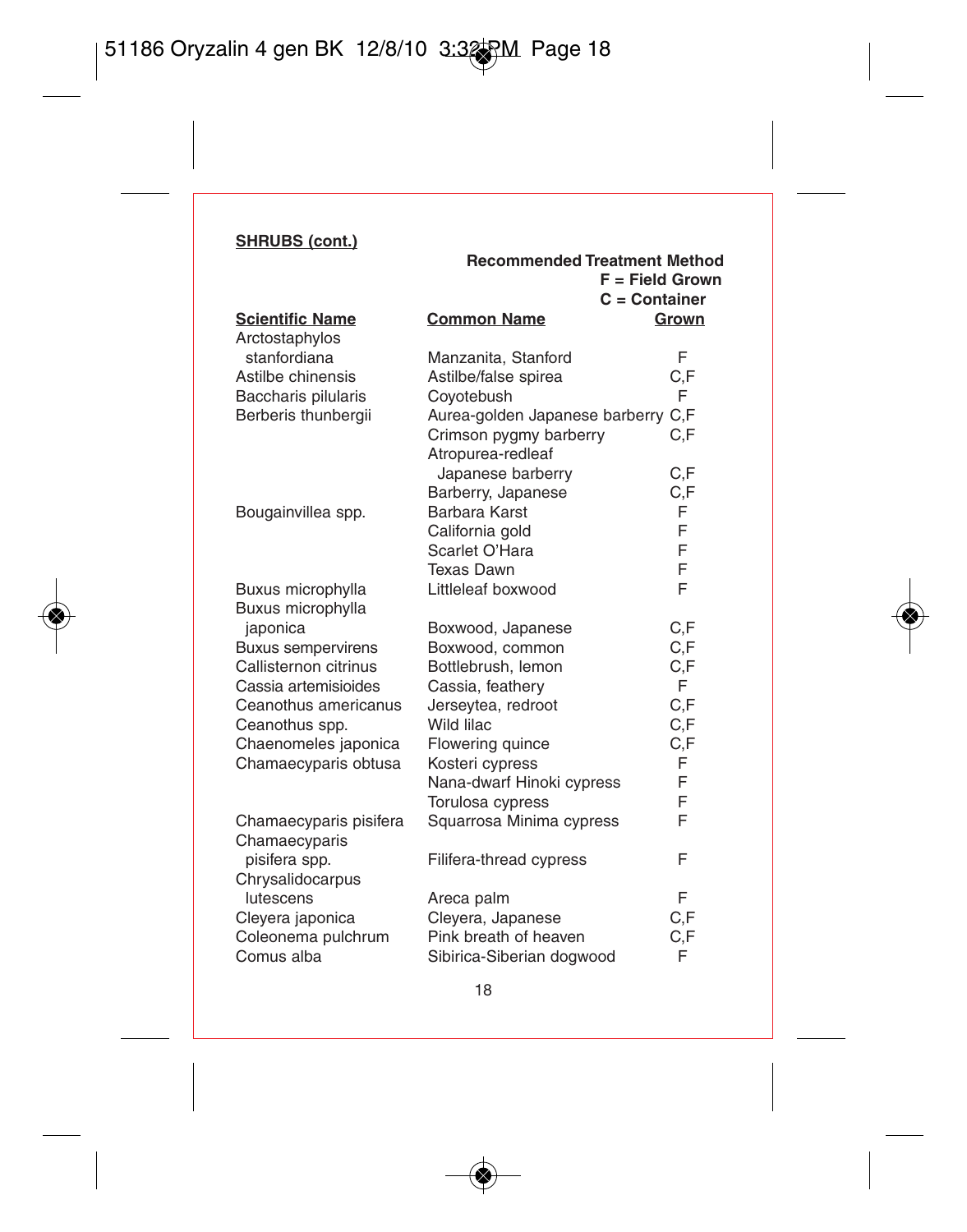|                           | <b>Recommended Treatment Method</b> |                   |
|---------------------------|-------------------------------------|-------------------|
|                           |                                     | $F =$ Field Grown |
|                           |                                     | $C =$ Container   |
| <b>Scientific Name</b>    | <b>Common Name</b>                  | Grown             |
| Arctostaphylos            |                                     |                   |
| stanfordiana              | Manzanita, Stanford                 | F                 |
| Astilbe chinensis         | Astilbe/false spirea                | C.F               |
| Baccharis pilularis       | Coyotebush                          | F                 |
| Berberis thunbergii       | Aurea-golden Japanese barberry      | C.F               |
|                           | Crimson pygmy barberry              | C.F               |
|                           | Atropurea-redleaf                   |                   |
|                           | Japanese barberry                   | C,F               |
|                           | Barberry, Japanese                  | C,F               |
| Bougainvillea spp.        | Barbara Karst                       | F                 |
|                           | California gold                     | F                 |
|                           | Scarlet O'Hara                      | F                 |
|                           | <b>Texas Dawn</b>                   | F                 |
| Buxus microphylla         | Littleleaf boxwood                  | F                 |
| Buxus microphylla         |                                     |                   |
| japonica                  | Boxwood, Japanese                   | C.F               |
| <b>Buxus sempervirens</b> | Boxwood, common                     | C.F               |
| Callisternon citrinus     | Bottlebrush, lemon                  | C,F               |
| Cassia artemisioides      | Cassia, feathery                    | F.                |
| Ceanothus americanus      | Jerseytea, redroot                  | C.F               |
| Ceanothus spp.            | Wild lilac                          | C,F               |
| Chaenomeles japonica      | Flowering quince                    | C,F               |
| Chamaecyparis obtusa      | Kosteri cypress                     | F                 |
|                           | Nana-dwarf Hinoki cypress           | F                 |
|                           | Torulosa cypress                    | F                 |
| Chamaecyparis pisifera    | Squarrosa Minima cypress            | F                 |
| Chamaecyparis             |                                     |                   |
| pisifera spp.             | Filifera-thread cypress             | F                 |
| Chrysalidocarpus          |                                     |                   |
| lutescens                 | Areca palm                          | F                 |
| Cleyera japonica          | Cleyera, Japanese                   | C.F               |
| Coleonema pulchrum        | Pink breath of heaven               | C.F               |
| Comus alba                | Sibirica-Siberian dogwood           | F                 |
|                           |                                     |                   |

 $\overline{\phantom{a}}$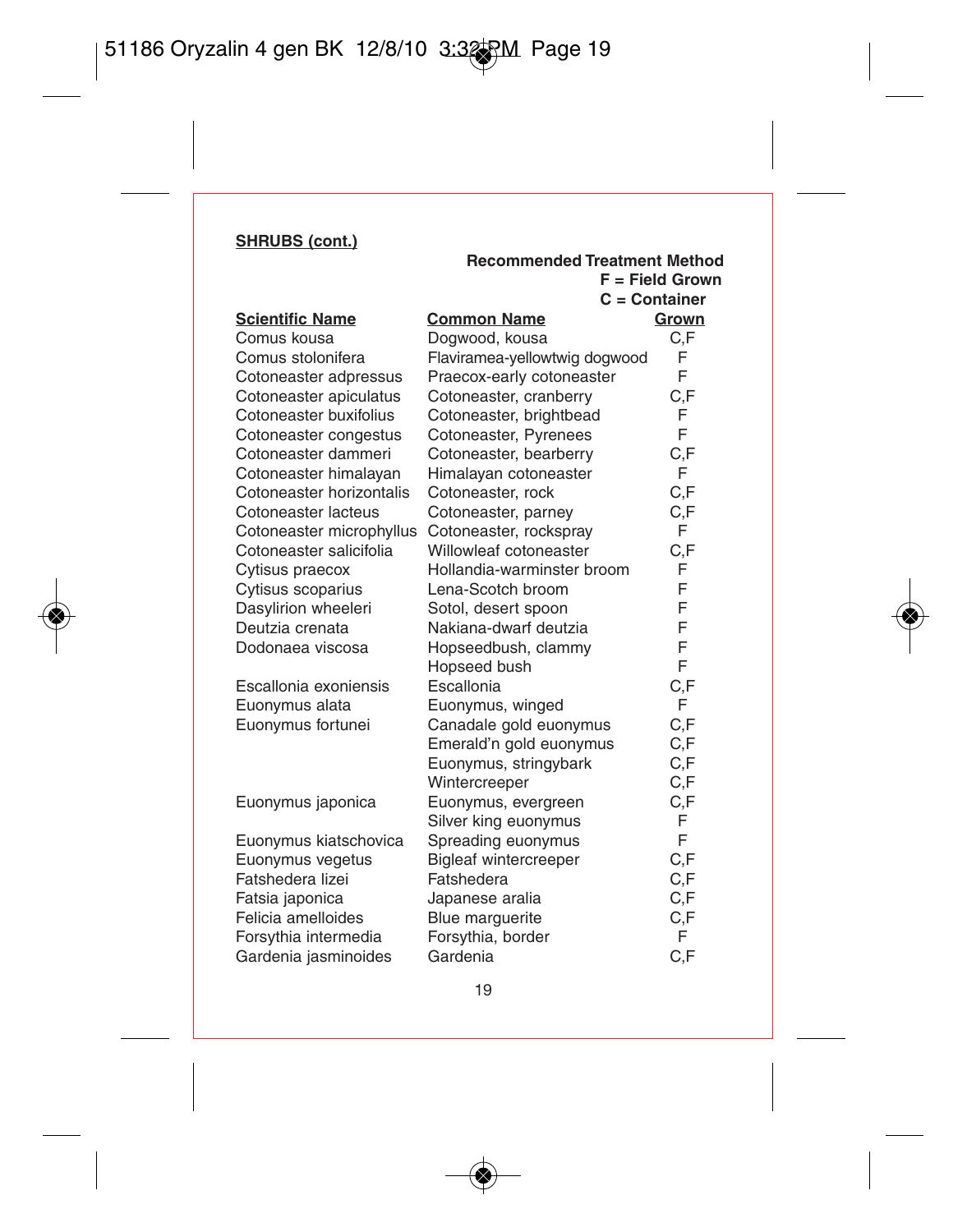|                          | <b>Recommended Treatment Method</b> | $F = Field Grown$<br>C = Container |
|--------------------------|-------------------------------------|------------------------------------|
| <b>Scientific Name</b>   | <b>Common Name</b>                  | Grown                              |
| Comus kousa              | Dogwood, kousa                      | C,F                                |
| Comus stolonifera        | Flaviramea-yellowtwig dogwood       | F                                  |
| Cotoneaster adpressus    | Praecox-early cotoneaster           | F                                  |
| Cotoneaster apiculatus   | Cotoneaster, cranberry              | C,F                                |
| Cotoneaster buxifolius   | Cotoneaster, brightbead             | F                                  |
| Cotoneaster congestus    | Cotoneaster, Pyrenees               | F                                  |
| Cotoneaster dammeri      | Cotoneaster, bearberry              | C,F                                |
| Cotoneaster himalayan    | Himalayan cotoneaster               | F                                  |
| Cotoneaster horizontalis | Cotoneaster, rock                   | C.F                                |
| Cotoneaster lacteus      | Cotoneaster, parney                 | C,F                                |
| Cotoneaster microphyllus | Cotoneaster, rockspray              | F                                  |
| Cotoneaster salicifolia  | Willowleaf cotoneaster              | C,F                                |
| Cytisus praecox          | Hollandia-warminster broom          | F                                  |
| Cytisus scoparius        | Lena-Scotch broom                   | F                                  |
| Dasylirion wheeleri      | Sotol, desert spoon                 | F                                  |
| Deutzia crenata          | Nakiana-dwarf deutzia               | F                                  |
| Dodonaea viscosa         | Hopseedbush, clammy                 | F                                  |
|                          | Hopseed bush                        | F                                  |
| Escallonia exoniensis    | Escallonia                          | C,F                                |
| Euonymus alata           | Euonymus, winged                    | F                                  |
| Euonymus fortunei        | Canadale gold euonymus              | C.F                                |
|                          | Emerald'n gold euonymus             | C,F                                |
|                          | Euonymus, stringybark               | C.F                                |
|                          | Wintercreeper                       | C,F                                |
| Euonymus japonica        | Euonymus, evergreen                 | C,F                                |
|                          | Silver king euonymus                | F                                  |
| Euonymus kiatschovica    | Spreading euonymus                  | F                                  |
| Euonymus vegetus         | <b>Bigleaf wintercreeper</b>        | C,F                                |
| Fatshedera lizei         | Fatshedera                          | C,F                                |
| Fatsia japonica          | Japanese aralia                     | C,F                                |
| Felicia amelloides       | Blue marguerite                     | C,F                                |
| Forsythia intermedia     | Forsythia, border                   | F                                  |
| Gardenia jasminoides     | Gardenia                            | C,F                                |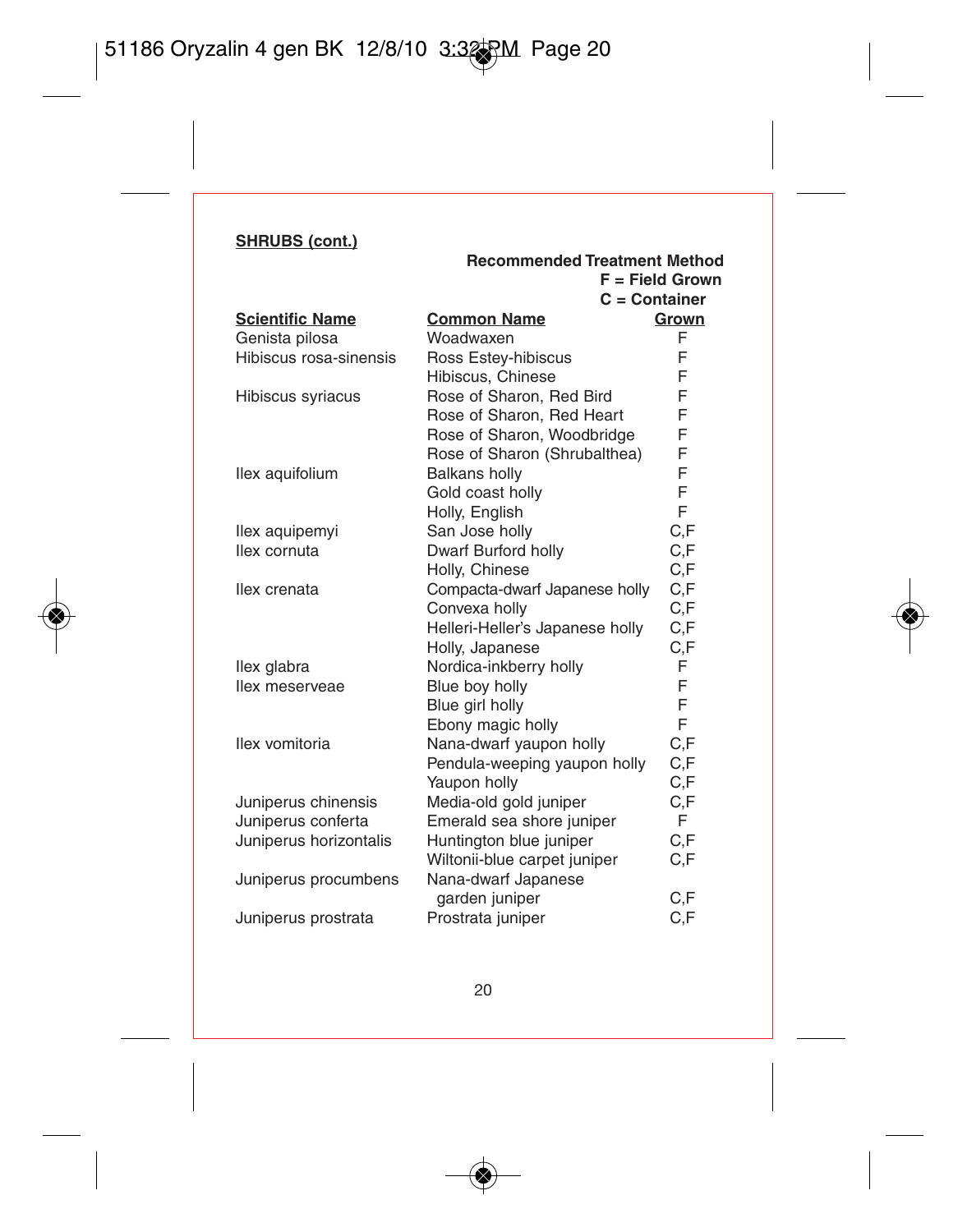|                        | <b>Recommended Treatment Method</b> |                   |
|------------------------|-------------------------------------|-------------------|
|                        |                                     | $F = Field Grown$ |
|                        | $C =$ Container                     |                   |
| <b>Scientific Name</b> | <b>Common Name</b>                  | Grown             |
| Genista pilosa         | Woadwaxen                           | F                 |
| Hibiscus rosa-sinensis | Ross Estey-hibiscus                 | F                 |
|                        | Hibiscus, Chinese                   | F                 |
| Hibiscus syriacus      | Rose of Sharon, Red Bird            | F                 |
|                        | Rose of Sharon, Red Heart           | F                 |
|                        | Rose of Sharon, Woodbridge          | F                 |
|                        | Rose of Sharon (Shrubalthea)        | F                 |
| llex aquifolium        | <b>Balkans holly</b>                | F                 |
|                        | Gold coast holly                    | F                 |
|                        | Holly, English                      | F                 |
| llex aquipemyi         | San Jose holly                      | C,F               |
| llex cornuta           | Dwarf Burford holly                 | C.F               |
|                        | Holly, Chinese                      | C.F               |
| llex crenata           | Compacta-dwarf Japanese holly       | C.F               |
|                        | Convexa holly                       | C,F               |
|                        | Helleri-Heller's Japanese holly     | C,F               |
|                        | Holly, Japanese                     | C,F               |
| llex glabra            | Nordica-inkberry holly              | F                 |
| llex meserveae         | Blue boy holly                      | F                 |
|                        | Blue girl holly                     | F                 |
|                        | Ebony magic holly                   | F                 |
| llex vomitoria         | Nana-dwarf yaupon holly             | C.F               |
|                        | Pendula-weeping yaupon holly        | C,F               |
|                        | Yaupon holly                        | C,F               |
| Juniperus chinensis    | Media-old gold juniper              | C,F               |
| Juniperus conferta     | Emerald sea shore juniper           | F.                |
| Juniperus horizontalis | Huntington blue juniper             | C.F               |
|                        | Wiltonii-blue carpet juniper        | C.F               |
| Juniperus procumbens   | Nana-dwarf Japanese                 |                   |
|                        | garden juniper                      | C,F               |
| Juniperus prostrata    | Prostrata juniper                   | C,F               |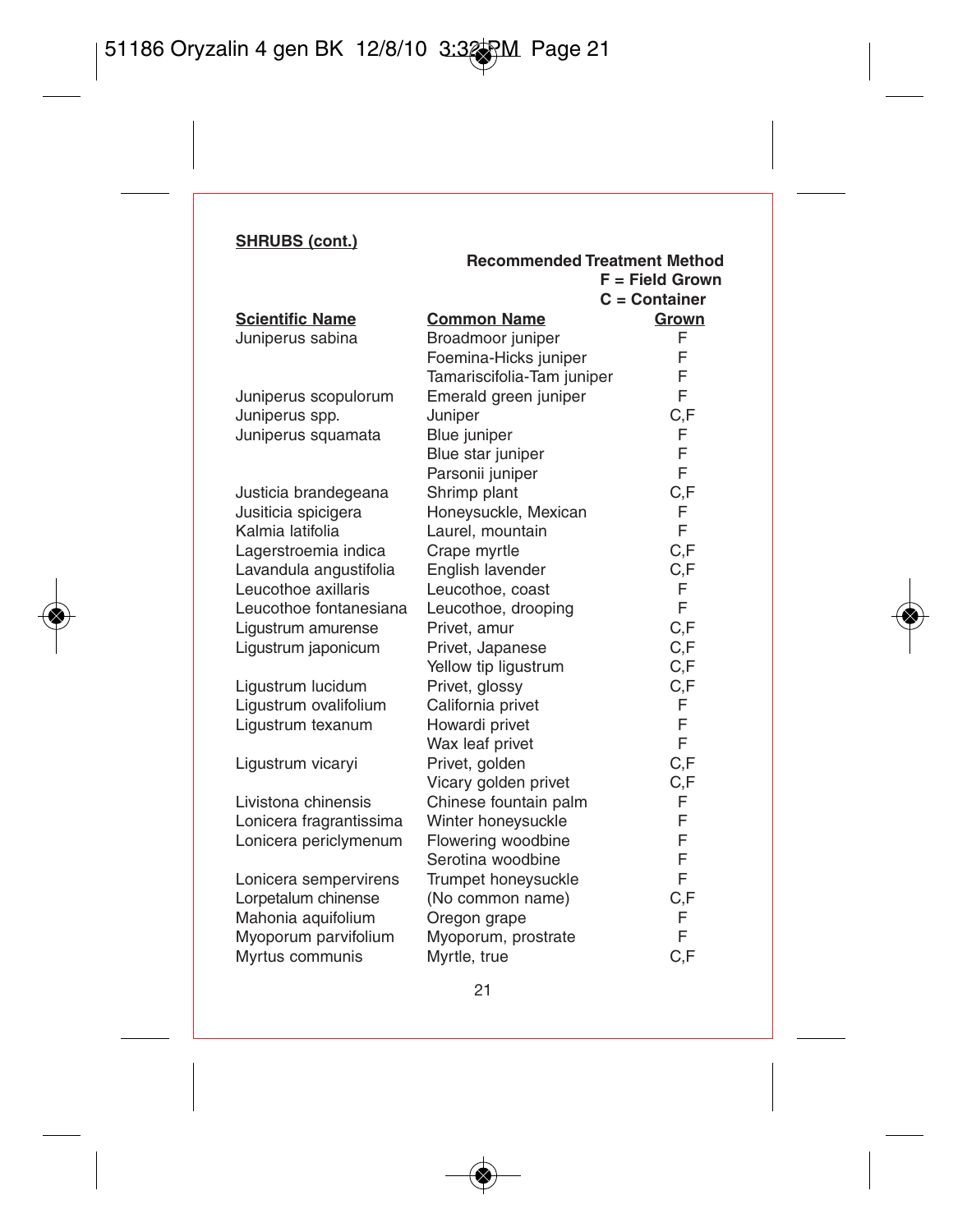**Scientific Name** 

Juniperus sabina

Juniperus scopulorum Juniperus spp. Juniperus squamata

Justicia brandegeana Jusiticia spicigera Kalmia latifolia Lagerstroemia indica Lavandula angustifolia Leucothoe axillaris Leucothoe fontanesiana Leucothoe, drooping F Ligustrum amurense Ligustrum japonicum

Ligustrum lucidum Ligustrum ovalifolium Ligustrum texanum

Ligustrum vicaryi

Livistona chinensis Lonicera fragrantissima Lonicera periclymenum

Lonicera sempervirens Lorpetalum chinense Mahonia aquifolium Myoporum parvifolium Myrtus communis

|                                  | $F = Field Grown$ |
|----------------------------------|-------------------|
|                                  | $C =$ Container   |
| <b>Common Name</b>               | Grown             |
| Broadmoor juniper                | F                 |
| Foemina-Hicks juniper            | F                 |
| Tamariscifolia-Tam juniper       | F                 |
| Emerald green juniper            | F                 |
| Juniper                          | C,F               |
| Blue juniper                     | F                 |
| Blue star juniper                | F                 |
| Parsonii juniper                 | F                 |
| Shrimp plant                     | C,F               |
| Honeysuckle, Mexican             | F                 |
| Laurel, mountain                 | F                 |
| Crape myrtle                     | C,F               |
| English lavender                 | C,F               |
| Leucothoe, coast                 | F                 |
| Leucothoe, drooping              | F                 |
| Privet, amur                     | C,F               |
| Privet, Japanese                 | C,F               |
| Yellow tip liqustrum             | C,F               |
| Privet, glossy                   | C,F               |
| California privet                | F                 |
| Howardi privet                   | F<br>F            |
| Wax leaf privet                  |                   |
| Privet, golden                   | C,F               |
| Vicary golden privet             | C,F               |
| Chinese fountain palm            | F<br>F            |
| Winter honeysuckle               | F                 |
| Flowering woodbine               | F                 |
| Serotina woodbine                | F                 |
| Trumpet honeysuckle              | C,F               |
| (No common name)<br>Oregon grape | F                 |
| Myoporum, prostrate              | F                 |
| Myrtle, true                     | C.F               |
|                                  |                   |

**Recommended Treatment Method**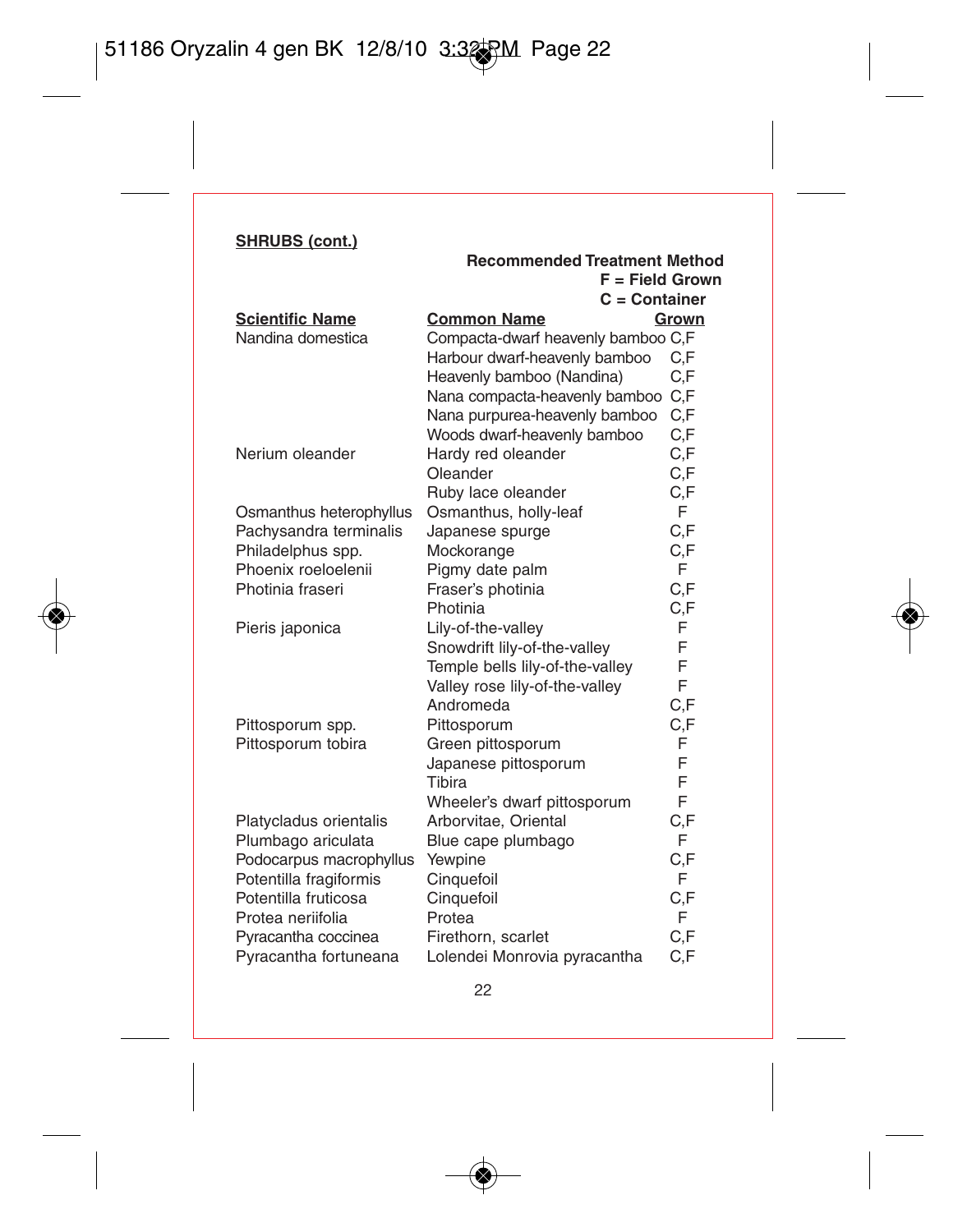|                         | Recommended Treatment Method       |       |
|-------------------------|------------------------------------|-------|
|                         | $F = Field Grown$                  |       |
|                         | $C =$ Container                    |       |
| <b>Scientific Name</b>  | <b>Common Name</b>                 | Grown |
| Nandina domestica       | Compacta-dwarf heavenly bamboo C,F |       |
|                         | Harbour dwarf-heavenly bamboo      | C.F   |
|                         | Heavenly bamboo (Nandina)          | C.F   |
|                         | Nana compacta-heavenly bamboo      | C.F   |
|                         | Nana purpurea-heavenly bamboo      | C.F   |
|                         | Woods dwarf-heavenly bamboo        | C,F   |
| Nerium oleander         | Hardy red oleander                 | C.F   |
|                         | Oleander                           | C,F   |
|                         | Ruby lace oleander                 | C,F   |
| Osmanthus heterophyllus | Osmanthus, holly-leaf              | F     |
| Pachysandra terminalis  | Japanese spurge                    | C,F   |
| Philadelphus spp.       | Mockorange                         | C.F   |
| Phoenix roeloelenii     | Pigmy date palm                    | F     |
| Photinia fraseri        | Fraser's photinia                  | C,F   |
|                         | Photinia                           | C.F   |
| Pieris japonica         | Lily-of-the-valley                 | F     |
|                         | Snowdrift lily-of-the-valley       | F     |
|                         | Temple bells lily-of-the-valley    | F     |
|                         | Valley rose lily-of-the-valley     | F     |
|                         | Andromeda                          | C.F   |
| Pittosporum spp.        | Pittosporum                        | C,F   |
| Pittosporum tobira      | Green pittosporum                  | F     |
|                         | Japanese pittosporum               | F     |
|                         | Tibira                             | F     |
|                         | Wheeler's dwarf pittosporum        | F     |
| Platycladus orientalis  | Arborvitae, Oriental               | C,F   |
| Plumbago ariculata      | Blue cape plumbago                 | F     |
| Podocarpus macrophyllus | Yewpine                            | C.F   |
| Potentilla fragiformis  | Cinquefoil                         | F     |
| Potentilla fruticosa    | Cinquefoil                         | C.F   |
| Protea neriifolia       | Protea                             | F     |
| Pyracantha coccinea     | Firethorn, scarlet                 | C,F   |
| Pyracantha fortuneana   | Lolendei Monrovia pyracantha       | C,F   |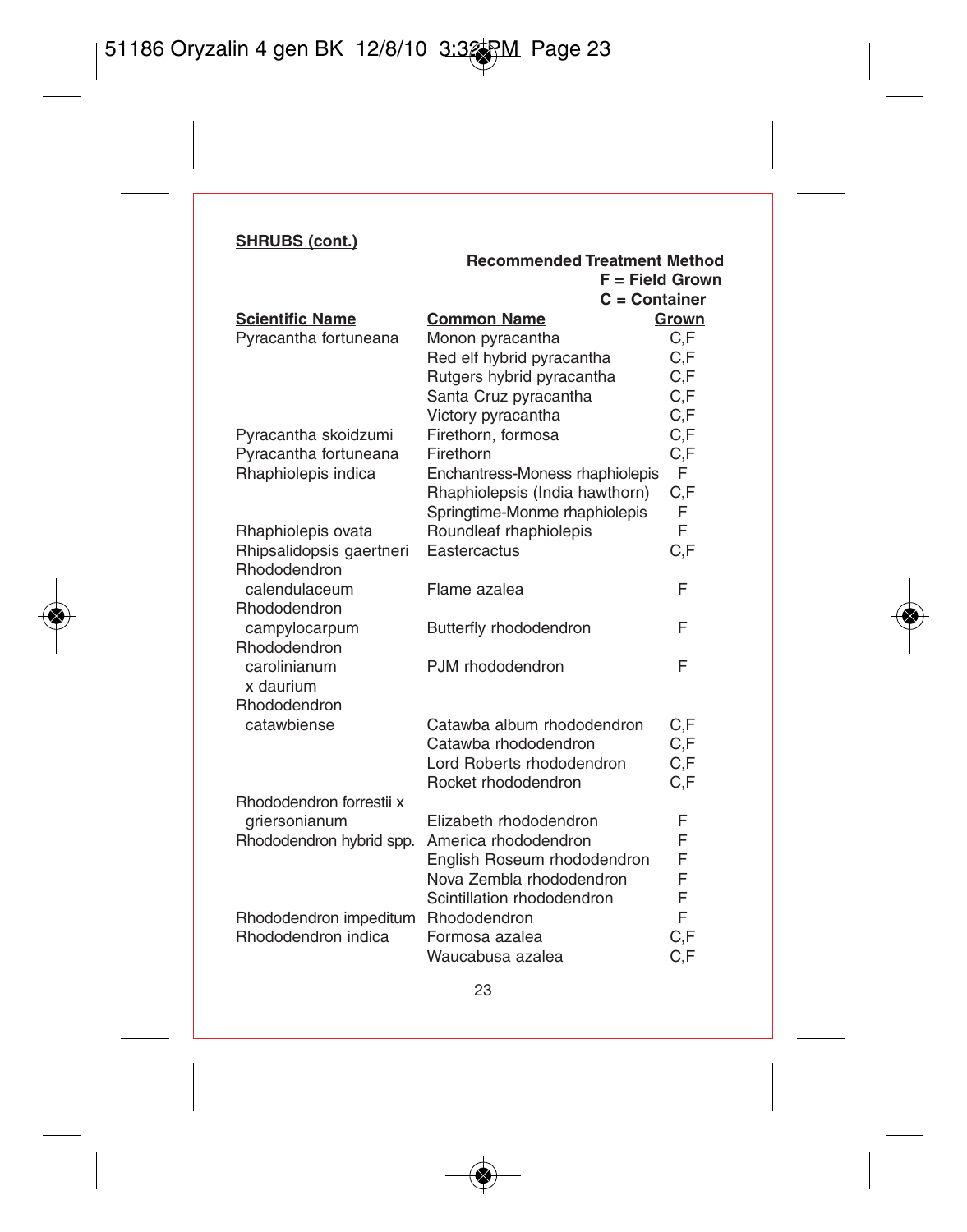| $C =$ Container<br><b>Scientific Name</b><br><b>Common Name</b><br>Pyracantha fortuneana<br>Monon pyracantha<br>Red elf hybrid pyracantha<br>Rutgers hybrid pyracantha<br>Santa Cruz pyracantha | Grown<br>C,F<br>C.F<br>C.F |
|-------------------------------------------------------------------------------------------------------------------------------------------------------------------------------------------------|----------------------------|
|                                                                                                                                                                                                 |                            |
|                                                                                                                                                                                                 |                            |
|                                                                                                                                                                                                 |                            |
|                                                                                                                                                                                                 |                            |
|                                                                                                                                                                                                 | C,F                        |
| Victory pyracantha                                                                                                                                                                              | C,F                        |
| Pyracantha skoidzumi<br>Firethorn, formosa                                                                                                                                                      | C,F                        |
| Pyracantha fortuneana<br>Firethorn                                                                                                                                                              | C,F                        |
| Rhaphiolepis indica<br>Enchantress-Moness rhaphiolepis                                                                                                                                          | F                          |
| Rhaphiolepsis (India hawthorn)                                                                                                                                                                  | C,F                        |
| Springtime-Monme rhaphiolepis                                                                                                                                                                   | F                          |
| Roundleaf rhaphiolepis<br>Rhaphiolepis ovata                                                                                                                                                    | F                          |
| Eastercactus<br>Rhipsalidopsis gaertneri                                                                                                                                                        | C,F                        |
| Rhododendron                                                                                                                                                                                    |                            |
| calendulaceum<br>Flame azalea                                                                                                                                                                   | F                          |
| Rhododendron                                                                                                                                                                                    |                            |
| campylocarpum<br>Butterfly rhododendron                                                                                                                                                         | F                          |
| Rhododendron                                                                                                                                                                                    |                            |
| PJM rhododendron<br>carolinianum                                                                                                                                                                | F                          |
| x daurium                                                                                                                                                                                       |                            |
| Rhododendron                                                                                                                                                                                    |                            |
| catawbiense<br>Catawba album rhododendron                                                                                                                                                       | C,F                        |
| Catawba rhododendron                                                                                                                                                                            | C, F                       |
| Lord Roberts rhododendron                                                                                                                                                                       | C,F                        |
| Rocket rhododendron                                                                                                                                                                             | C,F                        |
| Rhododendron forrestii x<br>Elizabeth rhododendron                                                                                                                                              | F                          |
| griersonianum<br>America rhododendron                                                                                                                                                           | F                          |
| Rhododendron hybrid spp.                                                                                                                                                                        | F                          |
| English Roseum rhododendron<br>Nova Zembla rhododendron                                                                                                                                         | F                          |
| Scintillation rhododendron                                                                                                                                                                      | F                          |
| Rhododendron impeditum<br><b>Rhododendron</b>                                                                                                                                                   | F                          |
| Rhododendron indica<br>Formosa azalea                                                                                                                                                           | C,F                        |
| Waucabusa azalea                                                                                                                                                                                | C,F                        |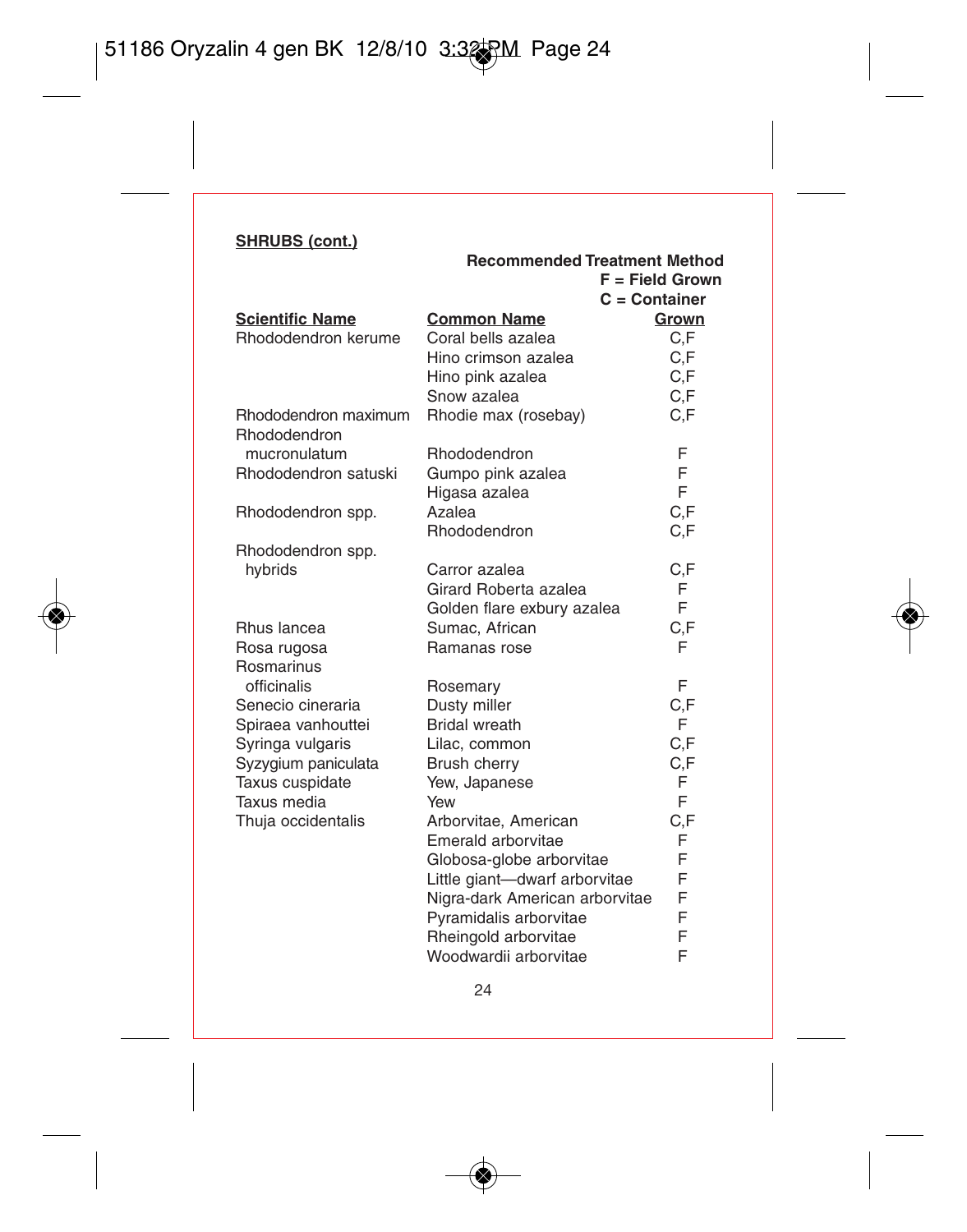|                                | Recommended Treatment Method   |                   |
|--------------------------------|--------------------------------|-------------------|
|                                |                                | $F = Field Grown$ |
|                                | $C =$ Container                |                   |
| <b>Scientific Name</b>         | <b>Common Name</b>             | Grown             |
| Rhododendron kerume            | Coral bells azalea             | C.F               |
|                                | Hino crimson azalea            | C.F               |
|                                | Hino pink azalea               | C.F               |
|                                | Snow azalea                    | C,F               |
| Rhododendron maximum           | Rhodie max (rosebay)           | C,F               |
| Rhododendron                   |                                |                   |
| mucronulatum                   | Rhododendron                   | F                 |
| Rhododendron satuski           | Gumpo pink azalea              | F                 |
|                                | Higasa azalea                  | F                 |
| Rhododendron spp.              | Azalea                         | C.F               |
|                                | Rhododendron                   | C.F               |
| Rhododendron spp.              |                                |                   |
| hybrids                        | Carror azalea                  | C.F               |
|                                | Girard Roberta azalea          | F                 |
|                                | Golden flare exbury azalea     | F                 |
| Rhus lancea                    | Sumac, African                 | C.F               |
| Rosa rugosa                    | Ramanas rose                   | F                 |
| Rosmarinus                     |                                |                   |
| officinalis                    | Rosemary                       | F                 |
| Senecio cineraria              | Dusty miller                   | C,F               |
| Spiraea vanhouttei             | <b>Bridal</b> wreath           | F                 |
| Syringa vulgaris               | Lilac, common                  | C,F               |
| Syzygium paniculata            | Brush cherry                   | C,F               |
|                                |                                | F                 |
| Taxus cuspidate<br>Taxus media | Yew, Japanese<br>Yew           | F                 |
|                                | Arborvitae, American           | C.F               |
| Thuja occidentalis             | Emerald arborvitae             | F                 |
|                                |                                | F                 |
|                                | Globosa-globe arborvitae       | F                 |
|                                | Little giant-dwarf arborvitae  | F                 |
|                                | Nigra-dark American arborvitae | F                 |
|                                | Pyramidalis arborvitae         |                   |
|                                | Rheingold arborvitae           | F                 |
|                                | Woodwardii arborvitae          | F                 |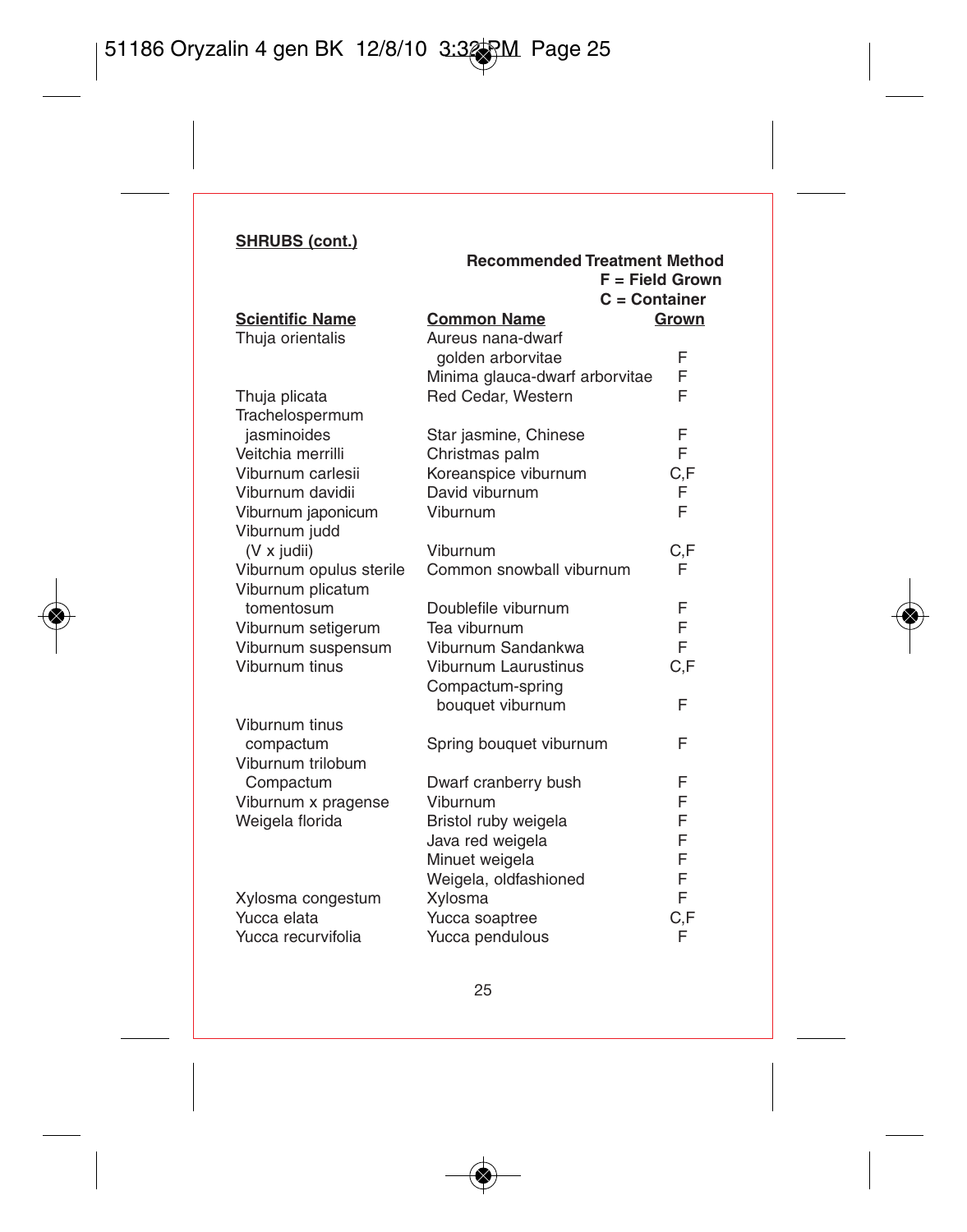|                         | <b>Recommended Treatment Method</b><br>$C =$ Container | $F = Field Grown$ |
|-------------------------|--------------------------------------------------------|-------------------|
| <b>Scientific Name</b>  | <b>Common Name</b>                                     | Grown             |
| Thuja orientalis        | Aureus nana-dwarf                                      |                   |
|                         | golden arborvitae                                      | F                 |
|                         | Minima glauca-dwarf arborvitae                         | F                 |
| Thuja plicata           | Red Cedar, Western                                     | F                 |
| Trachelospermum         |                                                        |                   |
| jasminoides             | Star jasmine, Chinese                                  | F                 |
| Veitchia merrilli       | Christmas palm                                         | F                 |
| Viburnum carlesii       | Koreanspice viburnum                                   | C.F               |
| Viburnum davidii        | David viburnum                                         | F                 |
| Viburnum japonicum      | Viburnum                                               | F                 |
| Viburnum judd           |                                                        |                   |
| (V x judii)             | Viburnum                                               | C,F               |
| Viburnum opulus sterile | Common snowball viburnum                               | F                 |
| Viburnum plicatum       |                                                        |                   |
| tomentosum              | Doublefile viburnum                                    | F                 |
| Viburnum setigerum      | Tea viburnum                                           | F                 |
| Viburnum suspensum      | Viburnum Sandankwa                                     | F                 |
| Viburnum tinus          | <b>Viburnum Laurustinus</b>                            | C.F               |
|                         | Compactum-spring                                       |                   |
|                         | bouquet viburnum                                       | F                 |
| Viburnum tinus          |                                                        |                   |
| compactum               | Spring bouquet viburnum                                | F                 |
| Viburnum trilobum       |                                                        |                   |
| Compactum               | Dwarf cranberry bush                                   | F                 |
| Viburnum x pragense     | Viburnum                                               | F                 |
| Weigela florida         | Bristol ruby weigela                                   | F                 |
|                         | Java red weigela                                       | F                 |
|                         | Minuet weigela                                         | F                 |
|                         | Weigela, oldfashioned                                  | F                 |
| Xylosma congestum       | Xylosma                                                | F                 |
| Yucca elata             | Yucca soaptree                                         | C,F               |
| Yucca recurvifolia      | Yucca pendulous                                        | F                 |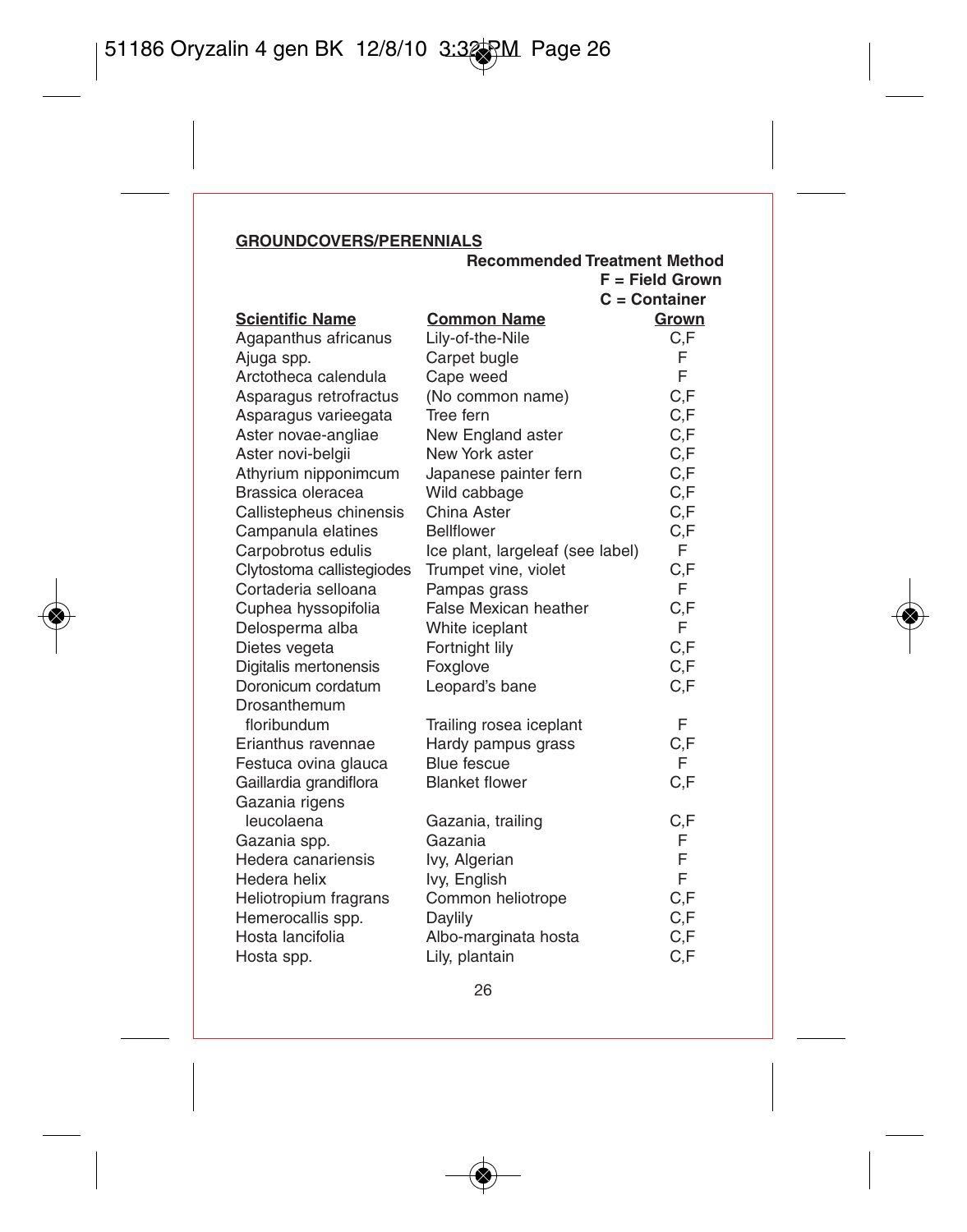## **GROUNDCOVERS/PERENNIALS**

|                           | <b>Recommended Treatment Method</b> |                   |     |
|---------------------------|-------------------------------------|-------------------|-----|
|                           |                                     | $F = Field Grown$ |     |
|                           |                                     | $C =$ Container   |     |
| <b>Scientific Name</b>    | <b>Common Name</b>                  | Grown             |     |
| Agapanthus africanus      | Lily-of-the-Nile                    |                   | C.F |
| Ajuga spp.                | Carpet bugle                        |                   | F   |
| Arctotheca calendula      | Cape weed                           |                   | F   |
| Asparagus retrofractus    | (No common name)                    |                   | C.F |
| Asparagus varieegata      | Tree fern                           |                   | C.F |
| Aster novae-angliae       | New England aster                   |                   | C.F |
| Aster novi-belgii         | New York aster                      |                   | C,F |
| Athyrium nipponimcum      | Japanese painter fern               |                   | C,F |
| Brassica oleracea         | Wild cabbage                        |                   | C,F |
| Callistepheus chinensis   | China Aster                         |                   | C,F |
| Campanula elatines        | <b>Bellflower</b>                   |                   | C,F |
| Carpobrotus edulis        | Ice plant, largeleaf (see label)    |                   | F   |
| Clytostoma callistegiodes | Trumpet vine, violet                |                   | C,F |
| Cortaderia selloana       | Pampas grass                        |                   | F   |
| Cuphea hyssopifolia       | False Mexican heather               |                   | C,F |
| Delosperma alba           | White iceplant                      |                   | F   |
| Dietes vegeta             | Fortnight lily                      |                   | C,F |
| Digitalis mertonensis     | Foxglove                            |                   | C,F |
| Doronicum cordatum        | Leopard's bane                      |                   | C,F |
| Drosanthemum              |                                     |                   |     |
| floribundum               | Trailing rosea iceplant             |                   | F   |
| Erianthus ravennae        | Hardy pampus grass                  |                   | C,F |
| Festuca ovina glauca      | Blue fescue                         |                   | F   |
| Gaillardia grandiflora    | <b>Blanket flower</b>               |                   | C,F |
| Gazania rigens            |                                     |                   |     |
| leucolaena                | Gazania, trailing                   |                   | C,F |
| Gazania spp.              | Gazania                             |                   | F   |
| Hedera canariensis        | lvy, Algerian                       |                   | F   |
| Hedera helix              | Ivy, English                        |                   | F   |
| Heliotropium fragrans     | Common heliotrope                   |                   | C.F |
| Hemerocallis spp.         | Daylily                             |                   | C.F |
| Hosta lancifolia          | Albo-marginata hosta                |                   | C,F |
| Hosta spp.                | Lily, plantain                      |                   | C,F |

ч.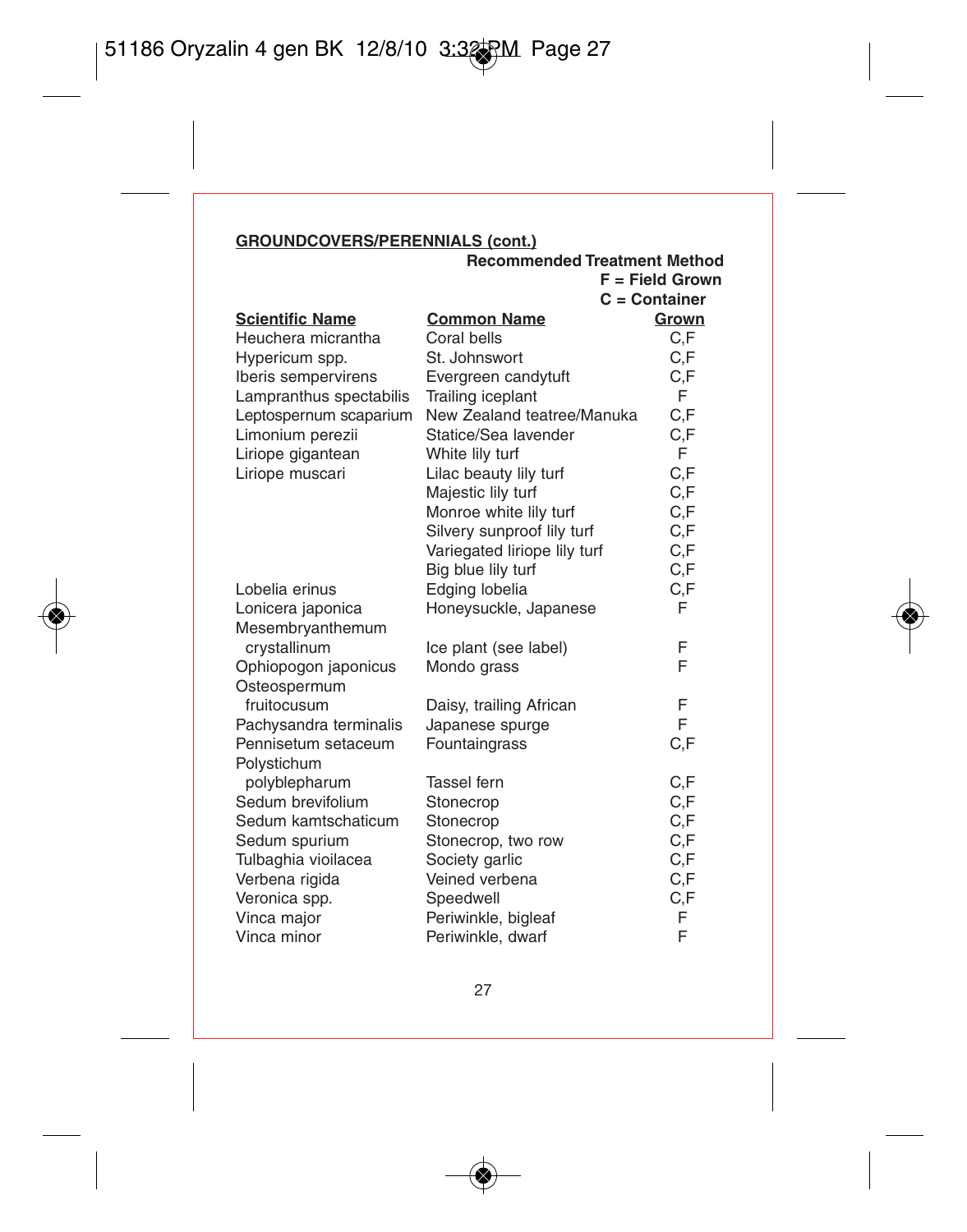## **GROUNDCOVERS/PERENNIALS (cont.)**

|                         | Recommended Treatment Method |                   |
|-------------------------|------------------------------|-------------------|
|                         |                              | $F = Field Grown$ |
|                         |                              | $C =$ Container   |
| <b>Scientific Name</b>  | <b>Common Name</b>           | Grown             |
| Heuchera micrantha      | Coral bells                  | C.F               |
| Hypericum spp.          | St. Johnswort                | C.F               |
| Iberis sempervirens     | Evergreen candytuft          | C.F               |
| Lampranthus spectabilis | Trailing iceplant            | F                 |
| Leptospernum scaparium  | New Zealand teatree/Manuka   | C,F               |
| Limonium perezii        | Statice/Sea lavender         | C.F               |
| Liriope gigantean       | White lily turf              | F                 |
| Liriope muscari         | Lilac beauty lily turf       | C.F               |
|                         | Majestic lily turf           | C.F               |
|                         | Monroe white lily turf       | C,F               |
|                         | Silvery sunproof lily turf   | C, F              |
|                         | Variegated liriope lily turf | C, F              |
|                         | Big blue lily turf           | C.F               |
| Lobelia erinus          | Edging lobelia               | C.F               |
| Lonicera japonica       | Honeysuckle, Japanese        | F                 |
| Mesembryanthemum        |                              |                   |
| crystallinum            | Ice plant (see label)        | F                 |
| Ophiopogon japonicus    | Mondo grass                  | F                 |
| Osteospermum            |                              |                   |
| fruitocusum             | Daisy, trailing African      | F                 |
| Pachysandra terminalis  | Japanese spurge              | F                 |
| Pennisetum setaceum     | Fountaingrass                | C.F               |
| Polystichum             |                              |                   |
| polyblepharum           | Tassel fern                  | C.F               |
| Sedum brevifolium       | Stonecrop                    | C.F               |
| Sedum kamtschaticum     | Stonecrop                    | C,F               |
| Sedum spurium           | Stonecrop, two row           | C.F               |
| Tulbaghia vioilacea     | Society garlic               | C,F               |
| Verbena rigida          | Veined verbena               | C.F               |
| Veronica spp.           | Speedwell                    | C.F               |
| Vinca major             | Periwinkle, bigleaf          | F                 |
| Vinca minor             | Periwinkle, dwarf            | F                 |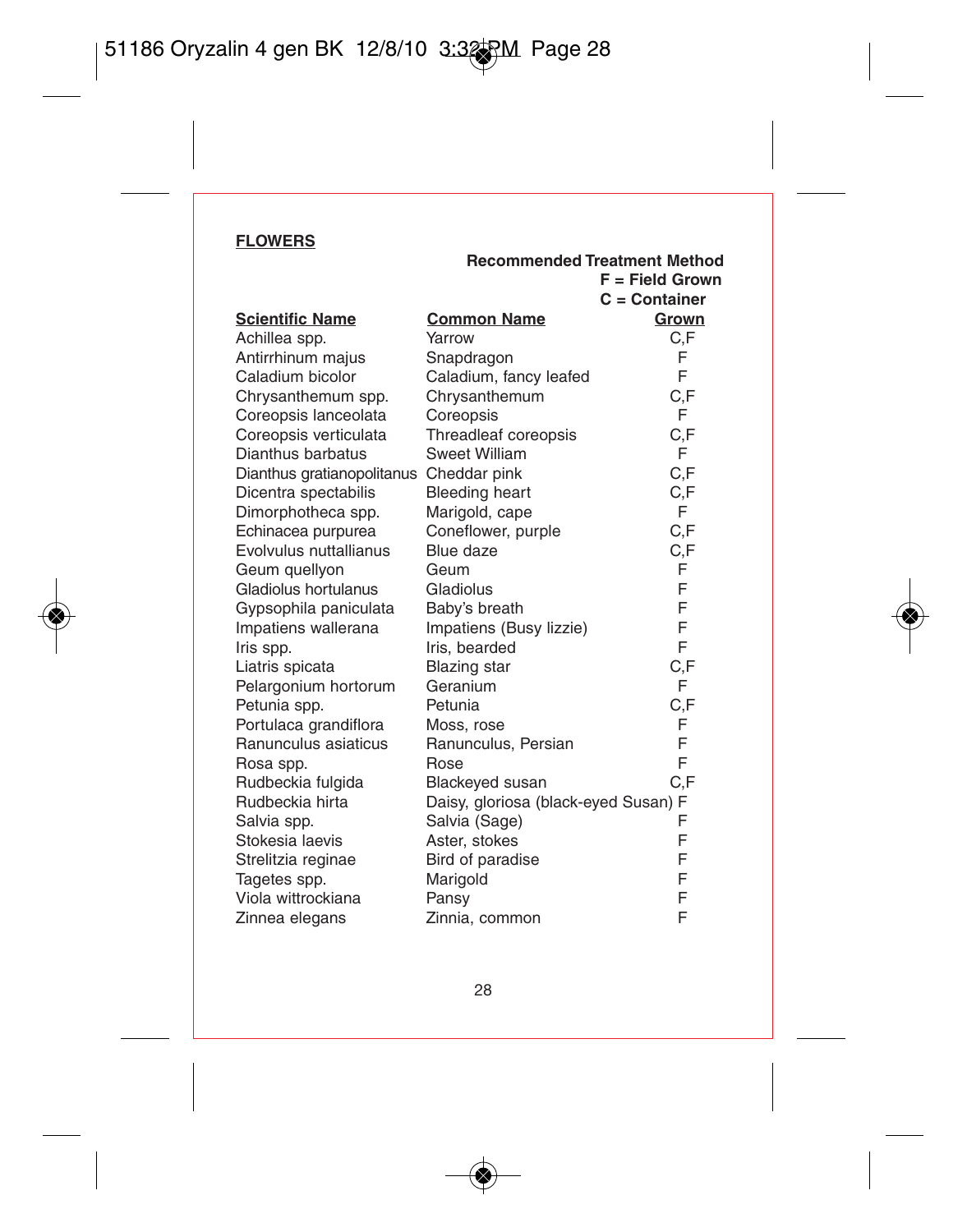#### **FLOWERS**

|                            |                                      | $F = Field Grown$ |
|----------------------------|--------------------------------------|-------------------|
|                            |                                      | $C =$ Container   |
| <b>Scientific Name</b>     | <b>Common Name</b>                   | Grown             |
| Achillea spp.              | Yarrow                               | C,F               |
| Antirrhinum majus          | Snapdragon                           | F                 |
| Caladium bicolor           | Caladium, fancy leafed               | F                 |
| Chrysanthemum spp.         | Chrysanthemum                        | C.F               |
| Coreopsis lanceolata       | Coreopsis                            | F                 |
| Coreopsis verticulata      | Threadleaf coreopsis                 | C,F               |
| Dianthus barbatus          | Sweet William                        | F                 |
| Dianthus gratianopolitanus | Cheddar pink                         | C.F               |
| Dicentra spectabilis       | <b>Bleeding heart</b>                | C.F               |
| Dimorphotheca spp.         | Marigold, cape                       | F                 |
| Echinacea purpurea         | Coneflower, purple                   | C.F               |
| Evolvulus nuttallianus     | Blue daze                            | C,F               |
| Geum quellyon              | Geum                                 | F                 |
| Gladiolus hortulanus       | Gladiolus                            | F                 |
| Gypsophila paniculata      | Baby's breath                        | F                 |
| Impatiens wallerana        | Impatiens (Busy lizzie)              | F                 |
| Iris spp.                  | Iris, bearded                        | F                 |
| Liatris spicata            | <b>Blazing</b> star                  | C,F               |
| Pelargonium hortorum       | Geranium                             | F                 |
| Petunia spp.               | Petunia                              | C.F               |
| Portulaca grandiflora      | Moss, rose                           | F                 |
| Ranunculus asiaticus       | Ranunculus, Persian                  | F                 |
| Rosa spp.                  | Rose                                 | F                 |
| Rudbeckia fulgida          | Blackeyed susan                      | C.F               |
| Rudbeckia hirta            | Daisy, gloriosa (black-eyed Susan) F |                   |
| Salvia spp.                | Salvia (Sage)                        | F                 |
| Stokesia laevis            | Aster, stokes                        | F                 |
| Strelitzia reginae         | Bird of paradise                     | F                 |
| Tagetes spp.               | Marigold                             | F                 |
| Viola wittrockiana         | Pansy                                | F                 |
| Zinnea elegans             | Zinnia, common                       | F                 |

**Recommended Treatment Method**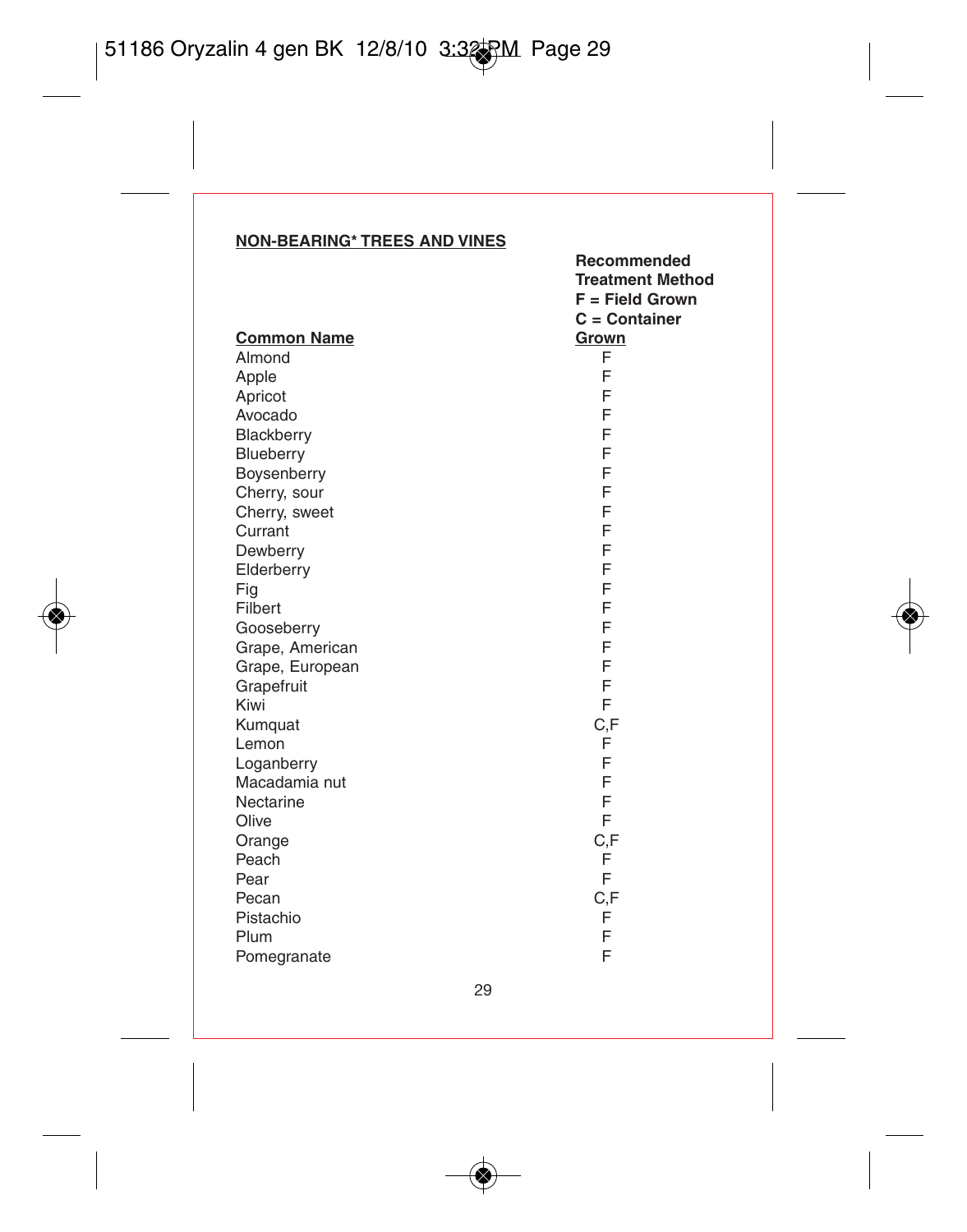#### **NON-BEARING\* TREES AND VINES**

|                    | <b>Treatment Method</b><br>$F = Field Grown$ |
|--------------------|----------------------------------------------|
|                    | $C =$ Container                              |
| <b>Common Name</b> | Grown                                        |
| Almond             | F                                            |
| Apple              | F                                            |
| Apricot            | F                                            |
| Avocado            | F                                            |
| Blackberry         | F                                            |
| Blueberry          | F                                            |
| Boysenberry        | F                                            |
| Cherry, sour       | F                                            |
| Cherry, sweet      | F                                            |
| Currant            | F                                            |
| Dewberry           | F                                            |
| Elderberry         | F                                            |
| Fig                | F                                            |
| Filbert            | F                                            |
| Gooseberry         | F                                            |
| Grape, American    | F                                            |
| Grape, European    | F                                            |
| Grapefruit         | F                                            |
| Kiwi               | F                                            |
| Kumquat            | C,F                                          |
| Lemon              | F                                            |
| Loganberry         | F                                            |
| Macadamia nut      | F                                            |
| Nectarine          | F                                            |
| Olive              | F                                            |
| Orange             | C,F                                          |
| Peach              | F                                            |
| Pear               | E                                            |
| Pecan              | C,F                                          |
| Pistachio          | F                                            |
| Plum               | F                                            |
| Pomegranate        | F                                            |

**Recommended**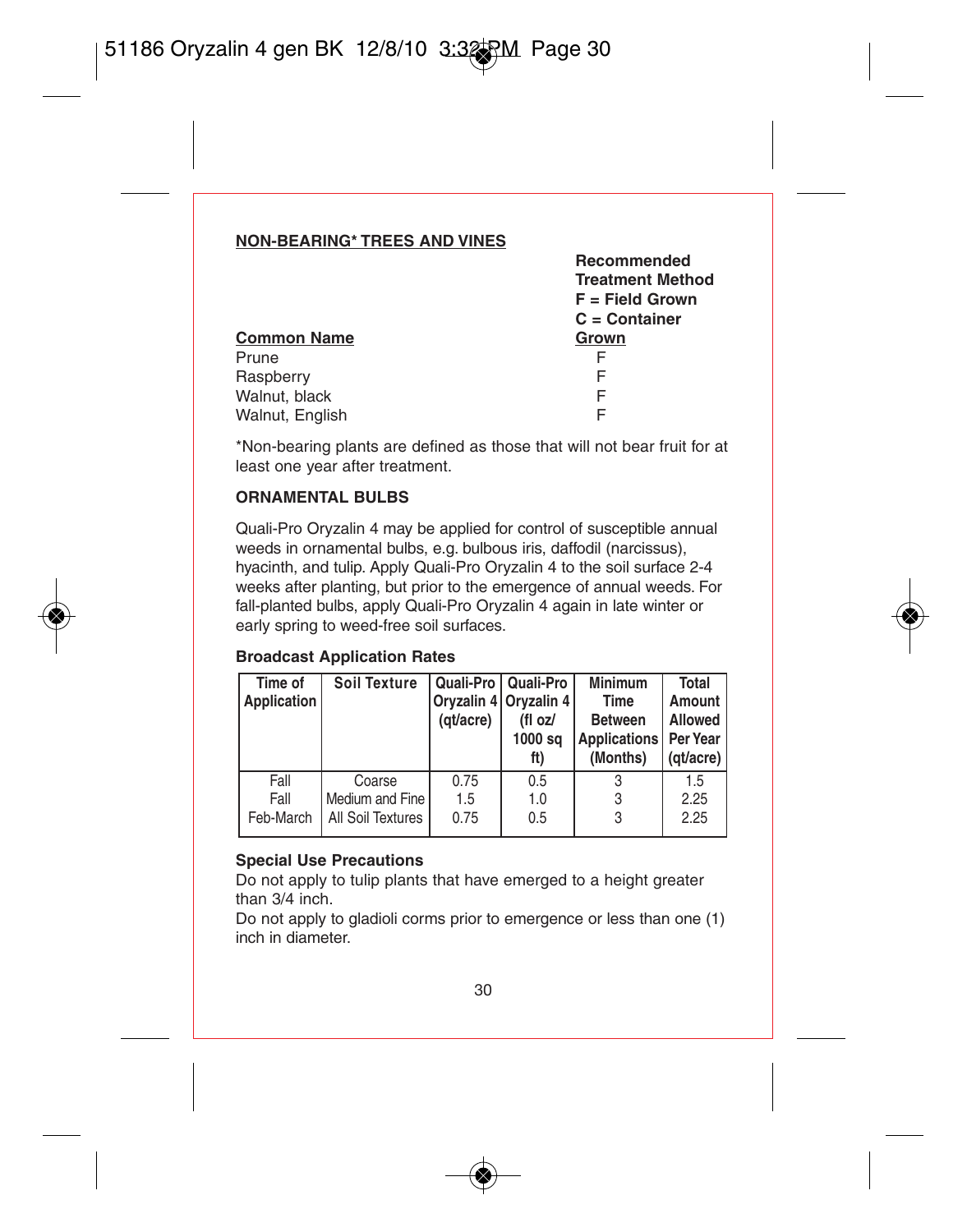#### **NON-BEARING\* TREES AND VINES**

|                    | Recommended             |
|--------------------|-------------------------|
|                    | <b>Treatment Method</b> |
|                    | $F = Field Grown$       |
|                    | $C =$ Container         |
| <b>Common Name</b> | Grown                   |
| Prune              | F                       |
| Raspberry          | F                       |
| Walnut, black      | F                       |
| Walnut, English    | F                       |
|                    |                         |

\*Non-bearing plants are defined as those that will not bear fruit for at least one year after treatment.

#### **ORNAMENTAL BULBS**

Quali-Pro Oryzalin 4 may be applied for control of susceptible annual weeds in ornamental bulbs, e.g. bulbous iris, daffodil (narcissus), hyacinth, and tulip. Apply Quali-Pro Oryzalin 4 to the soil surface 2-4 weeks after planting, but prior to the emergence of annual weeds. For fall-planted bulbs, apply Quali-Pro Oryzalin 4 again in late winter or early spring to weed-free soil surfaces.

#### **Broadcast Application Rates**

| Time of<br>Application    | <b>Soil Texture</b>                            | (gt/acre)           | Quali-Pro   Quali-Pro<br>Orvzalin 4 Orvzalin 4<br>(fl oz/<br>1000 sq<br>ft) | <b>Minimum</b><br>Time<br><b>Between</b><br>Applications   Per Year<br>(Months) | Total<br>Amount<br>Allowed<br>(gt/acre) |
|---------------------------|------------------------------------------------|---------------------|-----------------------------------------------------------------------------|---------------------------------------------------------------------------------|-----------------------------------------|
| Fall<br>Fall<br>Feb-March | Coarse<br>Medium and Fine<br>All Soil Textures | 0.75<br>1.5<br>0.75 | 0.5<br>1.0<br>0.5                                                           | 3<br>3                                                                          | 1.5<br>2.25<br>2.25                     |

#### **Special Use Precautions**

Do not apply to tulip plants that have emerged to a height greater than 3/4 inch.

Do not apply to gladioli corms prior to emergence or less than one (1) inch in diameter.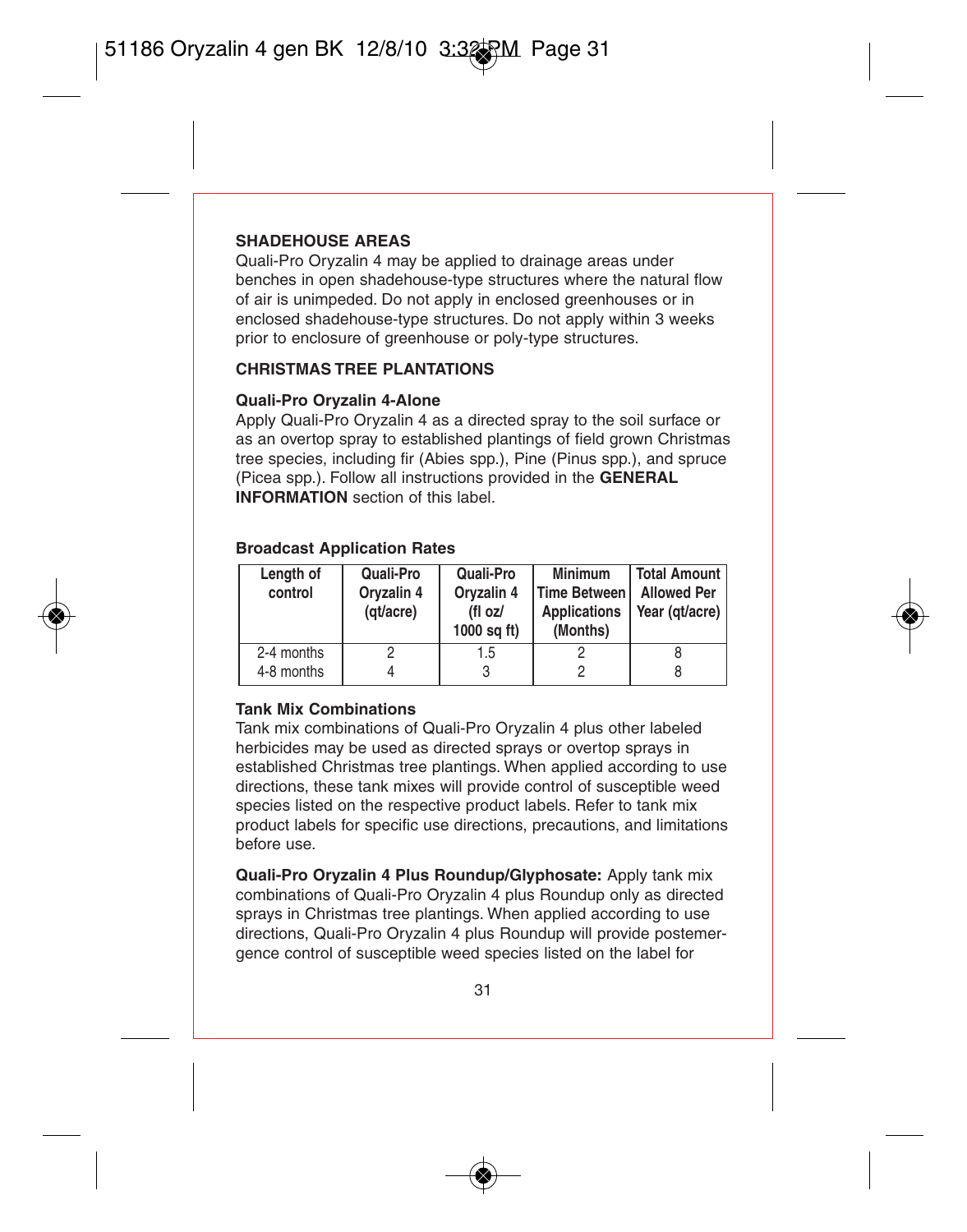#### **SHADEHOUSE AREAS**

Quali-Pro Oryzalin 4 may be applied to drainage areas under benches in open shadehouse-type structures where the natural flow of air is unimpeded. Do not apply in enclosed greenhouses or in enclosed shadehouse-type structures. Do not apply within 3 weeks prior to enclosure of greenhouse or poly-type structures.

#### **CHRISTMAS TREE PLANTATIONS**

#### **Quali-Pro Oryzalin 4-Alone**

Apply Quali-Pro Oryzalin 4 as a directed spray to the soil surface or as an overtop spray to established plantings of field grown Christmas tree species, including fir (Abies spp.), Pine (Pinus spp.), and spruce (Picea spp.). Follow all instructions provided in the **GENERAL INFORMATION** section of this label.

#### **Broadcast Application Rates**

| Length of<br>control     | Quali-Pro<br>Oryzalin 4<br>(qt/acre) | Quali-Pro<br>Oryzalin 4<br>(fl oz/<br>$1000$ sq ft) | Minimum<br>Time Between I<br>Applications<br>(Months) | <b>Total Amount</b><br><b>Allowed Per</b><br>Year (gt/acre) |
|--------------------------|--------------------------------------|-----------------------------------------------------|-------------------------------------------------------|-------------------------------------------------------------|
| 2-4 months<br>4-8 months |                                      | 1.5                                                 |                                                       |                                                             |

#### **Tank Mix Combinations**

Tank mix combinations of Quali-Pro Oryzalin 4 plus other labeled herbicides may be used as directed sprays or overtop sprays in established Christmas tree plantings. When applied according to use directions, these tank mixes will provide control of susceptible weed species listed on the respective product labels. Refer to tank mix product labels for specific use directions, precautions, and limitations before use.

**Quali-Pro Oryzalin 4 Plus Roundup/Glyphosate:** Apply tank mix combinations of Quali-Pro Oryzalin 4 plus Roundup only as directed sprays in Christmas tree plantings. When applied according to use directions, Quali-Pro Oryzalin 4 plus Roundup will provide postemergence control of susceptible weed species listed on the label for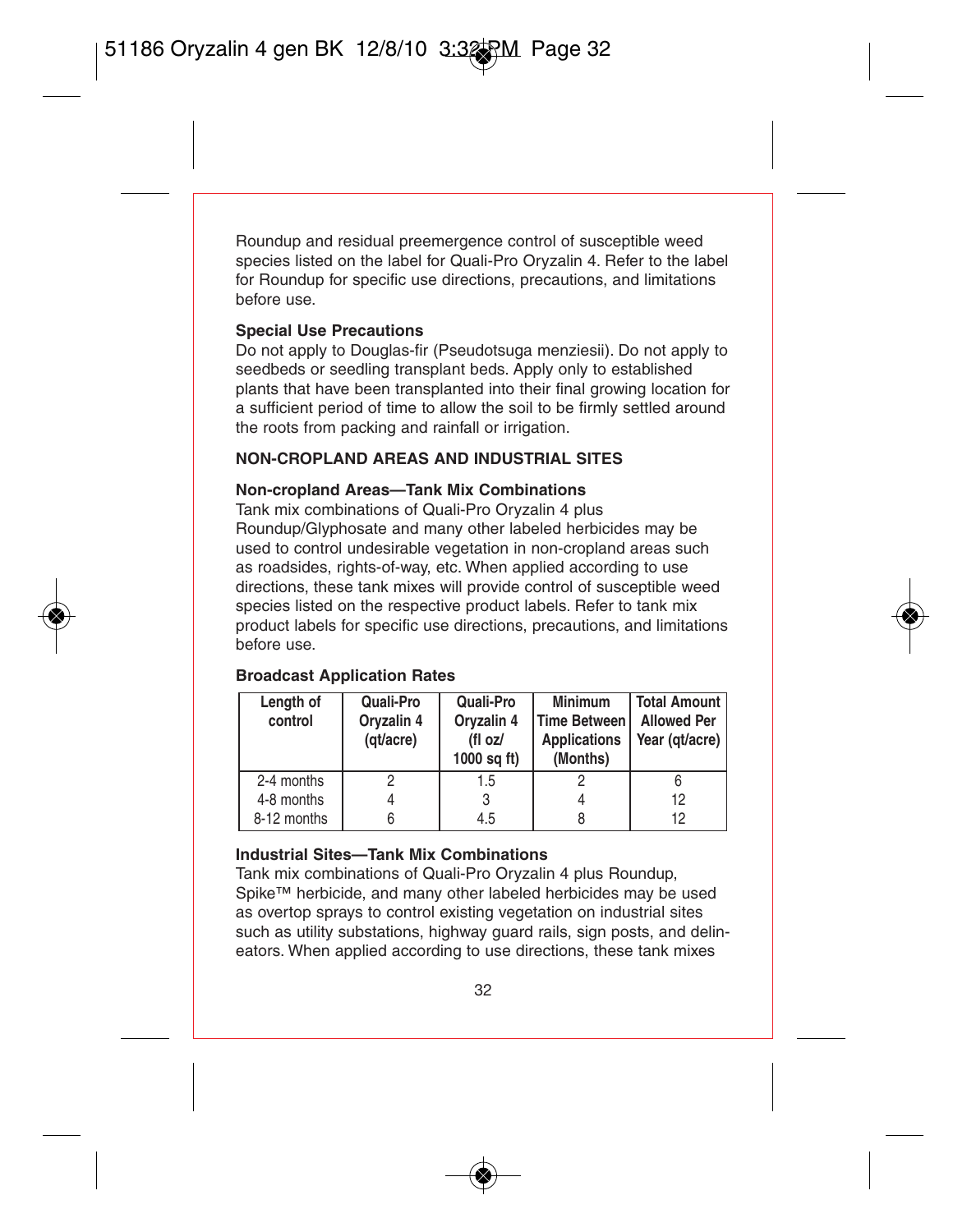Roundup and residual preemergence control of susceptible weed species listed on the label for Quali-Pro Oryzalin 4. Refer to the label for Roundup for specific use directions, precautions, and limitations before use.

#### **Special Use Precautions**

Do not apply to Douglas-fir (Pseudotsuga menziesii). Do not apply to seedbeds or seedling transplant beds. Apply only to established plants that have been transplanted into their final growing location for a sufficient period of time to allow the soil to be firmly settled around the roots from packing and rainfall or irrigation.

## **NON-CROPLAND AREAS AND INDUSTRIAL SITES**

#### **Non-cropland Areas—Tank Mix Combinations**

Tank mix combinations of Quali-Pro Oryzalin 4 plus Roundup/Glyphosate and many other labeled herbicides may be used to control undesirable vegetation in non-cropland areas such as roadsides, rights-of-way, etc. When applied according to use directions, these tank mixes will provide control of susceptible weed species listed on the respective product labels. Refer to tank mix product labels for specific use directions, precautions, and limitations before use.

| Length of<br>control | Quali-Pro<br>Oryzalin 4<br>(qt/acre) | Quali-Pro<br>Oryzalin 4<br>(fl oz/<br>$1000$ sq ft) | Minimum<br><b>Time Between</b><br><b>Applications</b><br>(Months) | <b>Total Amount  </b><br><b>Allowed Per</b><br>Year (qt/acre) |
|----------------------|--------------------------------------|-----------------------------------------------------|-------------------------------------------------------------------|---------------------------------------------------------------|
| 2-4 months           |                                      | 1.5                                                 |                                                                   |                                                               |
| 4-8 months           |                                      |                                                     |                                                                   | 12                                                            |
| 8-12 months          |                                      | 4.5                                                 | 8                                                                 | 12                                                            |

#### **Broadcast Application Rates**

#### **Industrial Sites—Tank Mix Combinations**

Tank mix combinations of Quali-Pro Oryzalin 4 plus Roundup, Spike™ herbicide, and many other labeled herbicides may be used as overtop sprays to control existing vegetation on industrial sites such as utility substations, highway guard rails, sign posts, and delineators. When applied according to use directions, these tank mixes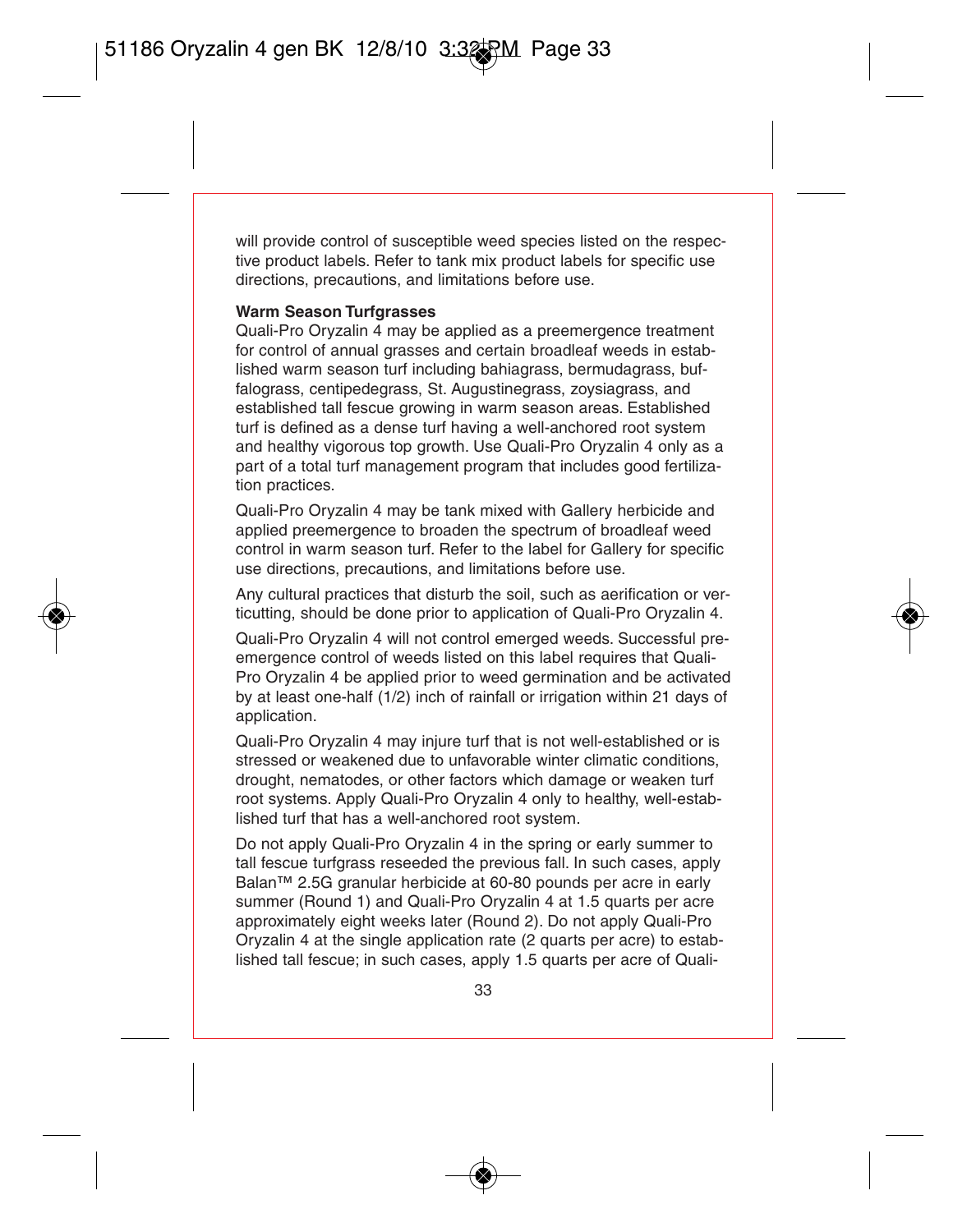will provide control of susceptible weed species listed on the respective product labels. Refer to tank mix product labels for specific use directions, precautions, and limitations before use.

#### **Warm Season Turfgrasses**

Quali-Pro Oryzalin 4 may be applied as a preemergence treatment for control of annual grasses and certain broadleaf weeds in established warm season turf including bahiagrass, bermudagrass, buffalograss, centipedegrass, St. Augustinegrass, zoysiagrass, and established tall fescue growing in warm season areas. Established turf is defined as a dense turf having a well-anchored root system and healthy vigorous top growth. Use Quali-Pro Oryzalin 4 only as a part of a total turf management program that includes good fertilization practices.

Quali-Pro Oryzalin 4 may be tank mixed with Gallery herbicide and applied preemergence to broaden the spectrum of broadleaf weed control in warm season turf. Refer to the label for Gallery for specific use directions, precautions, and limitations before use.

Any cultural practices that disturb the soil, such as aerification or verticutting, should be done prior to application of Quali-Pro Oryzalin 4.

Quali-Pro Oryzalin 4 will not control emerged weeds. Successful preemergence control of weeds listed on this label requires that Quali-Pro Oryzalin 4 be applied prior to weed germination and be activated by at least one-half (1/2) inch of rainfall or irrigation within 21 days of application.

Quali-Pro Oryzalin 4 may injure turf that is not well-established or is stressed or weakened due to unfavorable winter climatic conditions, drought, nematodes, or other factors which damage or weaken turf root systems. Apply Quali-Pro Oryzalin 4 only to healthy, well-established turf that has a well-anchored root system.

Do not apply Quali-Pro Oryzalin 4 in the spring or early summer to tall fescue turfgrass reseeded the previous fall. In such cases, apply Balan™ 2.5G granular herbicide at 60-80 pounds per acre in early summer (Round 1) and Quali-Pro Oryzalin 4 at 1.5 quarts per acre approximately eight weeks later (Round 2). Do not apply Quali-Pro Oryzalin 4 at the single application rate (2 quarts per acre) to established tall fescue; in such cases, apply 1.5 quarts per acre of Quali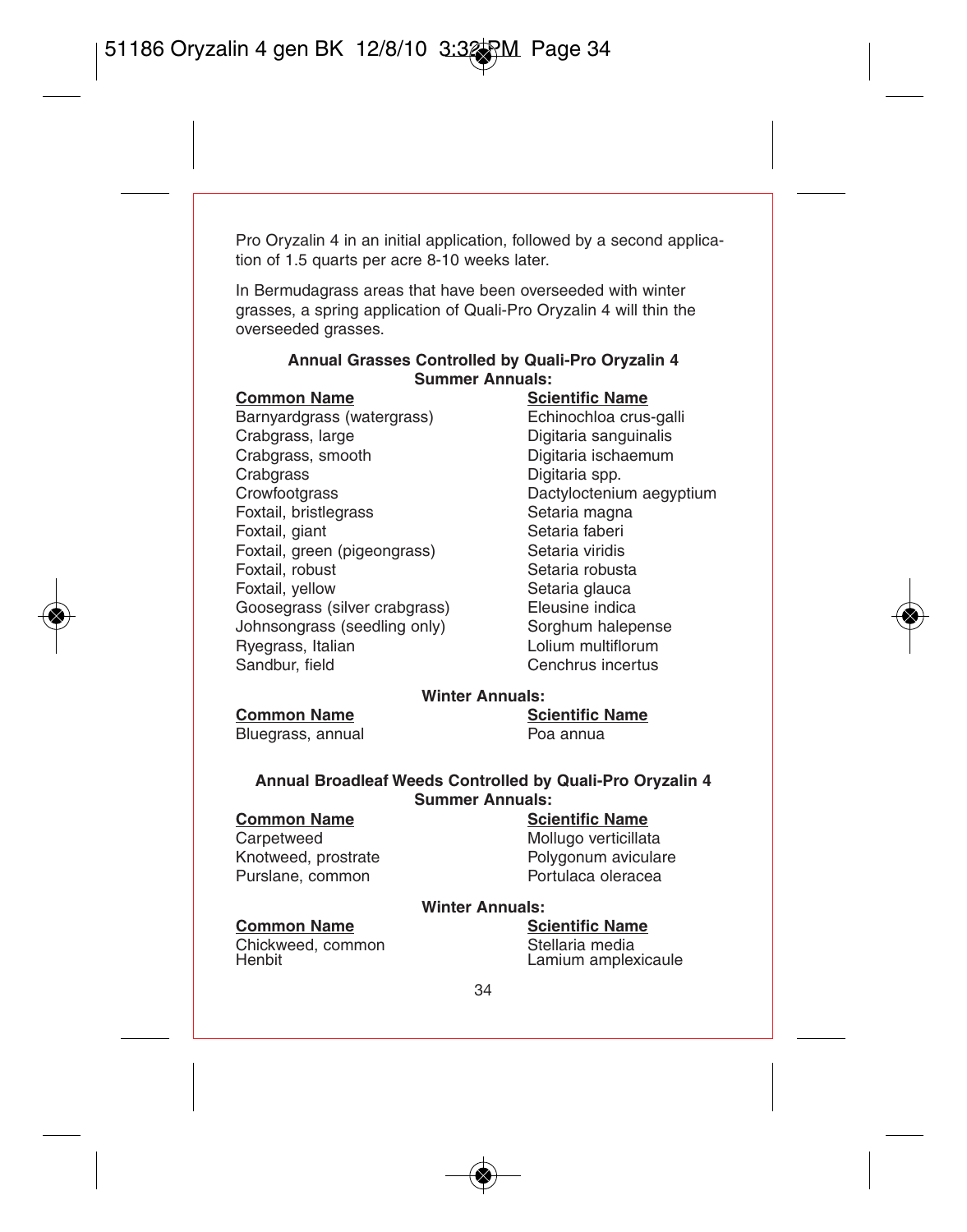Pro Oryzalin 4 in an initial application, followed by a second application of 1.5 quarts per acre 8-10 weeks later.

In Bermudagrass areas that have been overseeded with winter grasses, a spring application of Quali-Pro Oryzalin 4 will thin the overseeded grasses.

#### **Annual Grasses Controlled by Quali-Pro Oryzalin 4 Summer Annuals:**

Barnyardgrass (watergrass)<br>Crabgrass-large Crabgrass, large <sup>C</sup>ongress Crabgrass, large Digitaria sanguinalis<br>Crabgrass. smooth Digitaria ischaemum Crabgrass, smooth Digitaria ischaemum<br>Crabgrass Digitaria spp. Crabgrass Digitaria spp.<br>Crowfootgrass Crown Dactylocteniu Foxtail, bristlegrass Foxtail, giant **Setaria faberi**<br>Foxtail green (pigeongrass) Setaria viridis Foxtail, green (pigeongrass)<br>Foxtail robust Foxtail, robust<br>Foxtail, vellow Setaria dauca Goosegrass (silver crabgrass) Eleusine indica<br>Johnsongrass (seedling only) Sorghum halenense Johnsongrass (seedling only) Sorghum halepens<br>
Ryegrass Italian Byegrass Italian Ryegrass, Italian<br>Sandbur, field

# **Common Name**<br> **Barnyardgrass (watergrass)**<br> **Echinochloa crus-galli**<br> **Echinochloa crus-galli** Dactyloctenium aegyptium<br>Setaria magna Setaria glauca

Cenchrus incertus

#### **Winter Annuals:**

#### **Common Name Scientific Name**

Bluegrass, annual Poa annua

#### **Annual Broadleaf Weeds Controlled by Quali-Pro Oryzalin 4 Summer Annuals:**

# **Common Name**<br> **Carpetweed**<br> **Carpetweed**<br> **Mollugo verticillat**

Carpetweed **Mollugo verticillata**<br>
Knotweed. prostrate **Mollugo verticillata**<br>
Polygonum avicula Purslane, common

Polygonum aviculare<br>Portulaca oleracea

#### **Winter Annuals:**

Chickweed, common<br>
Henbit I amium ample:<br>
I amium ample:

#### **Common Name Scientific Name**

Lamium amplexicaule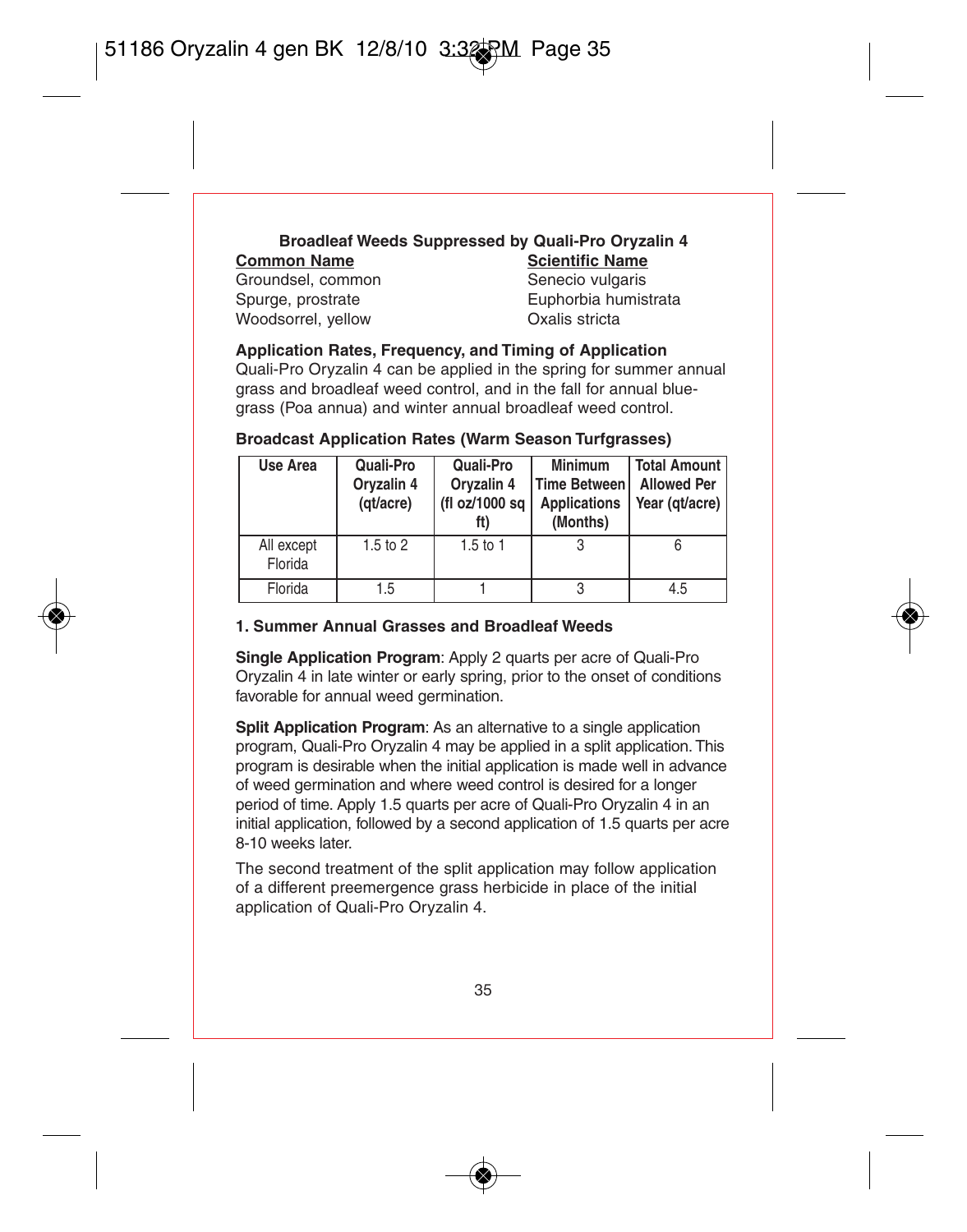## **Broadleaf Weeds Suppressed by Quali-Pro Oryzalin 4 Common Name**<br> **Groundsel common**<br> **Senecio vulgaris**

Groundsel, common Senecio vulgaris<br>Spurge, prostrate Spurge Spurge, prostrate Woodsorrel, yellow

Euphorbia humistrata<br>Oxalis stricta

#### **Application Rates, Frequency, and Timing of Application**

Quali-Pro Oryzalin 4 can be applied in the spring for summer annual grass and broadleaf weed control, and in the fall for annual bluegrass (Poa annua) and winter annual broadleaf weed control.

#### **Broadcast Application Rates (Warm Season Turfgrasses)**

| Use Area              | Quali-Pro<br>Oryzalin 4<br>(qt/acre) | Quali-Pro<br>Orvzalin 4<br>(fl oz/1000 sa | Minimum<br>Time Between<br><b>Applications</b><br>(Months) | <b>Total Amount</b><br><b>Allowed Per</b><br>Year (gt/acre) |
|-----------------------|--------------------------------------|-------------------------------------------|------------------------------------------------------------|-------------------------------------------------------------|
| All except<br>Florida | $1.5$ to $2$                         | $1.5$ to 1                                |                                                            |                                                             |
| Florida               | 1.5                                  |                                           |                                                            | 4.5                                                         |

#### **1. Summer Annual Grasses and Broadleaf Weeds**

**Single Application Program**: Apply 2 quarts per acre of Quali-Pro Oryzalin 4 in late winter or early spring, prior to the onset of conditions favorable for annual weed germination.

**Split Application Program:** As an alternative to a single application program, Quali-Pro Oryzalin 4 may be applied in a split application. This program is desirable when the initial application is made well in advance of weed germination and where weed control is desired for a longer period of time. Apply 1.5 quarts per acre of Quali-Pro Oryzalin 4 in an initial application, followed by a second application of 1.5 quarts per acre 8-10 weeks later.

The second treatment of the split application may follow application of a different preemergence grass herbicide in place of the initial application of Quali-Pro Oryzalin 4.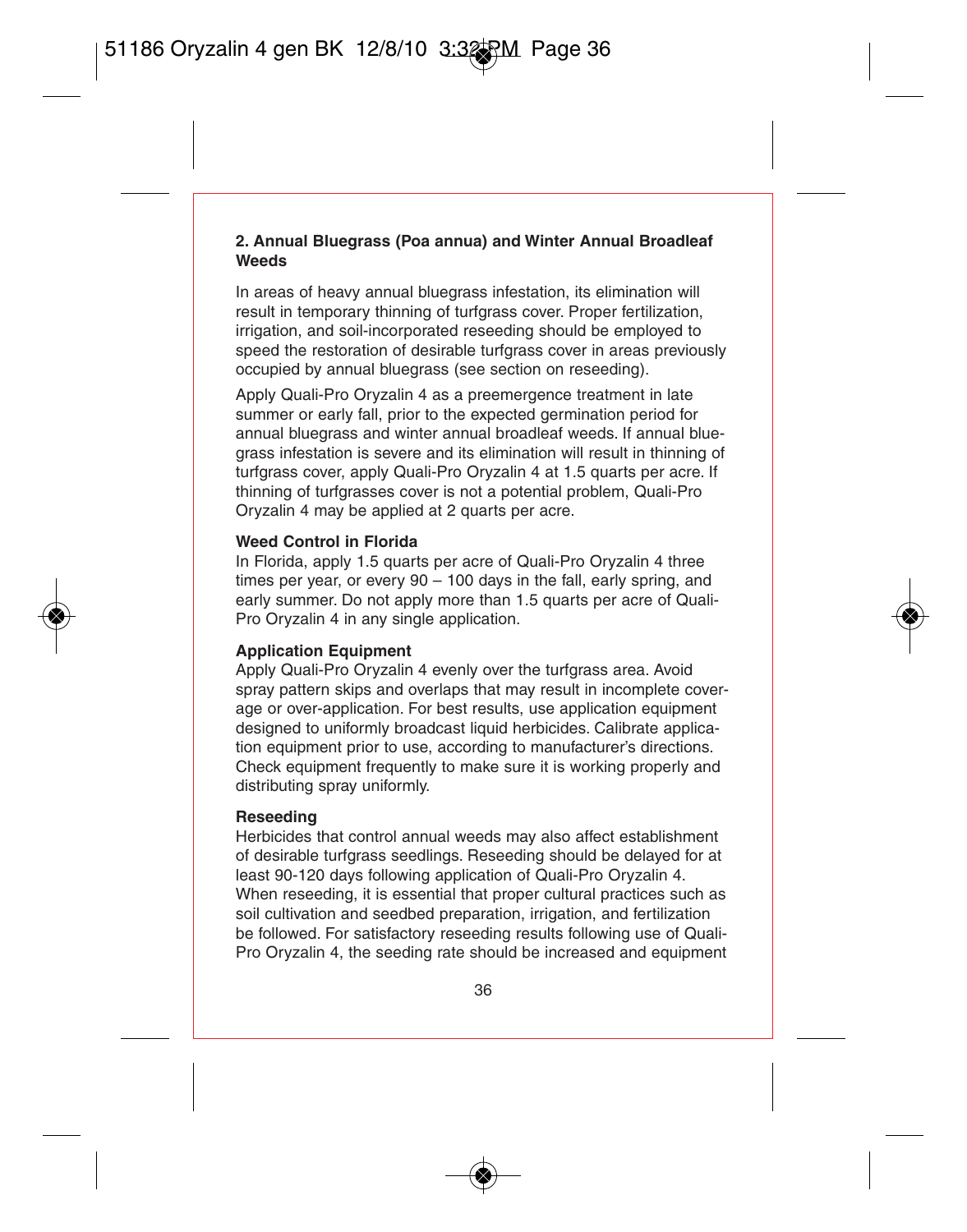#### **2. Annual Bluegrass (Poa annua) and Winter Annual Broadleaf Weeds**

In areas of heavy annual bluegrass infestation, its elimination will result in temporary thinning of turfgrass cover. Proper fertilization irrigation, and soil-incorporated reseeding should be employed to speed the restoration of desirable turfgrass cover in areas previously occupied by annual bluegrass (see section on reseeding).

Apply Quali-Pro Oryzalin 4 as a preemergence treatment in late summer or early fall, prior to the expected germination period for annual bluegrass and winter annual broadleaf weeds. If annual bluegrass infestation is severe and its elimination will result in thinning of turfgrass cover, apply Quali-Pro Oryzalin 4 at 1.5 quarts per acre. If thinning of turfgrasses cover is not a potential problem, Quali-Pro Oryzalin 4 may be applied at 2 quarts per acre.

#### **Weed Control in Florida**

In Florida, apply 1.5 quarts per acre of Quali-Pro Oryzalin 4 three times per year, or every 90 – 100 days in the fall, early spring, and early summer. Do not apply more than 1.5 quarts per acre of Quali-Pro Oryzalin 4 in any single application.

#### **Application Equipment**

Apply Quali-Pro Oryzalin 4 evenly over the turfgrass area. Avoid spray pattern skips and overlaps that may result in incomplete coverage or over-application. For best results, use application equipment designed to uniformly broadcast liquid herbicides. Calibrate application equipment prior to use, according to manufacturer's directions. Check equipment frequently to make sure it is working properly and distributing spray uniformly.

#### **Reseeding**

Herbicides that control annual weeds may also affect establishment of desirable turfgrass seedlings. Reseeding should be delayed for at least 90-120 days following application of Quali-Pro Oryzalin 4. When reseeding, it is essential that proper cultural practices such as soil cultivation and seedbed preparation, irrigation, and fertilization be followed. For satisfactory reseeding results following use of Quali-Pro Oryzalin 4, the seeding rate should be increased and equipment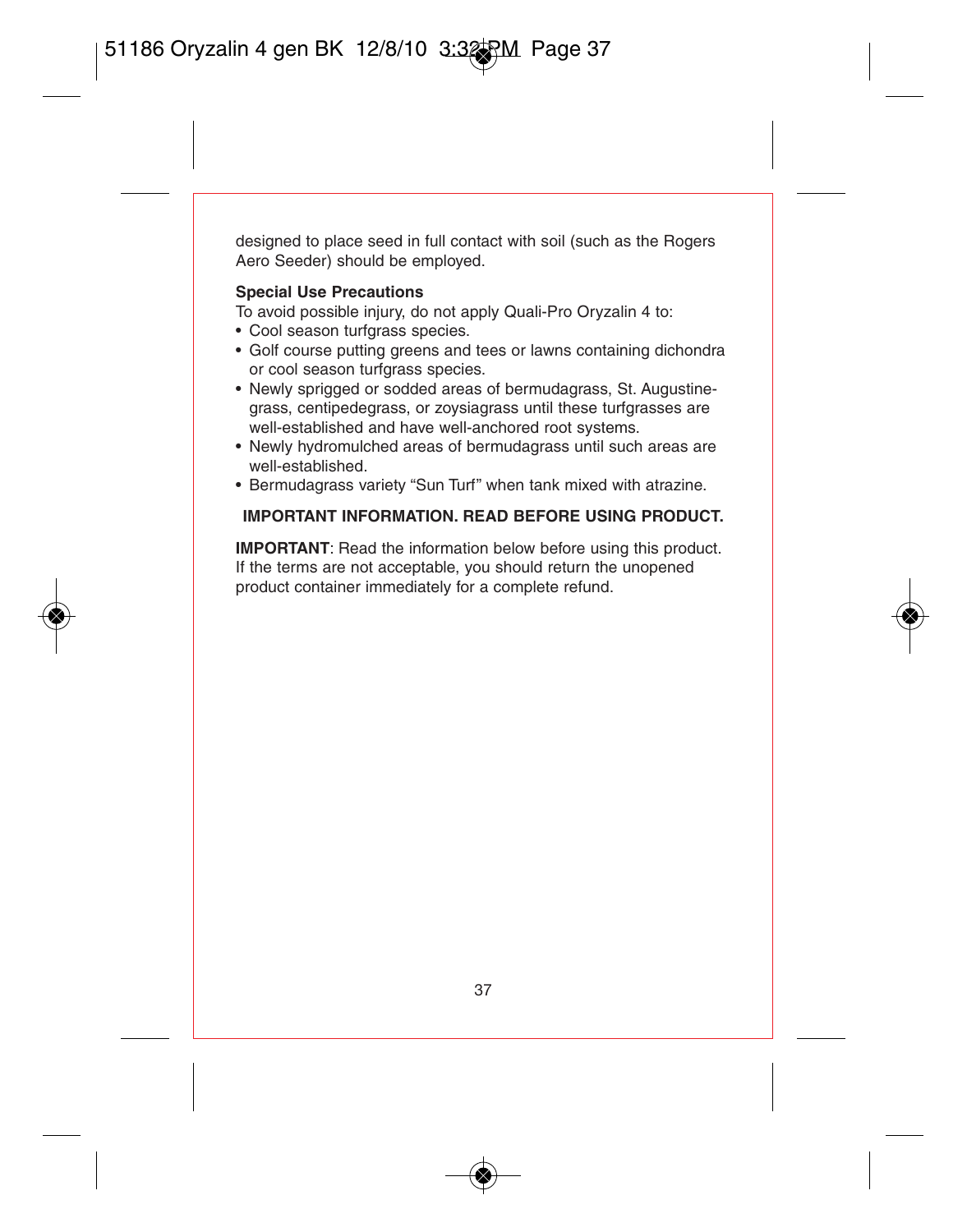designed to place seed in full contact with soil (such as the Rogers Aero Seeder) should be employed.

#### **Special Use Precautions**

To avoid possible injury, do not apply Quali-Pro Oryzalin 4 to:

- Cool season turfgrass species.
- Golf course putting greens and tees or lawns containing dichondra or cool season turfgrass species.
- Newly sprigged or sodded areas of bermudagrass, St. Augustinegrass, centipedegrass, or zoysiagrass until these turfgrasses are well-established and have well-anchored root systems.
- Newly hydromulched areas of bermudagrass until such areas are well-established.
- Bermudagrass variety "Sun Turf" when tank mixed with atrazine.

#### **IMPORTANT INFORMATION. READ BEFORE USING PRODUCT.**

**IMPORTANT**: Read the information below before using this product. If the terms are not acceptable, you should return the unopened product container immediately for a complete refund.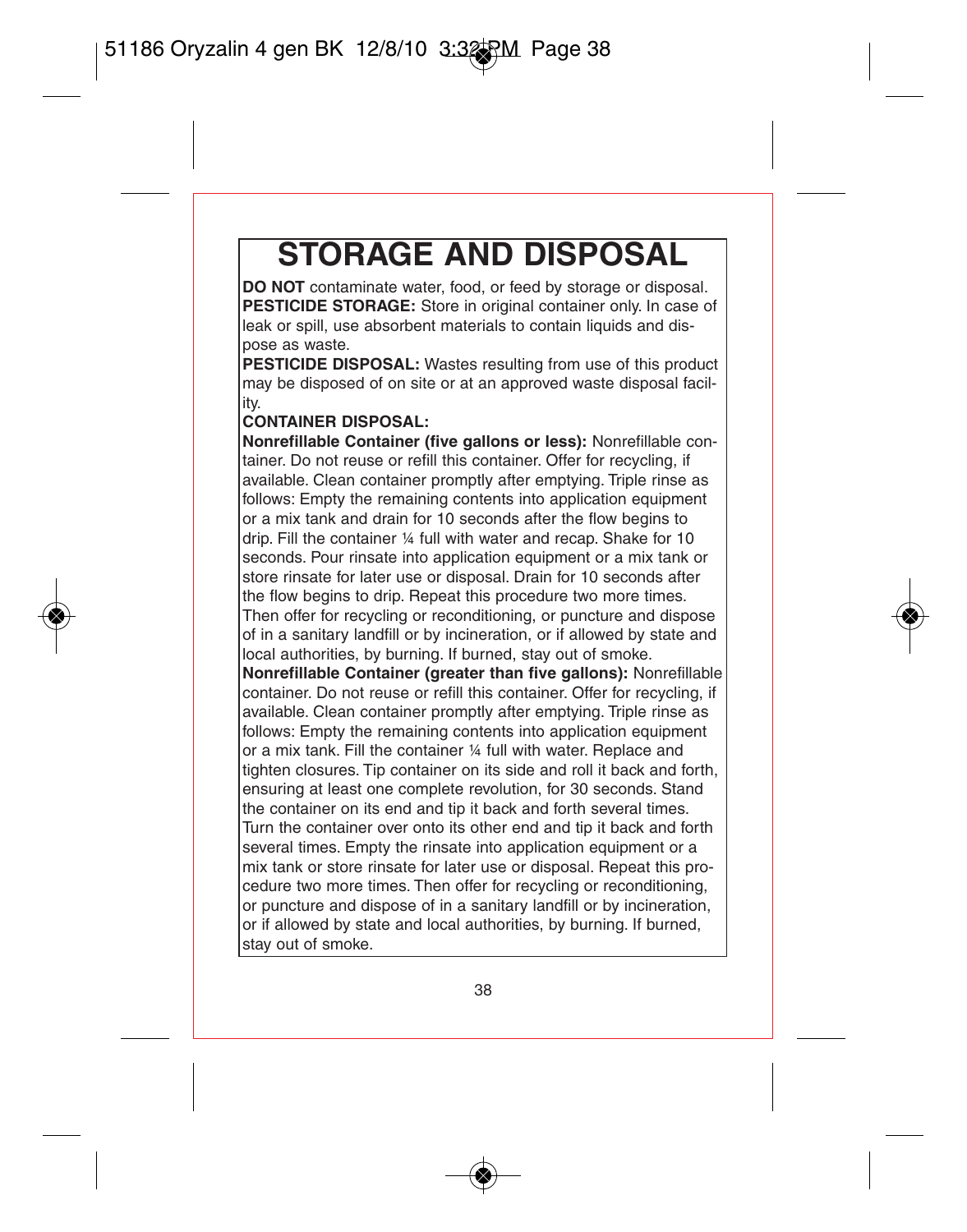# **STORAGE AND DISPOSAL**

**DO NOT** contaminate water, food, or feed by storage or disposal. **PESTICIDE STORAGE:** Store in original container only. In case of leak or spill, use absorbent materials to contain liquids and dispose as waste.

**PESTICIDE DISPOSAL:** Wastes resulting from use of this product may be disposed of on site or at an approved waste disposal facility.

#### **CONTAINER DISPOSAL:**

**Nonrefillable Container (five gallons or less):** Nonrefillable container. Do not reuse or refill this container. Offer for recycling, if available. Clean container promptly after emptying. Triple rinse as follows: Empty the remaining contents into application equipment or a mix tank and drain for 10 seconds after the flow begins to drip. Fill the container ¼ full with water and recap. Shake for 10 seconds. Pour rinsate into application equipment or a mix tank or store rinsate for later use or disposal. Drain for 10 seconds after the flow begins to drip. Repeat this procedure two more times. Then offer for recycling or reconditioning, or puncture and dispose of in a sanitary landfill or by incineration, or if allowed by state and local authorities, by burning. If burned, stay out of smoke. **Nonrefillable Container (greater than five gallons):** Nonrefillable container. Do not reuse or refill this container. Offer for recycling, if available. Clean container promptly after emptying. Triple rinse as follows: Empty the remaining contents into application equipment or a mix tank. Fill the container ¼ full with water. Replace and tighten closures. Tip container on its side and roll it back and forth, ensuring at least one complete revolution, for 30 seconds. Stand the container on its end and tip it back and forth several times. Turn the container over onto its other end and tip it back and forth several times. Empty the rinsate into application equipment or a mix tank or store rinsate for later use or disposal. Repeat this procedure two more times. Then offer for recycling or reconditioning, or puncture and dispose of in a sanitary landfill or by incineration, or if allowed by state and local authorities, by burning. If burned, stay out of smoke.